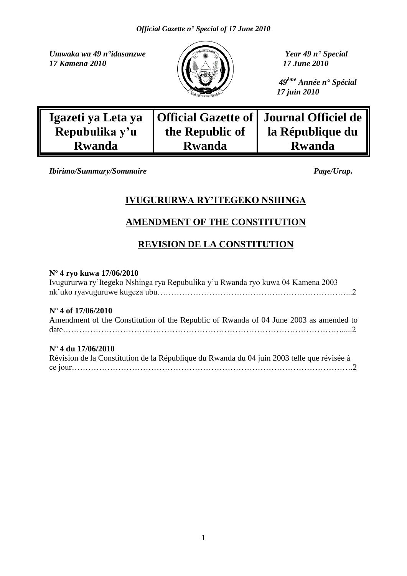*Umwaka wa 49 n°idasanzwe Year 49 n° Special 17 Kamena* 2010 *I7 June 2010* 



 *49ème Année n° Spécial 17 juin 2010*

| Igazeti ya Leta ya |                 | Official Gazette of   Journal Officiel de |
|--------------------|-----------------|-------------------------------------------|
| Repubulika y'u     | the Republic of | la République du                          |
| <b>Rwanda</b>      | <b>Rwanda</b>   | <b>Rwanda</b>                             |

*Ibirimo/Summary/Sommaire Page/Urup.* 

### **IVUGURURWA RY"ITEGEKO NSHINGA**

### **AMENDMENT OF THE CONSTITUTION**

### **REVISION DE LA CONSTITUTION**

#### **Nº 4 ryo kuwa 17/06/2010**

| Ivugururwa ry'Itegeko Nshinga rya Repubulika y'u Rwanda ryo kuwa 04 Kamena 2003                                                                                                                                                                                                                                                              |
|----------------------------------------------------------------------------------------------------------------------------------------------------------------------------------------------------------------------------------------------------------------------------------------------------------------------------------------------|
| $N^{\circ}$ 4 of 17/06/2010<br>Amendment of the Constitution of the Republic of Rwanda of 04 June 2003 as amended to                                                                                                                                                                                                                         |
| $N^{\circ}$ 4 du 17/06/2010<br>$\mathcal{L}$ (1 $\mathcal{L}$ ) (1 $\mathcal{L}$ ) (1 $\mathcal{L}$ ) (1 $\mathcal{L}$ ) (1 $\mathcal{L}$ ) (1 $\mathcal{L}$ ) (1 $\mathcal{L}$ ) (1 $\mathcal{L}$ ) (1 $\mathcal{L}$ ) (1 $\mathcal{L}$ ) (1 $\mathcal{L}$ ) (1 $\mathcal{L}$ ) (1 $\mathcal{L}$ ) (1 $\mathcal{L}$ ) (1 $\mathcal{L}$ ) (1 |

| Révision de la Constitution de la République du Rwanda du 04 juin 2003 telle que révisée à |  |
|--------------------------------------------------------------------------------------------|--|
|                                                                                            |  |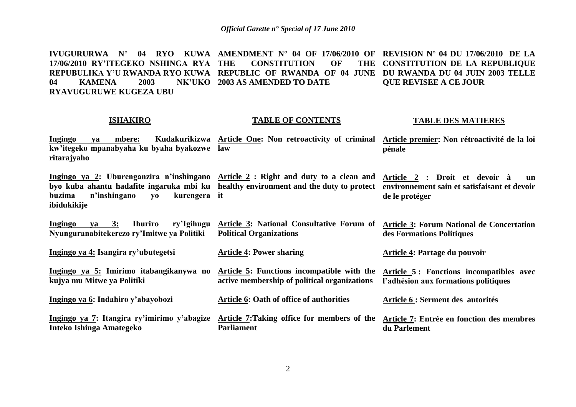**IVUGURURWA N° 04 RYO KUWA AMENDMENT N° 04 OF 17/06/2010 OF REVISION N° 04 DU 17/06/2010 DE LA 17/06/2010 RY"ITEGEKO NSHINGA RYA REPUBULIKA Y"U RWANDA RYO KUWA REPUBLIC OF RWANDA OF 04 JUNE DU RWANDA DU 04 JUIN 2003 TELLE 04 KAMENA** 2003 **RYAVUGURUWE KUGEZA UBU THE CONSTITUTION OF THE 2003 AS AMENDED TO DATE CONSTITUTION DE LA REPUBLIQUE QUE REVISEE A CE JOUR**

#### **ISHAKIRO**

**Inteko Ishinga Amategeko**

#### **TABLE OF CONTENTS**

#### **TABLE DES MATIERES**

| Ingingo     | <b>va</b> |                                             |  |  |  | mbere: Kudakurikizwa Article One: Non retroactivity of criminal Article premier: Non rétroactivité de la loi |
|-------------|-----------|---------------------------------------------|--|--|--|--------------------------------------------------------------------------------------------------------------|
|             |           | kw'itegeko mpanabyaha ku byaha byakozwe law |  |  |  | pénale                                                                                                       |
| ritarajvaho |           |                                             |  |  |  |                                                                                                              |
|             |           |                                             |  |  |  |                                                                                                              |

**Ingingo ya 2: Uburenganzira n"inshingano Article 2 : Right and duty to a clean and byo kuba ahantu hadafite ingaruka mbi ku healthy environment and the duty to protect buzima** n'inshingano vo **ibidukikije** kurengera it **Article 2 : Droit et devoir à un environnement sain et satisfaisant et devoir de le protéger**

**Ingingo ya 3: Ihuriro ry"Igihugu Article 3: National Consultative Forum of Nyunguranabitekerezo ry"Imitwe ya Politiki Political Organizations Article 3: Forum National de Concertation des Formations Politiques**

**Ingingo ya 4: Isangira ry"ubutegetsi Article 4: Power sharing Article 4: Partage du pouvoir**

**Ingingo ya 5: Imirimo itabangikanywa no kujya mu Mitwe ya Politiki Article 5: Functions incompatible with the active membership of political organizations Article 5 : Fonctions incompatibles avec l"adhésion aux formations politiques**

**Ingingo ya 6: Indahiro y"abayobozi Ingingo ya 7: Itangira ry"imirimo y"abagize Article 7:Taking office for members of the Article 6: Oath of office of authorities Article 6 : Serment des autorités** 

**Parliament**

**Article 7: Entrée en fonction des membres du Parlement**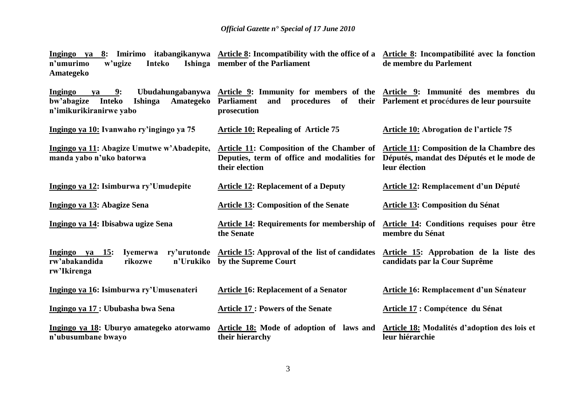| Ingingo ya 8: Imirimo itabangikanywa Article 8: Incompatibility with the office of a Article 8: Incompatibilité avec la fonction<br>n'umurimo<br>w'ugize<br>Ishinga<br>Inteko<br>Amategeko | member of the Parliament                                                                                                              | de membre du Parlement                                                                                  |
|--------------------------------------------------------------------------------------------------------------------------------------------------------------------------------------------|---------------------------------------------------------------------------------------------------------------------------------------|---------------------------------------------------------------------------------------------------------|
| Ubudahungabanywa<br>Ingingo<br>9:<br>ya<br>bw'abagize<br>Inteko<br>Ishinga<br>Amategeko<br>n'imikurikiranirwe yabo                                                                         | Article 9: Immunity for members of the Article 9: Immunité des membres du<br>procedures of<br><b>Parliament</b><br>and<br>prosecution | their Parlement et procédures de leur poursuite                                                         |
| Ingingo ya 10: Ivanwaho ry'ingingo ya 75                                                                                                                                                   | <b>Article 10: Repealing of Article 75</b>                                                                                            | Article 10: Abrogation de l'article 75                                                                  |
| Ingingo ya 11: Abagize Umutwe w'Abadepite,<br>manda yabo n'uko batorwa                                                                                                                     | Article 11: Composition of the Chamber of<br>Deputies, term of office and modalities for<br>their election                            | Article 11: Composition de la Chambre des<br>Députés, mandat des Députés et le mode de<br>leur élection |
| Ingingo ya 12: Isimburwa ry'Umudepite                                                                                                                                                      | <b>Article 12: Replacement of a Deputy</b>                                                                                            | Article 12: Remplacement d'un Député                                                                    |
| Ingingo ya 13: Abagize Sena                                                                                                                                                                | <b>Article 13: Composition of the Senate</b>                                                                                          | Article 13: Composition du Sénat                                                                        |
| Ingingo ya 14: Ibisabwa ugize Sena                                                                                                                                                         | <b>Article 14: Requirements for membership of</b><br>the Senate                                                                       | Article 14: Conditions requises pour être<br>membre du Sénat                                            |
| ry'urutonde<br>Ingingo ya 15:<br>Ivemerwa<br>rw'abakandida<br>n'Urukiko<br>rikozwe<br>rw'Ikirenga                                                                                          | Article 15: Approval of the list of candidates<br>by the Supreme Court                                                                | Article 15: Approbation de la liste des<br>candidats par la Cour Suprême                                |
| Ingingo ya 16: Isimburwa ry'Umusenateri                                                                                                                                                    | <b>Article 16: Replacement of a Senator</b>                                                                                           | Article 16: Remplacement d'un Sénateur                                                                  |
| Ingingo ya 17 : Ububasha bwa Sena                                                                                                                                                          | <b>Article 17: Powers of the Senate</b>                                                                                               | Article 17 : Compétence du Sénat                                                                        |
| Ingingo ya 18: Uburyo amategeko atorwamo<br>n'ubusumbane bwayo                                                                                                                             | Article 18: Mode of adoption of laws and<br>their hierarchy                                                                           | Article 18: Modalités d'adoption des lois et<br>leur hiérarchie                                         |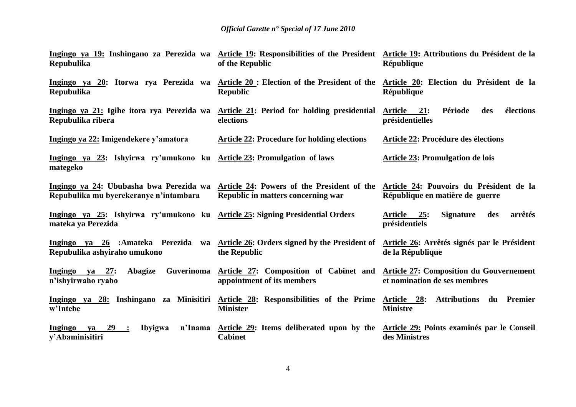| Ingingo ya 19: Inshingano za Perezida wa Article 19: Responsibilities of the President Article 19: Attributions du Président de la<br>Repubulika | of the Republic                                                                                              | République                                                                 |
|--------------------------------------------------------------------------------------------------------------------------------------------------|--------------------------------------------------------------------------------------------------------------|----------------------------------------------------------------------------|
| Ingingo ya 20: Itorwa rya Perezida wa Article 20 : Election of the President of the Article 20: Election du Président de la<br><b>Repubulika</b> | <b>Republic</b>                                                                                              | République                                                                 |
| Ingingo ya 21: Igihe itora rya Perezida wa<br>Repubulika ribera                                                                                  | Article 21: Period for holding presidential<br>elections                                                     | élections<br>Article<br>21:<br>Période<br>des<br>présidentielles           |
| Ingingo ya 22: Imigendekere y'amatora                                                                                                            | <b>Article 22: Procedure for holding elections</b>                                                           | Article 22: Procédure des élections                                        |
| Ingingo ya 23: Ishyirwa ry'umukono ku Article 23: Promulgation of laws<br>mategeko                                                               |                                                                                                              | <b>Article 23: Promulgation de lois</b>                                    |
| Ingingo ya 24: Ububasha bwa Perezida wa<br>Repubulika mu byerekeranye n'intambara                                                                | Article 24: Powers of the President of the<br>Republic in matters concerning war                             | Article 24: Pouvoirs du Président de la<br>République en matière de guerre |
| Ingingo ya 25: Ishyirwa ry'umukono ku Article 25: Signing Presidential Orders<br>mateka ya Perezida                                              |                                                                                                              | 25:<br><b>Signature</b><br>des<br>arrêtés<br>Article<br>présidentiels      |
| Ingingo ya 26 :Amateka Perezida wa Article 26: Orders signed by the President of<br>Repubulika ashyiraho umukono                                 | the Republic                                                                                                 | Article 26: Arrêtés signés par le Président<br>de la République            |
| Guverinoma<br>Ingingo ya 27:<br>Abagize<br>n'ishyirwaho ryabo                                                                                    | Article 27: Composition of Cabinet and Article 27: Composition du Gouvernement<br>appointment of its members | et nomination de ses membres                                               |
| Ingingo ya 28: Inshingano za Minisitiri<br>w'Intebe                                                                                              | <b>Article 28: Responsibilities of the Prime</b><br><b>Minister</b>                                          | <b>Attributions du Premier</b><br>Article 28:<br><b>Ministre</b>           |
| Ingingo<br>29<br><b>Ibyigwa</b><br>n'Inama<br>va<br>$\ddot{\phantom{1}}$<br>y'Abaminisitiri                                                      | Article 29: Items deliberated upon by the Article 29: Points examinés par le Conseil<br><b>Cabinet</b>       | des Ministres                                                              |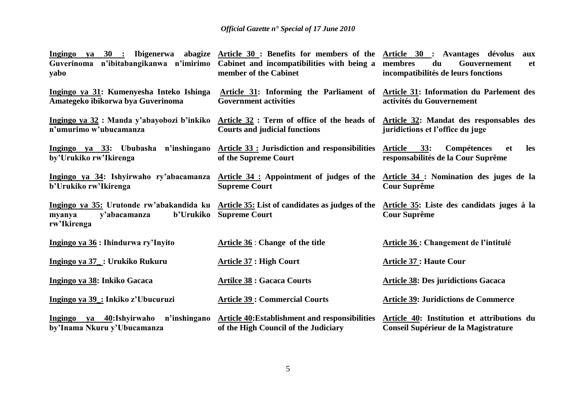| $ya$ 30 :<br>Ingingo<br>Guverinoma n'ibitabangikanwa n'imirimo<br>yabo                                                                         | Ibigenerwa abagize Article 30: Benefits for members of the Article 30: Avantages dévolus<br>Cabinet and incompatibilities with being a<br>member of the Cabinet | aux<br>membres<br>du<br>Gouvernement<br><b>et</b><br>incompatibilités de leurs fonctions |
|------------------------------------------------------------------------------------------------------------------------------------------------|-----------------------------------------------------------------------------------------------------------------------------------------------------------------|------------------------------------------------------------------------------------------|
| Ingingo ya 31: Kumenyesha Inteko Ishinga<br>Amategeko ibikorwa bya Guverinoma                                                                  | Article 31: Informing the Parliament of Article 31: Information du Parlement des<br><b>Government activities</b>                                                | activités du Gouvernement                                                                |
| Ingingo ya 32: Manda y'abayobozi b'inkiko<br>n'umurimo w'ubucamanza                                                                            | Article 32 : Term of office of the heads of Article 32: Mandat des responsables des<br><b>Courts and judicial functions</b>                                     | juridictions et l'office du juge                                                         |
| Ingingo ya 33: Ububasha n'inshingano<br>by'Urukiko rw'Ikirenga                                                                                 | <b>Article 33 : Jurisdiction and responsibilities</b><br>of the Supreme Court                                                                                   | 33:<br>Compétences<br>les<br>Article<br>et<br>responsabilités de la Cour Suprême         |
| Ingingo ya 34: Ishyirwaho ry'abacamanza<br>b'Urukiko rw'Ikirenga                                                                               | Article 34 : Appointment of judges of the Article 34 : Nomination des juges de la<br><b>Supreme Court</b>                                                       | <b>Cour Suprême</b>                                                                      |
| Ingingo ya 35: Urutonde rw'abakandida ku Article 35: List of candidates as judges of the<br>b'Urukiko<br>y'abacamanza<br>myanya<br>rw'Ikirenga | <b>Supreme Court</b>                                                                                                                                            | Article 35: Liste des candidats juges à la<br><b>Cour Suprême</b>                        |
| Ingingo ya 36 : Ihindurwa ry'Inyito                                                                                                            | Article 36 : Change of the title                                                                                                                                | Article 36 : Changement de l'intitulé                                                    |
| Ingingo ya 37_: Urukiko Rukuru                                                                                                                 | <b>Article 37 : High Court</b>                                                                                                                                  | <b>Article 37: Haute Cour</b>                                                            |
| Ingingo ya 38: Inkiko Gacaca                                                                                                                   | <b>Artilce 38 : Gacaca Courts</b>                                                                                                                               | <b>Article 38: Des juridictions Gacaca</b>                                               |
| Ingingo ya 39 : Inkiko z'Ubucuruzi                                                                                                             | <b>Article 39: Commercial Courts</b>                                                                                                                            | <b>Article 39: Juridictions de Commerce</b>                                              |
| Ingingo ya 40:Ishyirwaho<br>n'inshingano<br>by'Inama Nkuru y'Ubucamanza                                                                        | Article 40: Establishment and responsibilities<br>of the High Council of the Judiciary                                                                          | Article 40: Institution et attributions du<br>Conseil Supérieur de la Magistrature       |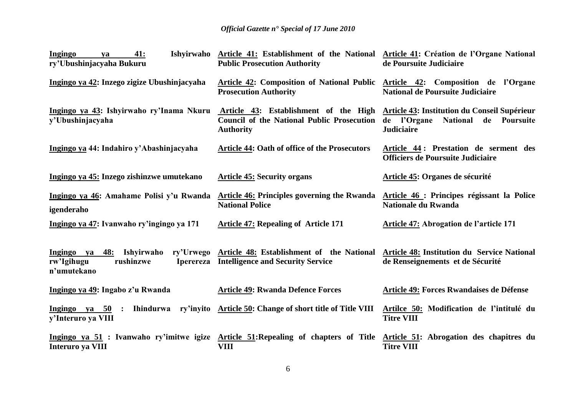| 41:<br>Ingingo<br>va<br>ry'Ubushinjacyaha Bukuru                                                        | Ishyirwaho Article 41: Establishment of the National Article 41: Création de l'Organe National<br><b>Public Prosecution Authority</b> | de Poursuite Judiciaire                                                                                             |
|---------------------------------------------------------------------------------------------------------|---------------------------------------------------------------------------------------------------------------------------------------|---------------------------------------------------------------------------------------------------------------------|
| Ingingo ya 42: Inzego zigize Ubushinjacyaha                                                             | Article 42: Composition of National Public Article 42: Composition de l'Organe<br><b>Prosecution Authority</b>                        | <b>National de Poursuite Judiciaire</b>                                                                             |
| Ingingo ya 43: Ishyirwaho ry'Inama Nkuru<br>y'Ubushinjacyaha                                            | Article 43: Establishment of the High<br><b>Council of the National Public Prosecution</b><br><b>Authority</b>                        | Article 43: Institution du Conseil Supérieur<br>de l'Organe<br><b>National</b><br>de Poursuite<br><b>Judiciaire</b> |
| Ingingo ya 44: Indahiro y'Abashinjacyaha                                                                | <b>Article 44: Oath of office of the Prosecutors</b>                                                                                  | Article 44: Prestation de serment des<br><b>Officiers de Poursuite Judiciaire</b>                                   |
| Ingingo ya 45: Inzego zishinzwe umutekano                                                               | <b>Article 45: Security organs</b>                                                                                                    | <b>Article 45: Organes de sécurité</b>                                                                              |
| Ingingo ya 46: Amahame Polisi y'u Rwanda<br>igenderaho                                                  | <b>Article 46: Principles governing the Rwanda</b><br><b>National Police</b>                                                          | Article 46 : Principes régissant la Police<br><b>Nationale du Rwanda</b>                                            |
| Ingingo ya 47: Ivanwaho ry'ingingo ya 171                                                               | <b>Article 47: Repealing of Article 171</b>                                                                                           | Article 47: Abrogation de l'article 171                                                                             |
| ry'Urwego<br>Ingingo ya 48: Ishyirwaho<br>rushinzwe<br>rw'Igihugu<br><b>Iperereza</b><br>n'umutekano    | Article 48: Establishment of the National<br><b>Intelligence and Security Service</b>                                                 | <b>Article 48: Institution du Service National</b><br>de Renseignements et de Sécurité                              |
| Ingingo ya 49: Ingabo z'u Rwanda                                                                        | <b>Article 49: Rwanda Defence Forces</b>                                                                                              | Article 49: Forces Rwandaises de Défense                                                                            |
| Ingingo ya $50$ :<br>Ihindurwa ry'inyito<br>y'Interuro ya VIII                                          | Article 50: Change of short title of Title VIII                                                                                       | Artilce 50: Modification de l'intitulé du<br><b>Titre VIII</b>                                                      |
| Ingingo ya 51 : Ivanwaho ry'imitwe igize Article 51: Repealing of chapters of Title<br>Interuro ya VIII | <b>VIII</b>                                                                                                                           | Article 51: Abrogation des chapitres du<br><b>Titre VIII</b>                                                        |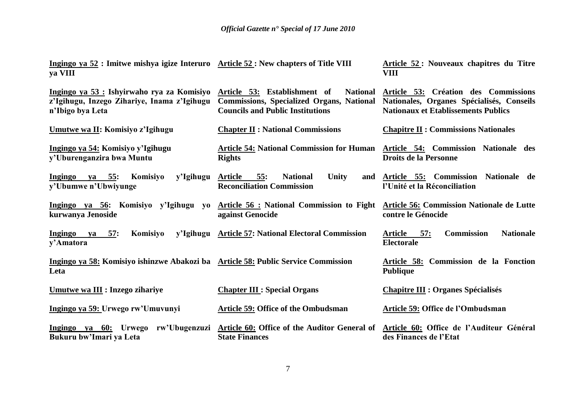**Ingingo ya 52 : Imitwe mishya igize Interuro ya VIII Article 52 : New chapters of Title VIII Article 52 : Nouveaux chapitres du Titre VIII**

| Ingingo ya 53 : Ishyirwaho rya za Komisiyo<br>z'Igihugu, Inzego Zihariye, Inama z'Igihugu<br>n'Ibigo bya Leta | <b>National</b><br>Article 53: Establishment of<br><b>Commissions, Specialized Organs, National</b><br><b>Councils and Public Institutions</b> | Article 53: Création des Commissions<br>Nationales, Organes Spécialisés, Conseils<br><b>Nationaux et Etablissements Publics</b> |
|---------------------------------------------------------------------------------------------------------------|------------------------------------------------------------------------------------------------------------------------------------------------|---------------------------------------------------------------------------------------------------------------------------------|
| Umutwe wa II: Komisiyo z'Igihugu                                                                              | <b>Chapter II : National Commissions</b>                                                                                                       | <b>Chapitre II : Commissions Nationales</b>                                                                                     |
| Ingingo ya 54: Komisiyo y'Igihugu<br>y'Uburenganzira bwa Muntu                                                | <b>Article 54: National Commission for Human</b><br><b>Rights</b>                                                                              | <b>Article 54: Commission Nationale des</b><br><b>Droits de la Personne</b>                                                     |
| y'Igihugu<br>ya 55:<br>Komisiyo<br><b>Ingingo</b><br>y'Ubumwe n'Ubwiyunge                                     | 55:<br>Unity<br><b>Article</b><br><b>National</b><br>and<br><b>Reconciliation Commission</b>                                                   | Article 55: Commission Nationale de<br>l'Unité et la Réconciliation                                                             |
| Ingingo ya 56: Komisiyo y'Igihugu yo<br>kurwanya Jenoside                                                     | <b>Article 56 : National Commission to Fight</b><br>against Genocide                                                                           | <b>Article 56: Commission Nationale de Lutte</b><br>contre le Génocide                                                          |
| $ya$ 57:<br>Komisiyo<br>y'Igihugu<br>Ingingo<br>y'Amatora                                                     | <b>Article 57: National Electoral Commission</b>                                                                                               | 57:<br><b>Nationale</b><br><b>Article</b><br><b>Commission</b><br><b>Electorale</b>                                             |
| Ingingo ya 58: Komisiyo ishinzwe Abakozi ba Article 58: Public Service Commission<br>Leta                     |                                                                                                                                                | Article 58: Commission de la Fonction<br><b>Publique</b>                                                                        |
| <b>Umutwe wa III : Inzego zihariye</b>                                                                        | <b>Chapter III: Special Organs</b>                                                                                                             | <b>Chapitre III : Organes Spécialisés</b>                                                                                       |
| Ingingo ya 59: Urwego rw'Umuvunyi                                                                             | <b>Article 59: Office of the Ombudsman</b>                                                                                                     | Article 59: Office de l'Ombudsman                                                                                               |
| Ingingo ya 60: Urwego rw'Ubugenzuzi<br>Bukuru bw'Imari ya Leta                                                | Article 60: Office of the Auditor General of<br><b>State Finances</b>                                                                          | Article 60: Office de l'Auditeur Général<br>des Finances de l'Etat                                                              |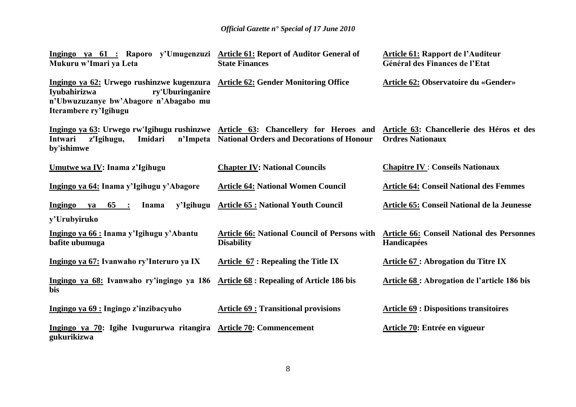| Ingingo ya 61 : Raporo y'Umugenzuzi Article 61: Report of Auditor General of<br>Mukuru w'Imari ya Leta                                                                                    | <b>State Finances</b>                                                    | <b>Article 61: Rapport de l'Auditeur</b><br>Général des Finances de l'Etat |
|-------------------------------------------------------------------------------------------------------------------------------------------------------------------------------------------|--------------------------------------------------------------------------|----------------------------------------------------------------------------|
| Ingingo ya 62: Urwego rushinzwe kugenzura Article 62: Gender Monitoring Office<br>ry'Uburinganire<br>Iyubahirizwa<br>n'Ubwuzuzanye bw'Abagore n'Abagabo mu<br>Iterambere ry'Igihugu       |                                                                          | <b>Article 62: Observatoire du «Gender»</b>                                |
| Ingingo ya 63: Urwego rw'Igihugu rushinzwe Article 63: Chancellery for Heroes and Article 63: Chancellerie des Héros et des<br>Imidari<br>n'Impeta<br>Intwari<br>z'Igihugu,<br>by'ishimwe | <b>National Orders and Decorations of Honour</b>                         | <b>Ordres Nationaux</b>                                                    |
| Umutwe wa IV: Inama z'Igihugu                                                                                                                                                             | <b>Chapter IV: National Councils</b>                                     | <b>Chapitre IV : Conseils Nationaux</b>                                    |
| Ingingo ya 64: Inama y'Igihugu y'Abagore                                                                                                                                                  | <b>Article 64: National Women Council</b>                                | <b>Article 64: Conseil National des Femmes</b>                             |
| y'Igihugu<br><b>Ingingo</b><br>$65$ :<br>Inama<br>ya<br>y'Urubyiruko                                                                                                                      | <b>Article 65: National Youth Council</b>                                | <b>Article 65: Conseil National de la Jeunesse</b>                         |
| Ingingo ya 66 : Inama y'Igihugu y'Abantu<br>bafite ubumuga                                                                                                                                | <b>Article 66: National Council of Persons with</b><br><b>Disability</b> | <b>Article 66: Conseil National des Personnes</b><br>Handicapées           |
| Ingingo ya 67: Ivanwaho ry'Interuro ya IX                                                                                                                                                 | <b>Article <math>67</math>: Repealing the Title IX</b>                   | <b>Article 67 : Abrogation du Titre IX</b>                                 |
| Ingingo ya 68: Ivanwaho ry'ingingo ya 186<br>bis                                                                                                                                          | <b>Article 68 : Repealing of Article 186 bis</b>                         | Article 68: Abrogation de l'article 186 bis                                |
| Ingingo ya 69 : Ingingo z'inzibacyuho                                                                                                                                                     | <b>Article 69 : Transitional provisions</b>                              | <b>Article 69 : Dispositions transitoires</b>                              |
| Ingingo ya 70: Igihe Ivugururwa ritangira Article 70: Commencement<br>gukurikizwa                                                                                                         |                                                                          | Article 70: Entrée en vigueur                                              |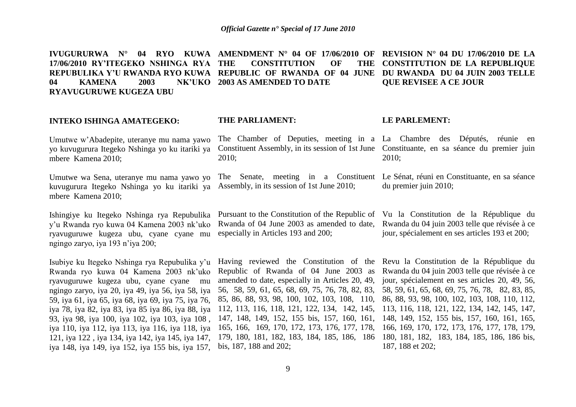**IVUGURURWA N° 04 RYO KUWA AMENDMENT N° 04 OF 17/06/2010 OF REVISION N° 04 DU 17/06/2010 DE LA 17/06/2010 RY"ITEGEKO NSHINGA RYA REPUBULIKA Y"U RWANDA RYO KUWA REPUBLIC OF RWANDA OF 04 JUNE DU RWANDA DU 04 JUIN 2003 TELLE**  04 **KAMENA** 2003 **RYAVUGURUWE KUGEZA UBU THE CONSTITUTION OF THE 2003 AS AMENDED TO DATE QUE REVISEE A CE JOUR**

#### **INTEKO ISHINGA AMATEGEKO:**

Umutwe w'Abadepite, uteranye mu nama yawo yo kuvugurura Itegeko Nshinga yo ku itariki ya mbere Kamena 2010;

Umutwe wa Sena, uteranye mu nama yawo yo kuvugurura Itegeko Nshinga yo ku itariki ya mbere Kamena 2010;

Ishingiye ku Itegeko Nshinga rya Repubulika y'u Rwanda ryo kuwa 04 Kamena 2003 nk'uko ryavuguruwe kugeza ubu, cyane cyane mu ngingo zaryo, iya 193 n'iya 200;

Isubiye ku Itegeko Nshinga rya Repubulika y'u Rwanda ryo kuwa 04 Kamena 2003 nk'uko ryavuguruwe kugeza ubu, cyane cyane mu ngingo zaryo, iya 20, iya 49, iya 56, iya 58, iya 59, iya 61, iya 65, iya 68, iya 69, iya 75, iya 76, iya 78, iya 82, iya 83, iya 85 iya 86, iya 88, iya 93, iya 98, iya 100, iya 102, iya 103, iya 108 , iya 110, iya 112, iya 113, iya 116, iya 118, iya 121, iya 122 , iya 134, iya 142, iya 145, iya 147, iya 148, iya 149, iya 152, iya 155 bis, iya 157,

### **THE PARLIAMENT:**

Constituent Assembly, in its session of 1st June Constituante, en sa séance du premier juin 2010;

The Senate, meeting in a Constituent Le Sénat, réuni en Constituante, en sa séance Assembly, in its session of 1st June 2010;

Rwanda of 04 June 2003 as amended to date, especially in Articles 193 and 200;

Having reviewed the Constitution of the Revu la Constitution de la République du Republic of Rwanda of 04 June 2003 as Rwanda du 04 juin 2003 telle que révisée à ce amended to date, especially in Articles 20, 49, 56, 58, 59, 61, 65, 68, 69, 75, 76, 78, 82, 83, 58, 59, 61, 65, 68, 69, 75, 76, 78, 82, 83, 85, 85, 86, 88, 93, 98, 100, 102, 103, 108, 110, 86, 88, 93, 98, 100, 102, 103, 108, 110, 112, 112, 113, 116, 118, 121, 122, 134, 142, 145, 113, 116, 118, 121, 122, 134, 142, 145, 147, 147, 148, 149, 152, 155 bis, 157, 160, 161, 148, 149, 152, 155 bis, 157, 160, 161, 165, 165, 166, 169, 170, 172, 173, 176, 177, 178, 179, 180, 181, 182, 183, 184, 185, 186, 186 180, 181, 182, 183, 184, 185, 186, 186 bis, bis, 187, 188 and 202;

# **CONSTITUTION DE LA REPUBLIQUE**

#### **LE PARLEMENT:**

The Chamber of Deputies, meeting in a La Chambre des Députés, réunie en 2010;

du premier juin 2010;

Pursuant to the Constitution of the Republic of Vu la Constitution de la République du Rwanda du 04 juin 2003 telle que révisée à ce jour, spécialement en ses articles 193 et 200;

> jour, spécialement en ses articles 20, 49, 56, 166, 169, 170, 172, 173, 176, 177, 178, 179, 187, 188 et 202;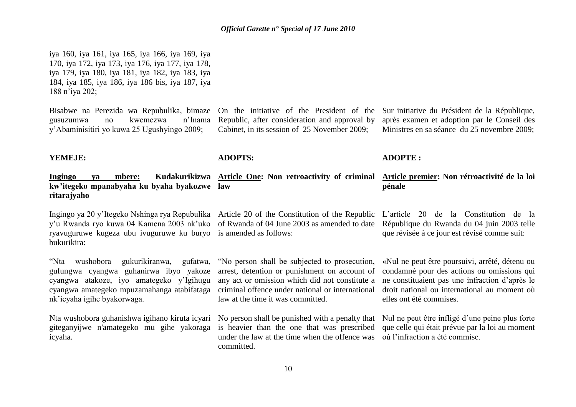iya 160, iya 161, iya 165, iya 166, iya 169, iya 170, iya 172, iya 173, iya 176, iya 177, iya 178, iya 179, iya 180, iya 181, iya 182, iya 183, iya 184, iya 185, iya 186, iya 186 bis, iya 187, iya 188 n'iya 202;

Bisabwe na Perezida wa Repubulika, bimaze gusuzumwa no kwemezwa n'Inama y'Abaminisitiri yo kuwa 25 Ugushyingo 2009;

On the initiative of the President of the Republic, after consideration and approval by Cabinet, in its session of 25 November 2009;

Sur initiative du Président de la République, après examen et adoption par le Conseil des Ministres en sa séance du 25 novembre 2009;

**ADOPTE :**

#### **YEMEJE:**

**Ingingo ya mbere: Kudakurikizwa Article One: Non retroactivity of criminal kw"itegeko mpanabyaha ku byaha byakozwe law ritarajyaho Article premier: Non rétroactivité de la loi pénale**

**ADOPTS:**

Ingingo ya 20 y'Itegeko Nshinga rya Repubulika Article 20 of the Constitution of the Republic y'u Rwanda ryo kuwa 04 Kamena 2003 nk'uko of Rwanda of 04 June 2003 as amended to date ryavuguruwe kugeza ubu ivuguruwe ku buryo is amended as follows: bukurikira:

"Nta wushobora gukurikiranwa, gufatwa, gufungwa cyangwa guhanirwa ibyo yakoze cyangwa atakoze, iyo amategeko y'Igihugu cyangwa amategeko mpuzamahanga atabifataga nk'icyaha igihe byakorwaga.

giteganyijwe n'amategeko mu gihe yakoraga icyaha.

L'article 20 de la Constitution de la République du Rwanda du 04 juin 2003 telle que révisée à ce jour est révisé comme suit:

"No person shall be subjected to prosecution, arrest, detention or punishment on account of any act or omission which did not constitute a criminal offence under national or international law at the time it was committed.

Nta wushobora guhanishwa igihano kiruta icyari No person shall be punished with a penalty that Nul ne peut être infligé d'une peine plus forte is heavier than the one that was prescribed under the law at the time when the offence was où l'infraction a été commise.committed.

«Nul ne peut être poursuivi, arrêté, détenu ou condamné pour des actions ou omissions qui ne constituaient pas une infraction d'après le droit national ou international au moment où elles ont été commises.

que celle qui était prévue par la loi au moment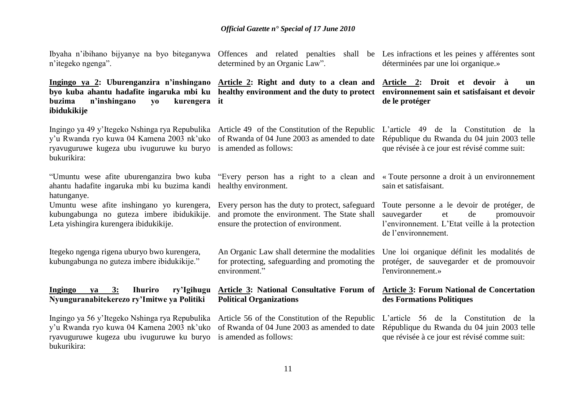Ibyaha n'ibihano bijyanye na byo biteganywa Offences and related penalties shall be Les infractions et les peines y afférentes sont n'itegeko ngenga".

**Ingingo ya 2: Uburenganzira n"inshingano Article 2: Right and duty to a clean and byo kuba ahantu hadafite ingaruka mbi ku healthy environment and the duty to protect environnement sain et satisfaisant et devoir buzima** n'inshingano vo **ibidukikije** kurengera it

y'u Rwanda ryo kuwa 04 Kamena 2003 nk'uko of Rwanda of 04 June 2003 as amended to date ryavuguruwe kugeza ubu ivuguruwe ku buryo is amended as follows: bukurikira:

ahantu hadafite ingaruka mbi ku buzima kandi healthy environment. hatunganye.

Umuntu wese afite inshingano yo kurengera, kubungabunga no guteza imbere ibidukikije. Leta yishingira kurengera ibidukikije.

Itegeko ngenga rigena uburyo bwo kurengera, kubungabunga no guteza imbere ibidukikije."

#### **Ingingo ya 3: Ihuriro ry"Igihugu Nyunguranabitekerezo ry"Imitwe ya Politiki**

Ingingo ya 56 y'Itegeko Nshinga rya Repubulika Article 56 of the Constitution of the Republic y'u Rwanda ryo kuwa 04 Kamena 2003 nk'uko of Rwanda of 04 June 2003 as amended to date ryavuguruwe kugeza ubu ivuguruwe ku buryo is amended as follows: bukurikira:

determined by an Organic Law".

Ingingo ya 49 y'Itegeko Nshinga rya Repubulika Article 49 of the Constitution of the Republic

"Umuntu wese afite uburenganzira bwo kuba "Every person has a right to a clean and

Every person has the duty to protect, safeguard and promote the environment. The State shall ensure the protection of environment.

An Organic Law shall determine the modalities for protecting, safeguarding and promoting the environment."

# **Political Organizations**

déterminées par une loi organique.»

**Article 2: Droit et devoir à un de le protéger** 

L'article 49 de la Constitution de la République du Rwanda du 04 juin 2003 telle que révisée à ce jour est révisé comme suit:

« Toute personne a droit à un environnement sain et satisfaisant.

Toute personne a le devoir de protéger, de sauvegarder et de promouvoir l'environnement. L'Etat veille à la protection de l'environnement.

Une loi organique définit les modalités de protéger, de sauvegarder et de promouvoir l'environnement.»

#### **Article 3: National Consultative Forum of Article 3: Forum National de Concertation des Formations Politiques**

L'article 56 de la Constitution de la République du Rwanda du 04 juin 2003 telle que révisée à ce jour est révisé comme suit: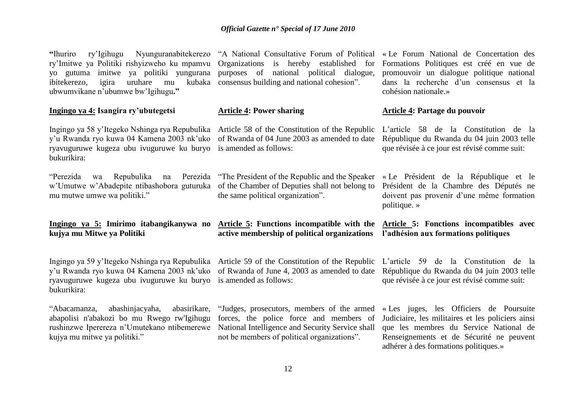**"**Ihuriro ry'Igihugu Nyunguranabitekerezo "A National Consultative Forum of Political « Le Forum National de Concertation des ry'Imitwe ya Politiki rishyizweho ku mpamvu yo gutuma imitwe ya politiki yungurana purposes of national political dialogue, ibitekerezo, igira uruhare mu ubwumvikane n'ubumwe bw'Igihugu**."** 

#### **Ingingo ya 4: Isangira ry"ubutegetsi**

Ingingo ya 58 y'Itegeko Nshinga rya Repubulika Article 58 of the Constitution of the Republic y'u Rwanda ryo kuwa 04 Kamena 2003 nk'uko of Rwanda of 04 June 2003 as amended to date ryavuguruwe kugeza ubu ivuguruwe ku buryo is amended as follows: bukurikira:

"Perezida wa Repubulika na Perezida w'Umutwe w'Abadepite ntibashobora guturuka of the Chamber of Deputies shall not belong to mu mutwe umwe wa politiki."

#### **Ingingo ya 5: Imirimo itabangikanywa no Article 5: Functions incompatible with the kujya mu Mitwe ya Politiki**

y'u Rwanda ryo kuwa 04 Kamena 2003 nk'uko of Rwanda of June 4, 2003 as amended to date République du Rwanda du 04 juin 2003 telle ryavuguruwe kugeza ubu ivuguruwe ku buryo is amended as follows: bukurikira:

"Abacamanza, abashinjacyaha, abasirikare, abapolisi n'abakozi bo mu Rwego rw'Igihugu rushinzwe Iperereza n'Umutekano ntibemerewe National Intelligence and Security Service shall kujya mu mitwe ya politiki."

Organizations is hereby established for consensus building and national cohesion".

#### **Article 4: Power sharing**

Perezida "The President of the Republic and the Speaker" the same political organization".

**active membership of political organizations l"adhésion aux formations politiques**

"Judges, prosecutors, members of the armed forces, the police force and members of not be members of political organizations".

Formations Politiques est créé en vue de promouvoir un dialogue politique national dans la recherche d'un consensus et la cohésion nationale.»

#### **Article 4: Partage du pouvoir**

L'article 58 de la Constitution de la République du Rwanda du 04 juin 2003 telle que révisée à ce jour est révisé comme suit:

« Le Président de la République et le Président de la Chambre des Députés ne doivent pas provenir d'une même formation politique. »

# **Article 5: Fonctions incompatibles avec**

Ingingo ya 59 y'Itegeko Nshinga rya Repubulika Article 59 of the Constitution of the Republic L'article 59 de la Constitution de la que révisée à ce jour est révisé comme suit:

> « Les juges, les Officiers de Poursuite Judiciaire, les militaires et les policiers ainsi que les membres du Service National de Renseignements et de Sécurité ne peuvent adhérer à des formations politiques.»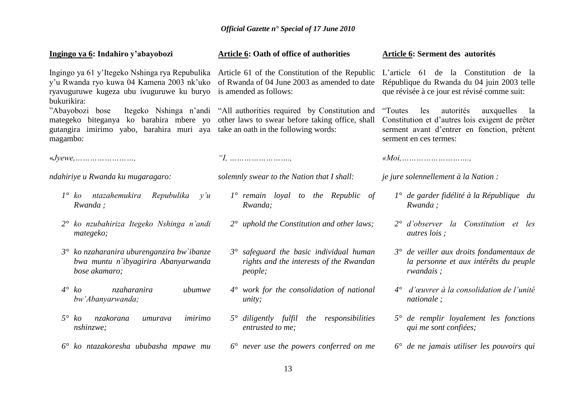| Ingingo ya 6: Indahiro y'abayobozi                                                                                                                                                                       | Article 6: Oath of office of authorities                                                             | Article 6: Serment des autorités                                                                                                                                               |
|----------------------------------------------------------------------------------------------------------------------------------------------------------------------------------------------------------|------------------------------------------------------------------------------------------------------|--------------------------------------------------------------------------------------------------------------------------------------------------------------------------------|
| Ingingo ya 61 y'Itegeko Nshinga rya Repubulika Article 61 of the Constitution of the Republic<br>y'u Rwanda ryo kuwa 04 Kamena 2003 nk'uko<br>ryavuguruwe kugeza ubu ivuguruwe ku buryo<br>bukurikira:   | of Rwanda of 04 June 2003 as amended to date<br>is amended as follows:                               | L'article 61 de la Constitution de la<br>République du Rwanda du 04 juin 2003 telle<br>que révisée à ce jour est révisé comme suit:                                            |
| "Abayobozi bose<br>mategeko biteganya ko barahira mbere yo other laws to swear before taking office, shall<br>gutangira imirimo yabo, barahira muri aya take an oath in the following words:<br>magambo: | Itegeko Nshinga n'andi "All authorities required by Constitution and                                 | autorités<br>"Toutes"<br>les<br>auxquelles<br>- la<br>Constitution et d'autres lois exigent de prêter<br>serment avant d'entrer en fonction, prêtent<br>serment en ces termes: |
| $\kappa$ Jyewe,        ,                                                                                                                                                                                 | $T_1$                                                                                                |                                                                                                                                                                                |
| ndahiriye u Rwanda ku mugaragaro:                                                                                                                                                                        | solemnly swear to the Nation that I shall:                                                           | je jure solennellement à la Nation :                                                                                                                                           |
| $1^\circ$ ko ntazahemukira<br>Repubulika y'u<br>Rwanda;                                                                                                                                                  | $1^\circ$ remain loyal to the Republic of<br>Rwanda;                                                 | $1^{\circ}$ de garder fidélité à la République du<br>Rwanda;                                                                                                                   |
| 2° ko nzubahiriza Itegeko Nshinga n'andi<br>mategeko;                                                                                                                                                    | $2^{\circ}$ uphold the Constitution and other laws;                                                  | $2^{\circ}$ d'observer la Constitution et les<br><i>autres lois</i> ;                                                                                                          |
| $3^{\circ}$ ko nzaharanira uburenganzira bw`ibanze<br>bwa muntu n'ibyagirira Abanyarwanda<br>bose akamaro;                                                                                               | $3^\circ$ safeguard the basic individual human<br>rights and the interests of the Rwandan<br>people; | $3^{\circ}$ de veiller aux droits fondamentaux de<br>la personne et aux intérêts du peuple<br>rwandais;                                                                        |
| $4^\circ$ ko<br>nzaharanira<br>ubumwe<br>bw'Abanyarwanda;                                                                                                                                                | $4^{\circ}$ work for the consolidation of national<br>unity;                                         | $4^{\circ}$ d'œuvrer à la consolidation de l'unité<br><i>nationale</i> ;                                                                                                       |
| $5^\circ$<br>nzakorana<br>ko<br>imirimo<br>umurava<br>nshinzwe;                                                                                                                                          | $5^\circ$ diligently fulfil the responsibilities<br>entrusted to me;                                 | $5^\circ$ de remplir loyalement les fonctions<br>qui me sont confiées;                                                                                                         |
| $6^{\circ}$ ko ntazakoresha ububasha mpawe mu                                                                                                                                                            | $6^\circ$ never use the powers conferred on me                                                       | $6^{\circ}$ de ne jamais utiliser les pouvoirs qui                                                                                                                             |
|                                                                                                                                                                                                          | 12                                                                                                   |                                                                                                                                                                                |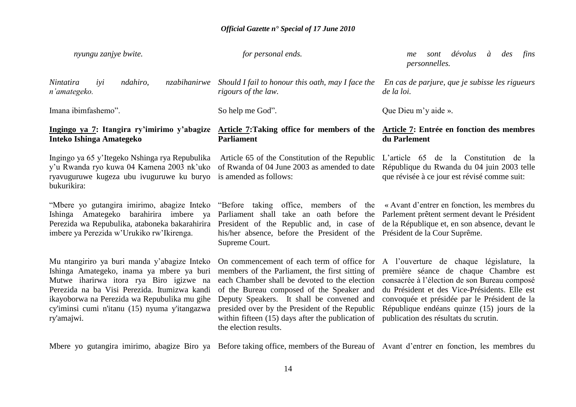| nyungu zanjye bwite.                                                                                                                                                                                                                                                                                | for personal ends.                                                                                                                                                                                                                                                                                                                                                         | dévolus<br>à<br>des<br>fins<br>sont<br>me<br><i>personnelles.</i>                                                                                                                                                                                                                                                        |
|-----------------------------------------------------------------------------------------------------------------------------------------------------------------------------------------------------------------------------------------------------------------------------------------------------|----------------------------------------------------------------------------------------------------------------------------------------------------------------------------------------------------------------------------------------------------------------------------------------------------------------------------------------------------------------------------|--------------------------------------------------------------------------------------------------------------------------------------------------------------------------------------------------------------------------------------------------------------------------------------------------------------------------|
| Nintatira<br>ndahiro,<br>nzabihanirwe<br>iyi<br>n'amategeko.                                                                                                                                                                                                                                        | Should I fail to honour this oath, may I face the<br>rigours of the law.                                                                                                                                                                                                                                                                                                   | En cas de parjure, que je subisse les rigueurs<br>de la loi.                                                                                                                                                                                                                                                             |
| Imana ibimfashemo".                                                                                                                                                                                                                                                                                 | So help me God".                                                                                                                                                                                                                                                                                                                                                           | Que Dieu m'y aide ».                                                                                                                                                                                                                                                                                                     |
| Ingingo ya 7: Itangira ry'imirimo y'abagize<br>Inteko Ishinga Amategeko                                                                                                                                                                                                                             | <b>Article 7: Taking office for members of the</b><br><b>Parliament</b>                                                                                                                                                                                                                                                                                                    | Article 7: Entrée en fonction des membres<br>du Parlement                                                                                                                                                                                                                                                                |
| Ingingo ya 65 y'Itegeko Nshinga rya Repubulika<br>y'u Rwanda ryo kuwa 04 Kamena 2003 nk'uko<br>ryavuguruwe kugeza ubu ivuguruwe ku buryo<br>bukurikira:                                                                                                                                             | Article 65 of the Constitution of the Republic<br>of Rwanda of 04 June 2003 as amended to date<br>is amended as follows:                                                                                                                                                                                                                                                   | L'article 65 de la Constitution de la<br>République du Rwanda du 04 juin 2003 telle<br>que révisée à ce jour est révisé comme suit:                                                                                                                                                                                      |
| "Mbere yo gutangira imirimo, abagize Inteko<br>Ishinga Amategeko barahirira imbere ya<br>Perezida wa Repubulika, ataboneka bakarahirira<br>imbere ya Perezida w'Urukiko rw'Ikirenga.                                                                                                                | "Before taking office, members of the «Avant d'entrer en fonction, les membres du<br>Parliament shall take an oath before the<br>President of the Republic and, in case of<br>his/her absence, before the President of the Président de la Cour Suprême.<br>Supreme Court.                                                                                                 | Parlement prêtent serment devant le Président<br>de la République et, en son absence, devant le                                                                                                                                                                                                                          |
| Mu ntangiriro ya buri manda y'abagize Inteko<br>Ishinga Amategeko, inama ya mbere ya buri<br>Mutwe iharirwa itora rya Biro igizwe na<br>Perezida na ba Visi Perezida. Itumizwa kandi<br>ikayoborwa na Perezida wa Repubulika mu gihe<br>cy'iminsi cumi n'itanu (15) nyuma y'itangazwa<br>ry'amajwi. | On commencement of each term of office for<br>members of the Parliament, the first sitting of<br>each Chamber shall be devoted to the election<br>of the Bureau composed of the Speaker and<br>Deputy Speakers. It shall be convened and<br>presided over by the President of the Republic<br>within fifteen $(15)$ days after the publication of<br>the election results. | A l'ouverture de chaque législature, la<br>première séance de chaque Chambre est<br>consacrée à l'élection de son Bureau composé<br>du Président et des Vice-Présidents. Elle est<br>convoquée et présidée par le Président de la<br>République endéans quinze (15) jours de la<br>publication des résultats du scrutin. |

Mbere yo gutangira imirimo, abagize Biro ya Before taking office, members of the Bureau of Avant d'entrer en fonction, les membres du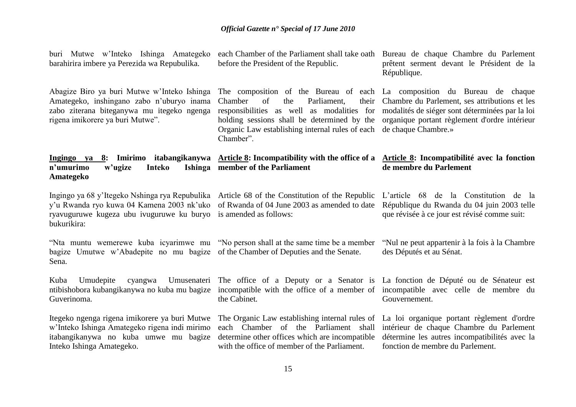buri Mutwe w'Inteko Ishinga Amategeko barahirira imbere ya Perezida wa Repubulika.

Abagize Biro ya buri Mutwe w'Inteko Ishinga Amategeko, inshingano zabo n'uburyo inama zabo ziterana biteganywa mu itegeko ngenga rigena imikorere ya buri Mutwe".

n'umurimo w'ugize Inteko **Amategeko member of the Parliament**

ryavuguruwe kugeza ubu ivuguruwe ku buryo is amended as follows: bukurikira:

"Nta muntu wemerewe kuba icyarimwe mu "No person shall at the same time be a member bagize Umutwe w'Abadepite no mu bagize of the Chamber of Deputies and the Senate. Sena.

Kuba Umudepite cyangwa Umusenateri The office of a Deputy or a Senator is La fonction de Député ou de Sénateur est ntibishobora kubangikanywa no kuba mu bagize incompatible with the office of a member of incompatible avec celle de membre du Guverinoma.

Itegeko ngenga rigena imikorere ya buri Mutwe The Organic Law establishing internal rules of w'Inteko Ishinga Amategeko rigena indi mirimo itabangikanywa no kuba umwe mu bagize determine other offices which are incompatible Inteko Ishinga Amategeko.

before the President of the Republic.

The composition of the Bureau of each La composition du Bureau de chaque Chamber of the Parliament, Organic Law establishing internal rules of each de chaque Chambre.» Chamber".

each Chamber of the Parliament shall take oath Bureau de chaque Chambre du Parlement prêtent serment devant le Président de la République.

responsibilities as well as modalities for modalités de siéger sont déterminées par la loi holding sessions shall be determined by the organique portant règlement d'ordre intérieur Chambre du Parlement, ses attributions et les

#### Ingingo ya 8: Imirimo itabangikanywa Article 8: Incompatibility with the office of a Article 8: Incompatibilité avec la fonction **de membre du Parlement**

Ingingo ya 68 y'Itegeko Nshinga rya Repubulika Article 68 of the Constitution of the Republic L'article 68 de la Constitution de la y'u Rwanda ryo kuwa 04 Kamena 2003 nk'uko of Rwanda of 04 June 2003 as amended to date

République du Rwanda du 04 juin 2003 telle que révisée à ce jour est révisé comme suit:

"Nul ne peut appartenir à la fois à la Chambre des Députés et au Sénat.

Gouvernement.

each Chamber of the Parliament shall with the office of member of the Parliament.

La loi organique portant règlement d'ordre intérieur de chaque Chambre du Parlement détermine les autres incompatibilités avec la fonction de membre du Parlement.

the Cabinet*.*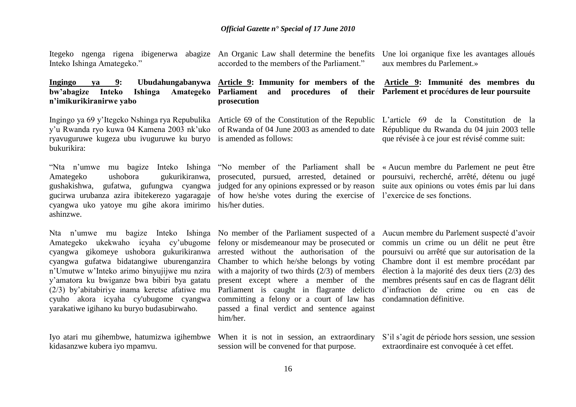Itegeko ngenga rigena ibigenerwa abagize An Organic Law shall determine the benefits Inteko Ishinga Amategeko."

#### **Ingingo ya 9: Ubudahungabanywa Article 9: Immunity for members of the bw"abagize Inteko Ishinga Amategeko Parliament and procedures of their Parlement et proc**é**dures de leur poursuite n"imikurikiranirwe yabo**

Ingingo ya 69 y'Itegeko Nshinga rya Repubulika Article 69 of the Constitution of the Republic L'article 69 de la Constitution de la y'u Rwanda ryo kuwa 04 Kamena 2003 nk'uko of Rwanda of 04 June 2003 as amended to date République du Rwanda du 04 juin 2003 telle ryavuguruwe kugeza ubu ivuguruwe ku buryo is amended as follows: bukurikira:

Amategeko ushobora gukurikiranwa, prosecuted, pursued, arrested, detained or poursuivi, recherché, arrêté, détenu ou jugé gushakishwa, gufatwa, gufungwa cyangwa judged for any opinions expressed or by reason suite aux opinions ou votes émis par lui dans gucirwa urubanza azira ibitekerezo yagaragaje of how he/she votes during the exercise of l'exercice de ses fonctions. cyangwa uko yatoye mu gihe akora imirimo his/her duties. ashinzwe.

Amategeko ukekwaho icyaha cy'ubugome felony or misdemeanour may be prosecuted or commis un crime ou un délit ne peut être cyangwa gikomeye ushobora gukurikiranwa arrested without the authorisation of the poursuivi ou-arrêté-que-sur-autorisation-de-la cyangwa gufatwa bidatangiwe uburenganzira Chamber to which he/she belongs by voting Chambre dont il est membre procédant par n'Umutwe w'Inteko arimo binyujijwe mu nzira with a majority of two thirds (2/3) of members élection à la majorité des deux tiers (2/3) des y'amatora ku bwiganze bwa bibiri bya gatatu present except where a member of the membres présents sauf en cas de flagrant délit (2/3) by'abitabiriye inama keretse afatiwe mu Parliament is caught in flagrante delicto cyuho akora icyaha cy'ubugome cyangwa yarakatiwe igihano ku buryo budasubirwaho.

Iyo atari mu gihembwe, hatumizwa igihembwe When it is not in session, an extraordinary kidasanzwe kubera iyo mpamvu.

accorded to the members of the Parliament."

Une loi organique fixe les avantages alloués aux membres du Parlement.»

## **prosecution Article 9: Immunité des membres du**

"Nta n'umwe mu bagize Inteko Ishinga "No member of the Parliament shall be « Aucun membre du Parlement ne peut être

que révisée à ce jour est révisé comme suit:

Nta n'umwe mu bagize Inteko Ishinga No member of the Parliament suspected of a Aucun membre du Parlement suspecté d'avoir committing a felony or a court of law has condamnation définitive. passed a final verdict and sentence against him/her.

d'infraction de crime ou en cas de

session will be convened for that purpose.

S'il s'agit de période hors session, une session extraordinaire est convoquée à cet effet.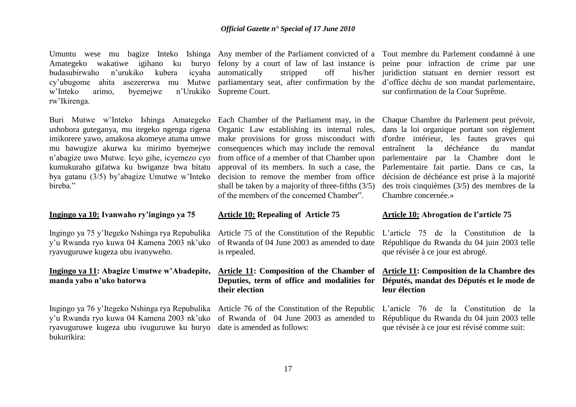Umuntu wese mu bagize Inteko Ishinga Any member of the Parliament convicted of a Tout membre du Parlement condamné à une Amategeko wakatiwe igihano ku buryo felony by a court of law of last instance is peine pour infraction de crime par une budasubirwaho n'urukiko kubera cy'ubugome ahita asezererwa mu Mutwe parliamentary seat, after confirmation by the d'office déchu de son mandat parlementaire, w'Inteko arimo, byemejwe n'Urukiko Supreme Court. rw'Ikirenga.

ushobora guteganya, mu itegeko ngenga rigena imikorere yawo, amakosa akomeye atuma umwe mu bawugize akurwa ku mirimo byemejwe n'abagize uwo Mutwe. Icyo gihe, icyemezo cyo kumukuraho gifatwa ku bwiganze bwa bitatu bya gatanu (3/5) by'abagize Umutwe w'Inteko hireha<sup>"</sup>

#### **Ingingo ya 10: Ivanwaho ry"ingingo ya 75**

Ingingo ya 75 y'Itegeko Nshinga rya Repubulika Article 75 of the Constitution of the Republic y'u Rwanda ryo kuwa 04 Kamena 2003 nk'uko ryavuguruwe kugeza ubu ivanyweho.

#### **Ingingo ya 11: Abagize Umutwe w"Abadepite, manda yabo n"uko batorwa**

Ingingo ya 76 y'Itegeko Nshinga rya Repubulika Article 76 of the Constitution of the Republic y'u Rwanda ryo kuwa 04 Kamena 2003 nk'uko ryavuguruwe kugeza ubu ivuguruwe ku buryo date is amended as follows: bukurikira:

icvaha automatically stripped off

Buri Mutwe w'Inteko Ishinga Amategeko Each Chamber of the Parliament may, in the Chaque Chambre du Parlement peut prévoir, Organic Law establishing its internal rules, make provisions for gross misconduct with consequences which may include the removal from office of a member of that Chamber upon approval of its members. In such a case, the decision to remove the member from office shall be taken by a majority of three-fifths (3/5) of the members of the concerned Chamber".

#### **Article 10: Repealing of Article 75**

of Rwanda of 04 June 2003 as amended to date is repealed.

#### **Article 11: Composition of the Chamber of Deputies, term of office and modalities for their election**

of Rwanda of 04 June 2003 as amended to

his/her juridiction statuant en dernier ressort est sur confirmation de la Cour Suprême.

> dans la loi organique portant son règlement d'ordre intérieur, les fautes graves qui entraînent la déchéance du mandat parlementaire par la Chambre dont le Parlementaire fait partie. Dans ce cas, la décision de déchéance est prise à la majorité des trois cinquièmes (3/5) des membres de la Chambre concernée.»

#### **Article 10: Abrogation de l"article 75**

L'article 75 de la Constitution de la République du Rwanda du 04 juin 2003 telle que révisée à ce jour est abrogé.

#### **Article 11: Composition de la Chambre des Députés, mandat des Députés et le mode de leur élection**

L'article 76 de la Constitution de la République du Rwanda du 04 juin 2003 telle que révisée à ce jour est révisé comme suit: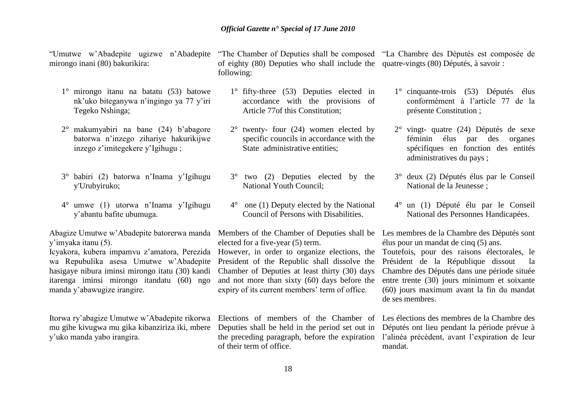mirongo inani (80) bakurikira:

- 1° mirongo itanu na batatu (53) batowe nk'uko biteganywa n'ingingo ya 77 y'iri Tegeko Nshinga;
- 2° makumyabiri na bane (24) b'abagore batorwa n'inzego zihariye hakurikijwe inzego z'imitegekere y'Igihugu ;
- 3° babiri (2) batorwa n'Inama y'Igihugu y'Urubyiruko;
- 4° umwe (1) utorwa n'Inama y'Igihugu y'abantu bafite ubumuga.

Abagize Umutwe w'Abadepite batorerwa manda Members of the Chamber of Deputies shall be Les membres de la Chambre des Députés sont y'imyaka itanu (5).

wa Repubulika asesa Umutwe w'Abadepite President of the Republic shall dissolve the hasigaye nibura iminsi mirongo itatu (30) kandi Chamber of Deputies at least thirty (30) days itarenga iminsi mirongo itandatu (60) ngo manda y'abawugize irangire.

Itorwa ry'abagize Umutwe w'Abadepite rikorwa Elections of members of the Chamber of Les élections des membres de la Chambre des mu gihe kivugwa mu gika kibanziriza iki, mbere y'uko manda yabo irangira.

of eighty (80) Deputies who shall include the quatre-vingts (80) Députés, à savoir : following:

- 1° fifty-three (53) Deputies elected in accordance with the provisions of Article 77of this Constitution;
- $2^{\circ}$  twenty- four (24) women elected by specific councils in accordance with the State administrative entities;
- 3° two (2) Deputies elected by the National Youth Council;
- 4° one (1) Deputy elected by the National Council of Persons with Disabilities.

elected for a five-year (5) term.

Icyakora, kubera impamvu z'amatora, Perezida However, in order to organize elections, the Toutefois, pour des raisons électorales, le and not more than sixty (60) days before the expiry of its current members' term of office.

> Deputies shall be held in the period set out in Députés ont lieu pendant la période prévue à the preceding paragraph, before the expiration l'alinéa précédent, avant l'expiration de leur of their term of office.

"Umutwe w'Abadepite ugizwe n'Abadepite "The Chamber of Deputies shall be composed "La Chambre des Députés est composée de

- 1° cinquante-trois (53) Députés élus conformément à l'article 77 de la présente Constitution ;
- 2° vingt- quatre (24) Députés de sexe féminin élus par des organes spécifiques en fonction des entités administratives du pays ;
- 3° deux (2) Députés élus par le Conseil National de la Jeunesse ;
- 4° un (1) Député élu par le Conseil National des Personnes Handicapées.

élus pour un mandat de cinq (5) ans.

Président de la République dissout la Chambre des Députés dans une période située entre trente (30) jours minimum et soixante (60) jours maximum avant la fin du mandat de ses membres.

mandat.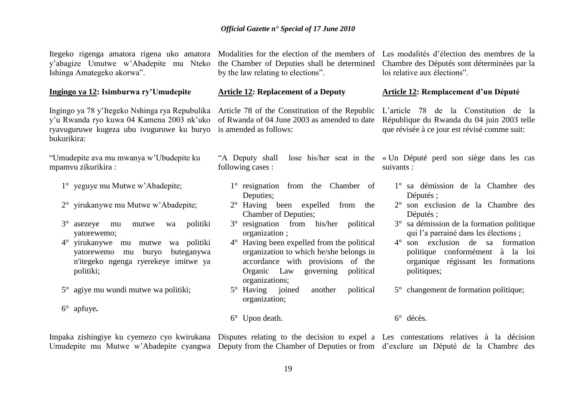Itegeko rigenga amatora rigena uko amatora Modalities for the election of the members of Les modalités d'élection des membres de la y'abagize Umutwe w'Abadepite mu Nteko Ishinga Amategeko akorwa".

#### **Ingingo ya 12: Isimburwa ry"Umudepite**

Ingingo ya 78 y'Itegeko Nshinga rya Repubulika Article 78 of the Constitution of the Republic y'u Rwanda ryo kuwa 04 Kamena 2003 nk'uko of Rwanda of 04 June 2003 as amended to date ryavuguruwe kugeza ubu ivuguruwe ku buryo is amended as follows: bukurikira:

"Umudepite ava mu mwanya w'Ubudepite ku mpamvu zikurikira :

- 1° yeguye mu Mutwe w'Abadepite;
- 2° yirukanywe mu Mutwe w'Abadepite;
- 3° asezeye mu mutwe wa politiki yatorewemo;
- 4° yirukanywe mu mutwe wa politiki yatorewemo mu buryo buteganywa n'itegeko ngenga ryerekeye imitwe ya politiki;
- 5° agiye mu wundi mutwe wa politiki;
- 6° apfuye**.**

the Chamber of Deputies shall be determined by the law relating to elections".

#### **Article 12: Replacement of a Deputy**

following cases :

- 1° resignation from the Chamber of Deputies;
- 2° Having been expelled from the Chamber of Deputies;
- 3° resignation from his/her political organization ;
- 4° Having been expelled from the political organization to which he/she belongs in accordance with provisions of the Organic Law governing political organizations;
- 5° Having joined another political organization;

Chambre des Députés sont déterminées par la loi relative aux élections".

#### **Article 12: Remplacement d"un Député**

L'article 78 de la Constitution de la République du Rwanda du 04 juin 2003 telle que révisée à ce jour est révisé comme suit:

"A Deputy shall lose his/her seat in the « Un Député perd son siège dans les cas suivants :

- 1° sa démission de la Chambre des Députés ;
- 2° son exclusion de la Chambre des Députés ;
- 3° sa démission de la formation politique qui l'a parrainé dans les élections ;
- 4° son exclusion de sa formation politique conformément à la loi organique régissant les formations politiques;
- 5° changement de formation politique;
- 6° Upon death. 6° décès.

Impaka zishingiye ku cyemezo cyo kwirukana Disputes relating to the decision to expel a Les contestations relatives à la décision Umudepite mu Mutwe w'Abadepite cyangwa Deputy from the Chamber of Deputies or from d'exclure un Député de la Chambre des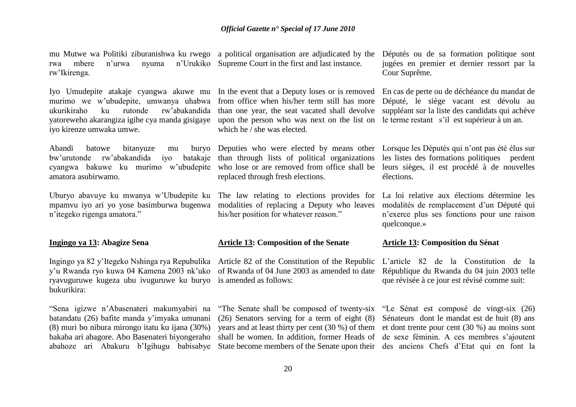rwa mbere n'urwa nyuma n'Urukiko Supreme Court in the first and last instance. rw'Ikirenga.

murimo we w'ubudepite, umwanya uhabwa ukurikiraho ku rutonde rw'abakandida yatoreweho akarangiza igihe cya manda gisigaye iyo kirenze umwaka umwe.

Abandi batowe bitanyuze mu bw'urutonde rw'abakandida iyo batakaje cyangwa bakuwe ku murimo w'ubudepite who lose or are removed from office shall be amatora asubirwamo.

mpamvu iyo ari yo yose basimburwa bugenwa modalities of replacing a Deputy who leaves n'itegeko rigenga amatora."

#### **Ingingo ya 13: Abagize Sena**

y'u Rwanda ryo kuwa 04 Kamena 2003 nk'uko of Rwanda of 04 June 2003 as amended to date ryavuguruwe kugeza ubu ivuguruwe ku buryo is amended as follows: bukurikira:

"Sena igizwe n'Abasenateri makumyabiri na batandatu (26) bafite manda y'imyaka umunani (8) muri bo nibura mirongo itatu ku ijana (30%) bakaba ari abagore. Abo Basenateri biyongeraho abahoze ari Abakuru b'Igihugu babisabye State become members of the Senate upon their des anciens Chefs d'Etat qui en font la

mu Mutwe wa Politiki ziburanishwa ku rwego a political organisation are adjudicated by the

Iyo Umudepite atakaje cyangwa akuwe mu In the event that a Deputy loses or is removed from office when his/her term still has more than one year, the seat vacated shall devolve upon the person who was next on the list on le terme restant s'il est supérieur à un an. which he / she was elected.

> than through lists of political organizations replaced through fresh elections.

his/her position for whatever reason."

#### **Article 13: Composition of the Senate**

Ingingo ya 82 y'Itegeko Nshinga rya Repubulika Article 82 of the Constitution of the Republic

"The Senate shall be composed of twenty-six "Le Sénat est composé de vingt-six (26) (26) Senators serving for a term of eight (8) years and at least thirty per cent (30 %) of them shall be women. In addition, former Heads of de sexe féminin. A ces membres s'ajoutent

Députés ou de sa formation politique sont jugées en premier et dernier ressort par la Cour Suprême*.*

En cas de perte ou de déchéance du mandat de Député, le siège vacant est dévolu au suppléant sur la liste des candidats qui achève

Deputies who were elected by means other Lorsque les Députés qui n'ont pas été élus sur les listes des formations politiques perdent leurs sièges, il est procédé à de nouvelles élections.

Uburyo abavuye ku mwanya w'Ubudepite ku The law relating to elections provides for La loi relative aux élections détermine les modalités de remplacement d'un Député qui n'exerce plus ses fonctions pour une raison quelconque.»

#### **Article 13: Composition du Sénat**

L'article 82 de la Constitution de la République du Rwanda du 04 juin 2003 telle que révisée à ce jour est révisé comme suit:

Sénateurs dont le mandat est de huit (8) ans et dont trente pour cent (30 %) au moins sont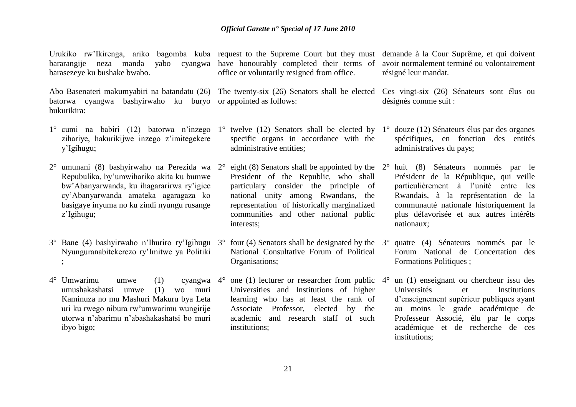Urukiko rw'Ikirenga, ariko bagomba kuba request to the Supreme Court but they must demande à la Cour Suprême, et qui doivent barasezeye ku bushake bwabo.

Abo Basenateri makumyabiri na batandatu (26) The twenty-six (26) Senators shall be elected Ces vingt-six (26) Sénateurs sont élus ou batorwa cyangwa bashyirwaho ku buryo or appointed as follows: bukurikira:

- 1° cumi na babiri (12) batorwa n'inzego 1° twelve (12) Senators shall be elected by 1° douze (12) Sénateurs élus par des organes zihariye, hakurikijwe inzego z'imitegekere y'Igihugu;
- 2° umunani (8) bashyirwaho na Perezida wa Repubulika, by'umwihariko akita ku bumwe bw'Abanyarwanda, ku ihagararirwa ry'igice cy'Abanyarwanda amateka agaragaza ko basigaye inyuma no ku zindi nyungu rusange z'Igihugu;
- 3° Bane (4) bashyirwaho n'Ihuriro ry'Igihugu 3° four (4) Senators shall be designated by the Nyunguranabitekerezo ry'Imitwe ya Politiki ;
- $4^{\circ}$  Umwarimu umwe (1) umushakashatsi umwe (1) wo muri Kaminuza no mu Mashuri Makuru bya Leta uri ku rwego nibura rw'umwarimu wungirije utorwa n'abarimu n'abashakashatsi bo muri ibyo bigo;

bararangije neza manda yabo cyangwa have honourably completed their terms of office or voluntarily resigned from office.

- specific organs in accordance with the administrative entities;
- $2^{\circ}$  eight (8) Senators shall be appointed by the  $2^{\circ}$  huit (8) Sénateurs nommés par le President of the Republic, who shall particulary consider the principle of national unity among Rwandans, the representation of historically marginalized communities and other national public interests;
- National Consultative Forum of Political Organisations;
- cyangwa  $4^{\circ}$  one (1) lecturer or researcher from public  $4^{\circ}$ Universities and Institutions of higher learning who has at least the rank of Associate Professor, elected by the academic and research staff of such institutions;

avoir normalement terminé ou volontairement résigné leur mandat.

désignés comme suit :

- spécifiques, en fonction des entités administratives du pays;
- Président de la République, qui veille particulièrement à l'unité entre les Rwandais, à la représentation de la communauté nationale historiquement la plus défavorisée et aux autres intérêts nationaux;
- 3° quatre (4) Sénateurs nommés par le Forum National de Concertation des Formations Politiques ;
- 4° un (1) enseignant ou chercheur issu des Universités et Institutions d'enseignement supérieur publiques ayant au moins le grade académique de Professeur Associé, élu par le corps académique et de recherche de ces institutions;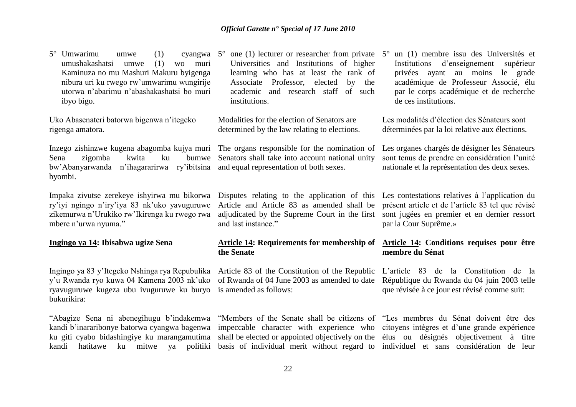$5^\circ$  Umwarimu umwe (1) umushakashatsi umwe (1) wo muri Kaminuza no mu Mashuri Makuru byigenga nibura uri ku rwego rw'umwarimu wungirije utorwa n'abarimu n'abashakashatsi bo muri ibyo bigo.

Uko Abasenateri batorwa bigenwa n'itegeko rigenga amatora.

Inzego zishinzwe kugena abagomba kujya muri The organs responsible for the nomination of Sena zigomba kwita ku bw'Abanyarwanda n'ihagararirwa ry'ibitsina and equal representation of both sexes. byombi.

Impaka zivutse zerekeye ishyirwa mu bikorwa ry'iyi ngingo n'iry'iya 83 nk'uko yavuguruwe zikemurwa n'Urukiko rw'Ikirenga ku rwego rwa mbere n'urwa nyuma."

#### **Ingingo ya 14: Ibisabwa ugize Sena**

Ingingo ya 83 y'Itegeko Nshinga rya Repubulika Article 83 of the Constitution of the Republic y'u Rwanda ryo kuwa 04 Kamena 2003 nk'uko of Rwanda of 04 June 2003 as amended to date ryavuguruwe kugeza ubu ivuguruwe ku buryo is amended as follows: bukurikira:

kandi hatitawe ku mitwe ya politiki basis of individual merit without regard to individuel et sans considération de leur

Universities and Institutions of higher learning who has at least the rank of Associate Professor, elected by the academic and research staff of such institutions.

Modalities for the election of Senators are determined by the law relating to elections.

bumwe Senators shall take into account national unity

Disputes relating to the application of this Les contestations relatives à l'application du Article and Article 83 as amended shall be présent article et de l'article 83 tel que révisé adjudicated by the Supreme Court in the first and last instance."

#### **Article 14: Requirements for membership of the Senate**

kandi b'inararibonye batorwa cyangwa bagenwa impeccable character with experience who citoyens intègres et d'une grande expérience ku giti cyabo bidashingiye ku marangamutima shall be elected or appointed objectively on the élus ou désignés objectivement à titre

5° one (1) lecturer or researcher from private 5° un (1) membre issu des Universités et Institutions d'enseignement supérieur privées ayant au moins le grade académique de Professeur Associé, élu par le corps académique et de recherche de ces institutions.

> Les modalités d'élection des Sénateurs sont déterminées par la loi relative aux élections.

Les organes chargés de désigner les Sénateurs sont tenus de prendre en considération l'unité nationale et la représentation des deux sexes.

sont jugées en premier et en dernier ressort par la Cour Suprême.»

#### **Article 14: Conditions requises pour être membre du Sénat**

L'article 83 de la Constitution de la République du Rwanda du 04 juin 2003 telle que révisée à ce jour est révisé comme suit:

"Abagize Sena ni abenegihugu b'indakemwa "Members of the Senate shall be citizens of "Les membres du Sénat doivent être des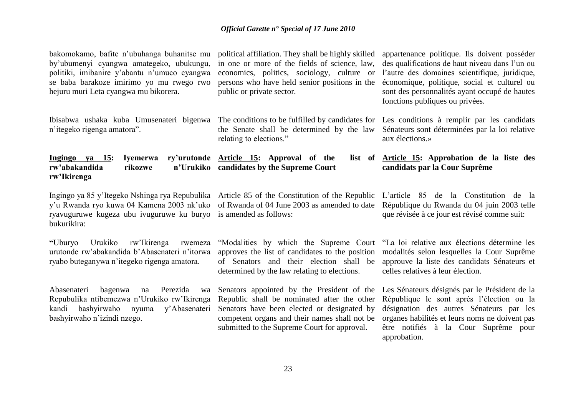bakomokamo, bafite n'ubuhanga buhanitse mu by'ubumenyi cyangwa amategeko, ubukungu, politiki, imibanire y'abantu n'umuco cyangwa se baba barakoze imirimo yo mu rwego rwo hejuru muri Leta cyangwa mu bikorera.

Ibisabwa ushaka kuba Umusenateri bigenwa The conditions to be fulfilled by candidates for Les conditions à remplir par les candidats n'itegeko rigenga amatora".

**Ingingo ya 15: Iyemerwa** rw'abakandida rikozwe **rw"Ikirenga** ry'urutonde Article 15: Approval of the **candidates by the Supreme Court**

Ingingo ya 85 y'Itegeko Nshinga rya Repubulika Article 85 of the Constitution of the Republic y'u Rwanda ryo kuwa 04 Kamena 2003 nk'uko of Rwanda of 04 June 2003 as amended to date ryavuguruwe kugeza ubu ivuguruwe ku buryo is amended as follows: bukurikira:

**"**Uburyo Urukiko rw'Ikirenga rwemeza urutonde rw'abakandida b'Abasenateri n'itorwa ryabo buteganywa n'itegeko rigenga amatora.

Abasenateri bagenwa na Perezida wa Repubulika ntibemezwa n'Urukiko rw'Ikirenga kandi bashyirwaho nyuma y'Abasenateri Senators have been elected or designated by bashyirwaho n'izindi nzego.

political affiliation. They shall be highly skilled in one or more of the fields of science, law, economics, politics, sociology, culture or persons who have held senior positions in the public or private sector.

the Senate shall be determined by the law relating to elections."

économique, politique, social et culturel ou sont des personnalités ayant occupé de hautes fonctions publiques ou privées.

Sénateurs sont déterminées par la loi relative aux élections.»

appartenance politique. Ils doivent posséder des qualifications de haut niveau dans l'un ou l'autre des domaines scientifique, juridique,

**Article 15: Approbation de la liste des candidats par la Cour Suprême**

L'article 85 de la Constitution de la République du Rwanda du 04 juin 2003 telle que révisée à ce jour est révisé comme suit:

"Modalities by which the Supreme Court approves the list of candidates to the position of Senators and their election shall be determined by the law relating to elections.

Senators appointed by the President of the Les Sénateurs désignés par le Président de la Republic shall be nominated after the other competent organs and their names shall not be submitted to the Supreme Court for approval.

"La loi relative aux élections détermine les modalités selon lesquelles la Cour Suprême approuve la liste des candidats Sénateurs et celles relatives à leur élection.

République le sont après l'élection ou la désignation des autres Sénateurs par les organes habilités et leurs noms ne doivent pas être notifiés à la Cour Suprême pour approbation.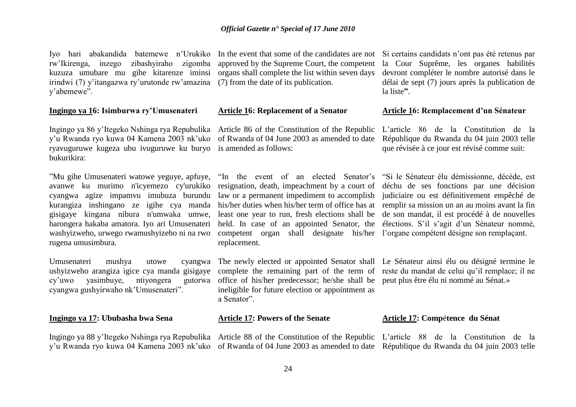Iyo hari abakandida batemewe n'Urukiko In the event that some of the candidates are not rw'Ikirenga, inzego zibashyiraho zigomba kuzuza umubare mu gihe kitarenze iminsi irindwi (7) y'itangazwa ry'urutonde rw'amazina (7) from the date of its publication. y'abemewe".

#### **Ingingo ya 16: Isimburwa ry"Umusenateri**

y'u Rwanda ryo kuwa 04 Kamena 2003 nk'uko of Rwanda of 04 June 2003 as amended to date ryavuguruwe kugeza ubu ivuguruwe ku buryo is amended as follows: bukurikira:

"Mu gihe Umusenateri watowe yeguye, apfuye, avanwe ku murimo n'icyemezo cy'urukiko cyangwa agize impamvu imubuza burundu law or a permanent impediment to accomplish judiciaire ou est définitivement empêché de kurangiza inshingano ze igihe cya manda his/her duties when his/her term of office has at remplir sa mission un an au moins avant la fin gisigaye kingana nibura n'umwaka umwe, harongera hakaba amatora. Iyo ari Umusenateri washyizweho, urwego rwamushyizeho ni na rwo rugena umusimbura*.* 

Umusenateri mushya utowe cyangwa ushyizweho arangiza igice cya manda gisigaye complete the remaining part of the term of reste du mandat de celui qu'il remplace; il ne cy'uwo yasimbuye, ntiyongera cyangwa gushyirwaho nk'Umusenateri".

#### **Ingingo ya 17: Ububasha bwa Sena**

Ingingo ya 88 y'Itegeko Nshinga rya Repubulika Article 88 of the Constitution of the Republic L'article 88 de la Constitution de la

approved by the Supreme Court, the competent organs shall complete the list within seven days

#### **Article 16: Replacement of a Senator**

Ingingo ya 86 y'Itegeko Nshinga rya Repubulika Article 86 of the Constitution of the Republic

resignation, death, impeachment by a court of déchu de ses fonctions par une décision least one year to run, fresh elections shall be de son mandat, il est procédé à de nouvelles held. In case of an appointed Senator, the élections. S'il s'agit d'un Sénateur nommé, competent organ shall designate his/her l'organe compétent désigne son remplaçant. replacement.

office of his/her predecessor; he/she shall be peut plus être élu ni nommé au Sénat.» ineligible for future election or appointment as a Senator".

#### **Article 17: Powers of the Senate**

Si certains candidats n'ont pas été retenus par la Cour Suprême, les organes habilités devront compléter le nombre autorisé dans le délai de sept (7) jours après la publication de la liste**"**.

#### **Article 16: Remplacement d"un Sénateur**

L'article 86 de la Constitution de la République du Rwanda du 04 juin 2003 telle que révisée à ce jour est révisé comme suit:

"In the event of an elected Senator's "Si le Sénateur élu démissionne, décède, est

The newly elected or appointed Senator shall Le Sénateur ainsi élu ou désigné termine le

#### **Article 17: Comp**é**tence du Sénat**

y'u Rwanda ryo kuwa 04 Kamena 2003 nk'uko of Rwanda of 04 June 2003 as amended to date République du Rwanda du 04 juin 2003 telle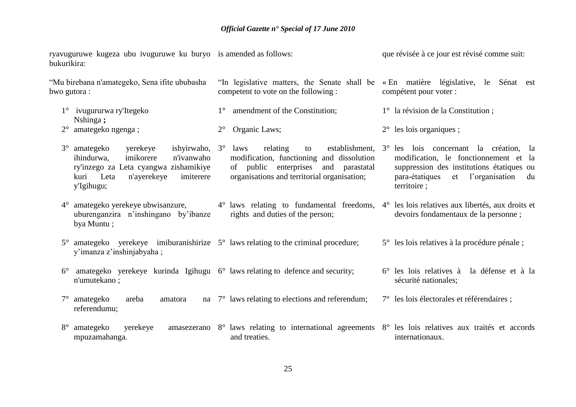ryavuguruwe kugeza ubu ivuguruwe ku buryo is amended as follows: bukurikira: "Mu birebana n'amategeko, Sena ifite ububasha bwo gutora : "In legislative matters, the Senate shall be « En matière législative, le Sénat est competent to vote on the following : que révisée à ce jour est révisé comme suit: compétent pour voter :

> modification, le fonctionnement et la suppression des institutions étatiques ou para-étatiques et l'organisation du

5° les lois relatives à la procédure pénale ;

7° les lois électorales et référendaires ;

6° les lois relatives à la défense et à la

territoire ;

sécurité nationales;

1° ivugururwa ry'Itegeko Nshinga **;** 1° amendment of the Constitution; 2° Organic Laws; 1° la révision de la Constitution ; 2° les lois organiques ;

2° amategeko ngenga ;

- 3° amategeko yerekeye ishyirwaho, ihindurwa, imikorere n'ivanwaho ry'inzego za Leta cyangwa zishamikiye kuri Leta n'ayerekeye imiterere y'Igihugu; 3° laws relating to establishment, 3° les lois concernant la création, la modification, functioning and dissolution of public enterprises and parastatal organisations and territorial organisation;
- 4° amategeko yerekeye ubwisanzure, uburenganzira n'inshingano by'ibanze bya Muntu ; 4° laws relating to fundamental freedoms, 4° les lois relatives aux libertés, aux droits et rights and duties of the person; devoirs fondamentaux de la personne ;
- 5° amategeko yerekeye imiburanishirize 5° laws relating to the criminal procedure; y'imanza z'inshinjabyaha ;
- 6° amategeko yerekeye kurinda Igihugu 6° laws relating to defence and security; n'umutekano ;
- 7° amategeko areba amatora na referendumu; na  $7^\circ$  laws relating to elections and referendum;
- 8° amategeko yerekeye amasezerano 8° laws relating to international agreements 8° les lois relatives aux traités et accords mpuzamahanga. and treaties. internationaux.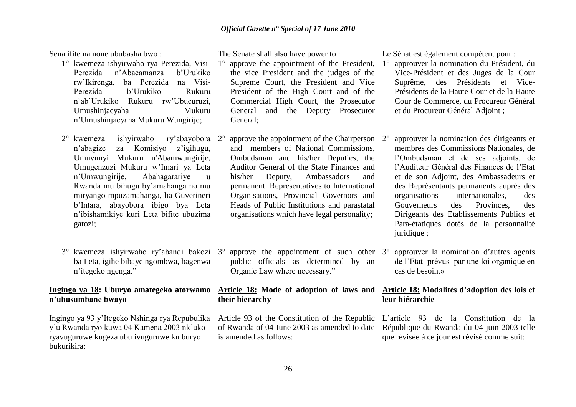Sena ifite na none ububasha bwo :

- 1° kwemeza ishyirwaho rya Perezida, Visi-Perezida n'Abacamanza b'Urukiko rw'Ikirenga, ba Perezida na Visi-Perezida b'Urukiko Rukuru n`ab`Urukiko Rukuru rw'Ubucuruzi, Umushinjacyaha Mukuru n'Umushinjacyaha Mukuru Wungirije;
- 2° kwemeza ishyirwaho ry'abayobora n'abagize za Komisiyo z'igihugu, Umuvunyi Mukuru n'Abamwungirije, Umugenzuzi Mukuru w'Imari ya Leta n'Umwungirije, Abahagarariye u Rwanda mu bihugu by'amahanga no mu miryango mpuzamahanga, ba Guverineri b'Intara, abayobora ibigo bya Leta n'ibishamikiye kuri Leta bifite ubuzima gatozi;
- 3° kwemeza ishyirwaho ry'abandi bakozi ba Leta, igihe bibaye ngombwa, bagenwa n'itegeko ngenga."

#### **Ingingo ya 18: Uburyo amategeko atorwamo n"ubusumbane bwayo**

Ingingo ya 93 y'Itegeko Nshinga rya Repubulika y'u Rwanda ryo kuwa 04 Kamena 2003 nk'uko ryavuguruwe kugeza ubu ivuguruwe ku buryo bukurikira:

The Senate shall also have power to :

- approve the appointment of the President, the vice President and the judges of the Supreme Court, the President and Vice President of the High Court and of the Commercial High Court, the Prosecutor General and the Deputy Prosecutor General;
- approve the appointment of the Chairperson  $2^{\circ}$ and members of National Commissions, Ombudsman and his/her Deputies, the Auditor General of the State Finances and his/her Deputy, Ambassadors and permanent Representatives to International Organisations, Provincial Governors and Heads of Public Institutions and parastatal organisations which have legal personality;
- approve the appointment of such other  $3^\circ$ public officials as determined by an Organic Law where necessary."

#### **Article 18: Mode of adoption of laws and Article 18: Modalités d"adoption des lois et their hierarchy**

Article 93 of the Constitution of the Republic of Rwanda of 04 June 2003 as amended to date is amended as follows:

Le Sénat est également compétent pour :

- 1° approuver la nomination du Président, du Vice-Président et des Juges de la Cour Suprême, des Présidents et Vice-Présidents de la Haute Cour et de la Haute Cour de Commerce, du Procureur Général et du Procureur Général Adjoint ;
- 2° approuver la nomination des dirigeants et membres des Commissions Nationales, de l'Ombudsman et de ses adjoints, de l'Auditeur Général des Finances de l'Etat et de son Adjoint, des Ambassadeurs et des Représentants permanents auprès des organisations internationales, des Gouverneurs des Provinces, des Dirigeants des Etablissements Publics et Para-étatiques dotés de la personnalité juridique ;
- 3° approuver la nomination d'autres agents de l'Etat prévus par une loi organique en cas de besoin.»

# **leur hiérarchie**

L'article 93 de la Constitution de la République du Rwanda du 04 juin 2003 telle que révisée à ce jour est révisé comme suit: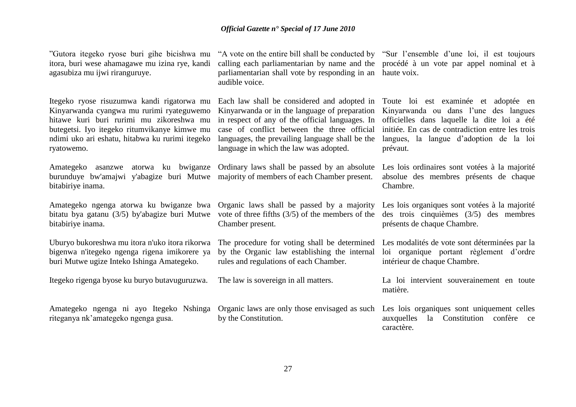"Gutora itegeko ryose buri gihe bicishwa mu itora, buri wese ahamagawe mu izina rye, kandi agasubiza mu ijwi riranguruye.

Itegeko ryose risuzumwa kandi rigatorwa mu Kinyarwanda cyangwa mu rurimi ryateguwemo hitawe kuri buri rurimi mu zikoreshwa mu butegetsi. Iyo itegeko ritumvikanye kimwe mu ndimi uko ari eshatu, hitabwa ku rurimi itegeko ryatowemo.

burunduye bw'amajwi y'abagize buri Mutwe majority of members of each Chamber present. bitabiriye inama.

Amategeko ngenga atorwa ku bwiganze bwa bitatu bya gatanu (3/5) by'abagize buri Mutwe bitabiriye inama.

Uburyo bukoreshwa mu itora n'uko itora rikorwa bigenwa n'itegeko ngenga rigena imikorere ya buri Mutwe ugize Inteko Ishinga Amategeko.

Itegeko rigenga byose ku buryo butavuguruzwa.

Amategeko ngenga ni ayo Itegeko Nshinga Organic laws are only those envisaged as such riteganya nk'amategeko ngenga gusa.

"A vote on the entire bill shall be conducted by "Sur l'ensemble d'une loi, il est toujours calling each parliamentarian by name and the procédé à un vote par appel nominal et à parliamentarian shall vote by responding in an audible voice.

Kinyarwanda or in the language of preparation in respect of any of the official languages. In case of conflict between the three official languages, the prevailing language shall be the language in which the law was adopted.

Amategeko asanzwe atorwa ku bwiganze Ordinary laws shall be passed by an absolute

Organic laws shall be passed by a majority vote of three fifths (3/5) of the members of the Chamber present.

The procedure for voting shall be determined by the Organic law establishing the internal rules and regulations of each Chamber.

The law is sovereign in all matters.

by the Constitution.

haute voix.

Each law shall be considered and adopted in Toute loi est examinée et adoptée en Kinyarwanda ou dans l'une des langues officielles dans laquelle la dite loi a été initiée. En cas de contradiction entre les trois langues, la langue d'adoption de la loi prévaut.

> Les lois ordinaires sont votées à la majorité absolue des membres présents de chaque Chambre.

> Les lois organiques sont votées à la majorité des trois cinquièmes (3/5) des membres présents de chaque Chambre.

> Les modalités de vote sont déterminées par la loi organique portant règlement d'ordre intérieur de chaque Chambre.

> La loi intervient souverainement en toute matière.

> Les lois organiques sont uniquement celles auxquelles la Constitution confère ce caractère.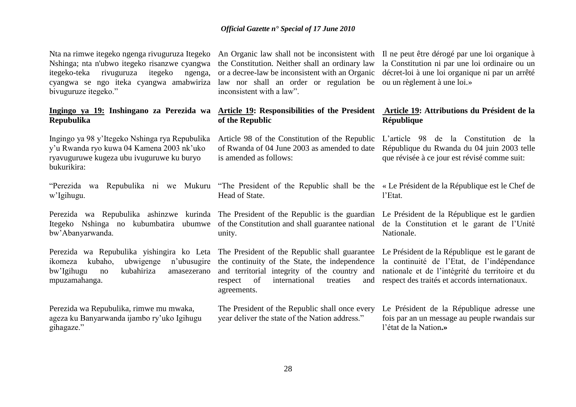Nshinga; nta n'ubwo itegeko risanzwe cyangwa itegeko-teka rivuguruza itegeko ngenga, cyangwa se ngo iteka cyangwa amabwiriza law nor shall an order or regulation be ou un règlement à une loi.» bivuguruze itegeko."

# **Repubulika**

Ingingo ya 98 y'Itegeko Nshinga rya Repubulika y'u Rwanda ryo kuwa 04 Kamena 2003 nk'uko ryavuguruwe kugeza ubu ivuguruwe ku buryo bukurikira:

w'Igihugu.

Itegeko Nshinga no kubumbatira ubumwe of the Constitution and shall guarantee national bw'Abanyarwanda.

ikomeza kubaho, ubwigenge n'ubusugire the continuity of the State, the independence bw'Igihugu no kubahiriza amasezerano and territorial integrity of the country and mpuzamahanga.

Perezida wa Repubulika, rimwe mu mwaka, ageza ku Banyarwanda ijambo ry'uko Igihugu gihagaze."

the Constitution. Neither shall an ordinary law or a decree-law be inconsistent with an Organic inconsistent with a law".

# **of the Republic**

Article 98 of the Constitution of the Republic of Rwanda of 04 June 2003 as amended to date is amended as follows:

"Perezida wa Repubulika ni we Mukuru "The President of the Republic shall be the « Le Président de la République est le Chef de Head of State.

Perezida wa Repubulika ashinzwe kurinda The President of the Republic is the guardian unity.

> respect of international treaties and agreements.

> The President of the Republic shall once every year deliver the state of the Nation address."

Nta na rimwe itegeko ngenga rivuguruza Itegeko An Organic law shall not be inconsistent with Il ne peut être dérogé par une loi organique à la Constitution ni par une loi ordinaire ou un décret-loi à une loi organique ni par un arrêté

#### **Ingingo ya 19: Inshingano za Perezida wa Article 19: Responsibilities of the President Article 19: Attributions du Président de la République**

L'article 98 de la Constitution de la République du Rwanda du 04 juin 2003 telle que révisée à ce jour est révisé comme suit:

l'Etat.

Le Président de la République est le gardien de la Constitution et le garant de l'Unité Nationale.

Perezida wa Repubulika yishingira ko Leta The President of the Republic shall guarantee Le Président de la République est le garant de la continuité de l'Etat, de l'indépendance nationale et de l'intégrité du territoire et du respect des traités et accords internationaux.

> Le Président de la République adresse une fois par an un message au peuple rwandais sur l'état de la Nation**.»**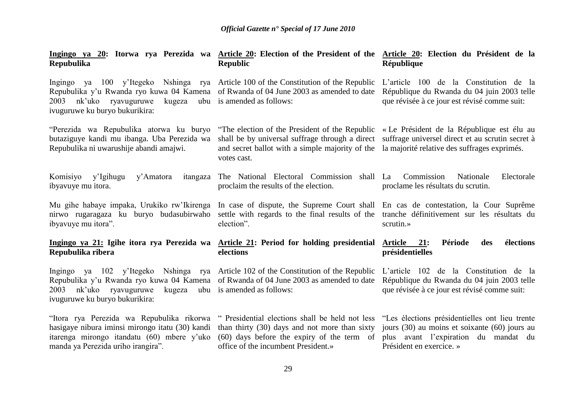| Ingingo ya 20: Itorwa rya Perezida wa Article 20: Election of the President of the Article 20: Election du Président de la<br><b>Repubulika</b>                                                                                                                                                                                       | <b>Republic</b>                                                                                                                                                                                                                                                                                              | République                                                                                 |
|---------------------------------------------------------------------------------------------------------------------------------------------------------------------------------------------------------------------------------------------------------------------------------------------------------------------------------------|--------------------------------------------------------------------------------------------------------------------------------------------------------------------------------------------------------------------------------------------------------------------------------------------------------------|--------------------------------------------------------------------------------------------|
| Ingingo ya 100 y'Itegeko Nshinga rya Article 100 of the Constitution of the Republic L'article 100 de la Constitution de la<br>Repubulika y'u Rwanda ryo kuwa 04 Kamena of Rwanda of 04 June 2003 as amended to date<br>nk'uko ryavuguruwe<br>kugeza<br>2003<br>ivuguruwe ku buryo bukurikira:                                        | ubu is amended as follows:                                                                                                                                                                                                                                                                                   | République du Rwanda du 04 juin 2003 telle<br>que révisée à ce jour est révisé comme suit: |
| "Perezida wa Repubulika atorwa ku buryo<br>butaziguye kandi mu ibanga. Uba Perezida wa<br>Repubulika ni uwarushije abandi amajwi.                                                                                                                                                                                                     | "The election of the President of the Republic « Le Président de la République est élu au<br>shall be by universal suffrage through a direct suffrage universel direct et au scrutin secret à<br>and secret ballot with a simple majority of the la majorité relative des suffrages exprimés.<br>votes cast. |                                                                                            |
| Komisiyo<br>y'Igihugu<br>y'Amatora<br>ibyavuye mu itora.                                                                                                                                                                                                                                                                              | itangaza The National Electoral Commission shall La<br>proclaim the results of the election.                                                                                                                                                                                                                 | Commission<br>Nationale<br>Electorale<br>proclame les résultats du scrutin.                |
| Mu gihe habaye impaka, Urukiko rw'Ikirenga In case of dispute, the Supreme Court shall En cas de contestation, la Cour Suprême<br>nirwo rugaragaza ku buryo budasubirwaho settle with regards to the final results of the tranche définitivement sur les résultats du<br>ibyavuye mu itora".                                          | election".                                                                                                                                                                                                                                                                                                   | scrutin.»                                                                                  |
| Ingingo ya 21: Igihe itora rya Perezida wa Article 21: Period for holding presidential Article<br>Repubulika ribera                                                                                                                                                                                                                   | elections                                                                                                                                                                                                                                                                                                    | élections<br>21:<br>Période<br>des<br>présidentielles                                      |
| Ingingo ya 102 y'Itegeko Nshinga rya Article 102 of the Constitution of the Republic L'article 102 de la Constitution de la<br>Repubulika y'u Rwanda ryo kuwa 04 Kamena of Rwanda of 04 June 2003 as amended to date République du Rwanda du 04 juin 2003 telle<br>nk'uko ryavuguruwe<br>2003<br>ivuguruwe ku buryo bukurikira:       | kugeza ubu is amended as follows:                                                                                                                                                                                                                                                                            | que révisée à ce jour est révisé comme suit:                                               |
| "Itora rya Perezida wa Repubulika rikorwa " Presidential elections shall be held not less "Les élections présidentielles ont lieu trente<br>hasigaye nibura iminsi mirongo itatu (30) kandi than thirty (30) days and not more than sixty jours (30) au moins et soixante (60) jours au<br>itarenga mirongo itandatu (60) mbere y'uko | (60) days before the expiry of the term of plus avant l'expiration du mandat du                                                                                                                                                                                                                              |                                                                                            |

Président en exercice. »

office of the incumbent President.»

manda ya Perezida uriho irangira".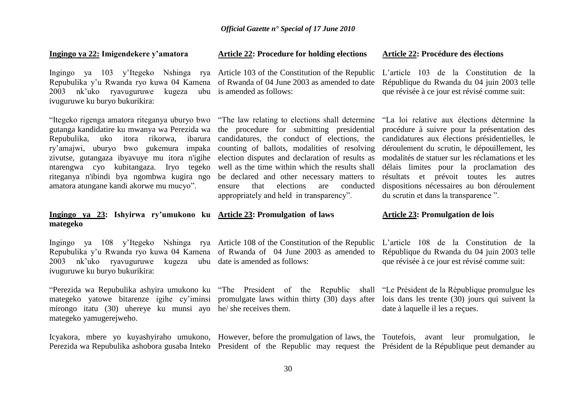#### **Ingingo ya 22: Imigendekere y"amatora**

Ingingo ya 103 y'Itegeko Nshinga rya Article 103 of the Constitution of the Republic L'article 103 de la Constitution de la Repubulika y'u Rwanda ryo kuwa 04 Kamena of Rwanda of 04 June 2003 as amended to date 2003 nk'uko ryavuguruwe kugeza ubu is amended as follows: ivuguruwe ku buryo bukurikira:

"Itegeko rigenga amatora riteganya uburyo bwo "The law relating to elections shall determine "La loi relative aux élections détermine la gutanga kandidatire ku mwanya wa Perezida wa the procedure for submitting presidential Repubulika, uko itora rikorwa, ibarura candidatures, the conduct of elections, the ry'amajwi, uburyo bwo gukemura impaka counting of ballots, modalities of resolving zivutse, gutangaza ibyavuye mu itora n'igihe election disputes and declaration of results as modalités de statuer sur les réclamations et les ntarengwa cyo kubitangaza. Iryo tegeko well as the time within which the results shall riteganya n'ibindi bya ngombwa kugira ngo amatora atungane kandi akorwe mu mucyo".

### **Article 22: Procedure for holding elections**

#### **Article 22: Procédure des élections**

République du Rwanda du 04 juin 2003 telle que révisée à ce jour est révisé comme suit:

be declared and other necessary matters to ensure that elections are conducted appropriately and held in transparency".

procédure à suivre pour la présentation des candidatures aux élections présidentielles, le déroulement du scrutin, le dépouillement, les délais limites pour la proclamation des résultats et prévoit toutes les autres dispositions nécessaires au bon déroulement du scrutin et dans la transparence ".

#### **Ingingo ya 23: Ishyirwa ry"umukono ku Article 23: Promulgation of laws mategeko**

2003 nk'uko ryavuguruwe kugeza ubu date is amended as follows: ivuguruwe ku buryo bukurikira:

"Perezida wa Repubulika ashyira umukono ku "The President of the Republic shall "Le Président de la République promulgue les mategeko yatowe bitarenze igihe cy'iminsi promulgate laws within thirty (30) days after lois dans les trente (30) jours qui suivent la mirongo itatu (30) uhereye ku munsi ayo he/ she receives them. mategeko yamugerejweho.

Repubulika y'u Rwanda ryo kuwa 04 Kamena of Rwanda of 04 June 2003 as amended to

Ingingo ya 108 y'Itegeko Nshinga rya Article 108 of the Constitution of the Republic L'article 108 de la Constitution de la République du Rwanda du 04 juin 2003 telle que révisée à ce jour est révisé comme suit:

**Article 23: Promulgation de lois**

date à laquelle il les a reçues.

Icyakora, mbere yo kuyashyiraho umukono, However, before the promulgation of laws, the Toutefois, avant leur promulgation, le Perezida wa Repubulika ashobora gusaba Inteko President of the Republic may request the Président de la République peut demander au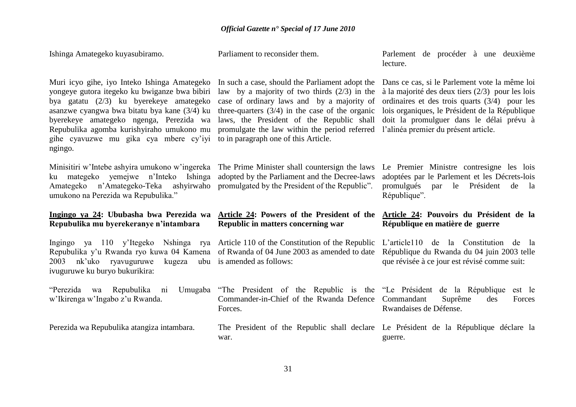Parlement de procéder à une deuxième

Parliament to reconsider them.

Ishinga Amategeko kuyasubiramo.

|                                                                                                                                                                                                                                                                                                                                       |                                                                                                                                                                                                                                                                                                                                            | lecture.                                                                                                                                                                                                                                                                                     |
|---------------------------------------------------------------------------------------------------------------------------------------------------------------------------------------------------------------------------------------------------------------------------------------------------------------------------------------|--------------------------------------------------------------------------------------------------------------------------------------------------------------------------------------------------------------------------------------------------------------------------------------------------------------------------------------------|----------------------------------------------------------------------------------------------------------------------------------------------------------------------------------------------------------------------------------------------------------------------------------------------|
| Muri icyo gihe, iyo Inteko Ishinga Amategeko<br>yongeye gutora itegeko ku bwiganze bwa bibiri<br>bya gatatu (2/3) ku byerekeye amategeko<br>asanzwe cyangwa bwa bitatu bya kane (3/4) ku<br>byerekeye amategeko ngenga, Perezida wa<br>Repubulika agomba kurishyiraho umukono mu<br>gihe cyavuzwe mu gika cya mbere cy'iyi<br>ngingo. | In such a case, should the Parliament adopt the<br>law by a majority of two thirds $(2/3)$ in the<br>case of ordinary laws and by a majority of<br>three-quarters $(3/4)$ in the case of the organic<br>laws, the President of the Republic shall<br>promulgate the law within the period referred<br>to in paragraph one of this Article. | Dans ce cas, si le Parlement vote la même loi<br>à la majorité des deux tiers $(2/3)$ pour les lois<br>ordinaires et des trois quarts $(3/4)$ pour les<br>lois organiques, le Président de la République<br>doit la promulguer dans le délai prévu à<br>l'alinéa premier du présent article. |
| Minisitiri w'Intebe ashyira umukono w'ingereka<br>yemejwe n'Inteko<br>ku mategeko<br>Ishinga<br>n'Amategeko-Teka ashyirwaho<br>Amategeko<br>umukono na Perezida wa Repubulika."                                                                                                                                                       | The Prime Minister shall countersign the laws<br>adopted by the Parliament and the Decree-laws<br>promulgated by the President of the Republic".                                                                                                                                                                                           | Le Premier Ministre contresigne les lois<br>adoptées par le Parlement et les Décrets-lois<br>promulgués<br>Président<br>par<br>le<br>de<br>- la<br>République".                                                                                                                              |
|                                                                                                                                                                                                                                                                                                                                       |                                                                                                                                                                                                                                                                                                                                            |                                                                                                                                                                                                                                                                                              |
| Ingingo ya 24: Ububasha bwa Perezida wa<br>Repubulika mu byerekeranye n'intambara                                                                                                                                                                                                                                                     | Article 24: Powers of the President of the<br>Republic in matters concerning war                                                                                                                                                                                                                                                           | Article 24: Pouvoirs du Président de la<br>République en matière de guerre                                                                                                                                                                                                                   |
| Ingingo ya 110 y'Itegeko Nshinga rya Article 110 of the Constitution of the Republic<br>Repubulika y'u Rwanda ryo kuwa 04 Kamena<br>nk'uko<br>ryavuguruwe<br>kugeza<br>2003<br>ivuguruwe ku buryo bukurikira:                                                                                                                         | of Rwanda of 04 June 2003 as amended to date<br>ubu is amended as follows:                                                                                                                                                                                                                                                                 | L'article110 de la Constitution de la<br>République du Rwanda du 04 juin 2003 telle<br>que révisée à ce jour est révisé comme suit:                                                                                                                                                          |
| "Perezida<br>wa Repubulika ni<br>w'Ikirenga w'Ingabo z'u Rwanda.                                                                                                                                                                                                                                                                      | Umugaba "The President of the Republic is the "Le Président de la République<br>Commander-in-Chief of the Rwanda Defence<br>Forces.                                                                                                                                                                                                        | est le<br>Commandant<br>Suprême<br>des<br>Forces<br>Rwandaises de Défense.                                                                                                                                                                                                                   |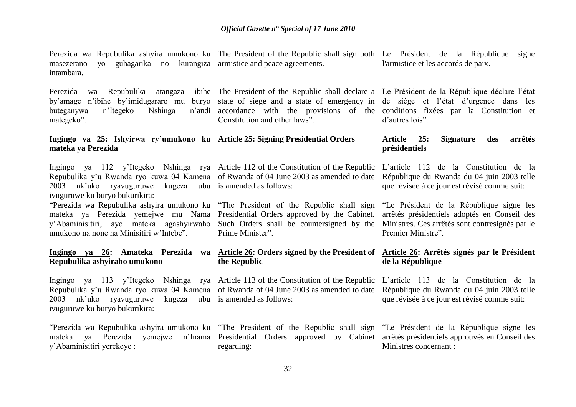Perezida wa Repubulika ashyira umukono ku The President of the Republic shall sign both Le Président de la République signe masezerano yo guhagarika no kurangiza armistice and peace agreements. intambara.

buteganywa n'Itegeko Nshinga mategeko".

#### **Ingingo ya 25: Ishyirwa ry"umukono ku Article 25: Signing Presidential Orders mateka ya Perezida**

Repubulika y'u Rwanda ryo kuwa 04 Kamena of Rwanda of 04 June 2003 as amended to date 2003 nk'uko ryavuguruwe kugeza ubu is amended as follows: ivuguruwe ku buryo bukurikira:

mateka ya Perezida yemejwe mu Nama Presidential Orders approved by the Cabinet. y'Abaminisitiri, ayo mateka agashyirwaho Such Orders shall be countersigned by the umukono na none na Minisitiri w'Intebe".

# **Repubulika ashyiraho umukono**

Ingingo ya 113 y'Itegeko Nshinga rya Article 113 of the Constitution of the Republic L'article 113 de la Constitution de la Repubulika y'u Rwanda ryo kuwa 04 Kamena of Rwanda of 04 June 2003 as amended to date 2003 nk'uko ryavuguruwe kugeza ubu is amended as follows: ivuguruwe ku buryo bukurikira:

mateka ya Perezida yemejwe n'Inama Presidential Orders approved by Cabinet arrêtés présidentiels approuvés en Conseil des y'Abaminisitiri yerekeye :

by'amage n'ibihe by'imidugararo mu buryo state of siege and a state of emergency in de siège et l'état d'urgence dans les accordance with the provisions of the conditions fixées par la Constitution et Constitution and other laws".

Ingingo ya 112 y'Itegeko Nshinga rya Article 112 of the Constitution of the Republic

"Perezida wa Repubulika ashyira umukono ku "The President of the Republic shall sign Prime Minister".

# **the Republic**

regarding:

l'armistice et les accords de paix.

Perezida wa Repubulika atangaza ibihe The President of the Republic shall declare a Le Président de la République déclare l'état d'autres lois".

#### **Article 25: Signature des arrêtés présidentiels**

L'article 112 de la Constitution de la République du Rwanda du 04 juin 2003 telle que révisée à ce jour est révisé comme suit:

"Le Président de la République signe les arrêtés présidentiels adoptés en Conseil des Ministres. Ces arrêtés sont contresignés par le Premier Ministre".

#### **Ingingo ya 26: Amateka Perezida wa Article 26: Orders signed by the President of Article 26: Arrêtés signés par le Président de la République**

République du Rwanda du 04 juin 2003 telle que révisée à ce jour est révisé comme suit:

"Perezida wa Repubulika ashyira umukono ku "The President of the Republic shall sign "Le Président de la République signe les Ministres concernant :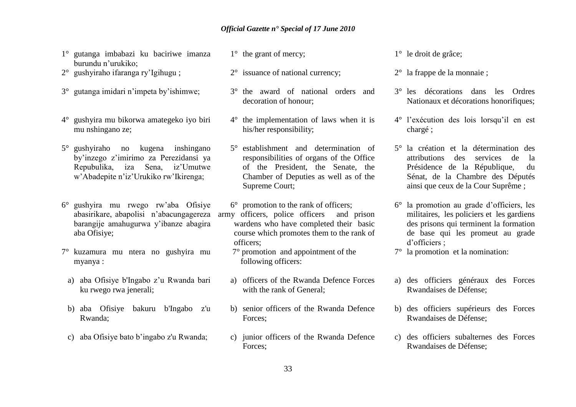- 1° gutanga imbabazi ku baciriwe imanza burundu n'urukiko;
- 2° gushyiraho ifaranga ry'Igihugu ;
- 3° gutanga imidari n'impeta by'ishimwe;
- 4° gushyira mu bikorwa amategeko iyo biri mu nshingano ze;
- 5° gushyiraho no kugena inshingano by'inzego z'imirimo za Perezidansi ya Repubulika, iza Sena, iz'Umutwe w'Abadepite n'iz'Urukiko rw'Ikirenga;
- 6° gushyira mu rwego rw'aba Ofisiye barangije amahugurwa y'ibanze abagira aba Ofisiye;
- 7° kuzamura mu ntera no gushyira mu myanya :
	- a) aba Ofisiye b'Ingabo z'u Rwanda bari ku rwego rwa jenerali;
	- b) aba Ofisiye bakuru b'Ingabo z'u Rwanda;
	- c) aba Ofisiye bato b'ingabo z'u Rwanda;
- 1° the grant of mercy:
- 2° issuance of national currency;
- 3° the award of national orders and decoration of honour;
- 4° the implementation of laws when it is his/her responsibility;
- 5° establishment and determination of responsibilities of organs of the Office of the President, the Senate, the Chamber of Deputies as well as of the Supreme Court;
- abasirikare, abapolisi n'abacungagereza army officers, police officers and prison 6° promotion to the rank of officers; wardens who have completed their basic course which promotes them to the rank of officers;
	- 7° promotion and appointment of the following officers:
	- a) officers of the Rwanda Defence Forces with the rank of General;
	- b) senior officers of the Rwanda Defence Forces;
	- c) junior officers of the Rwanda Defence Forces;

1° le droit de grâce;

- 2° la frappe de la monnaie ;
- 3° les décorations dans les Ordres Nationaux et décorations honorifiques;
- 4° l'exécution des lois lorsqu'il en est chargé ;
- 5° la création et la détermination des attributions des services de la Présidence de la République, du Sénat, de la Chambre des Députés ainsi que ceux de la Cour Suprême ;
- 6° la promotion au grade d'officiers, les militaires, les policiers et les gardiens des prisons qui terminent la formation de base qui les promeut au grade d'officiers ;
- 7° la promotion et la nomination:
- a) des officiers généraux des Forces Rwandaises de Défense;
- b) des officiers supérieurs des Forces Rwandaises de Défense;
- c) des officiers subalternes des Forces Rwandaises de Défense;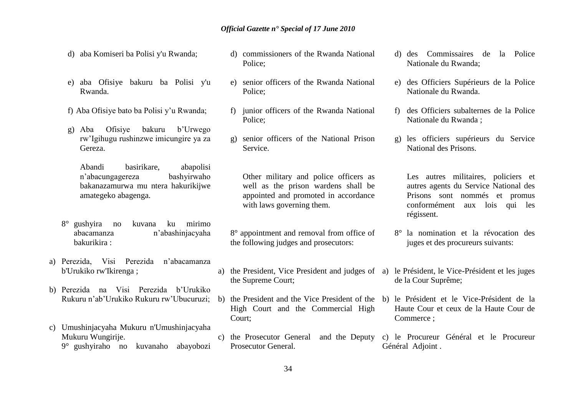- d) aba Komiseri ba Polisi y'u Rwanda;
- e) aba Ofisiye bakuru ba Polisi y'u Rwanda.
- f) Aba Ofisiye bato ba Polisi y'u Rwanda;
- g) Aba Ofisiye bakuru b'Urwego rw'Igihugu rushinzwe imicungire ya za Gereza.

Abandi basirikare, abapolisi n'abacungagereza bakanazamurwa mu ntera hakurikijwe amategeko abagenga.

- 8° gushyira no kuvana ku mirimo abacamanza n'abashinjacyaha bakurikira :
- a) Perezida, Visi Perezida n'abacamanza b'Urukiko rw'Ikirenga ;
- b) Perezida na Visi Perezida b'Urukiko Rukuru n'ab'Urukiko Rukuru rw'Ubucuruzi;
- c) Umushinjacyaha Mukuru n'Umushinjacyaha Mukuru Wungirije. 9° gushyiraho no kuvanaho abayobozi
- d) commissioners of the Rwanda National Police;
- e) senior officers of the Rwanda National Police;
- f) junior officers of the Rwanda National Police;
- g) senior officers of the National Prison Service.

Other military and police officers as well as the prison wardens shall be appointed and promoted in accordance with laws governing them.

8° appointment and removal from office of the following judges and prosecutors:

- a) the President, Vice President and judges of the Supreme Court;
- b) the President and the Vice President of the b) le Président et le Vice-Président de la High Court and the Commercial High Court;
- c) the Prosecutor General and the Deputy Prosecutor General.
- d) des Commissaires de la Police Nationale du Rwanda;
- e) des Officiers Supérieurs de la Police Nationale du Rwanda.
- f) des Officiers subalternes de la Police Nationale du Rwanda ;
- g) les officiers supérieurs du Service National des Prisons.

Les autres militaires, policiers et autres agents du Service National des Prisons sont nommés et promus conformément aux lois qui les régissent.

- 8° la nomination et la révocation des juges et des procureurs suivants:
- a) le Président, le Vice-Président et les juges de la Cour Suprême;
- Haute Cour et ceux de la Haute Cour de Commerce ;
- c) le Procureur Général et le Procureur Général Adjoint .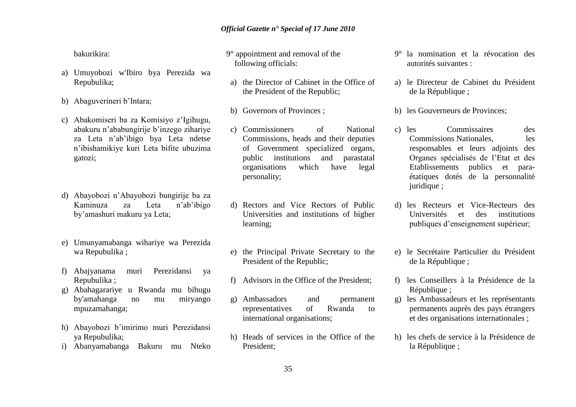bakurikira:

- a) Umuyobozi w'Ibiro bya Perezida wa Repubulika;
- b) Abaguverineri b'Intara;
- c) Abakomiseri ba za Komisiyo z'Igihugu, abakuru n'ababungirije b'inzego zihariye za Leta n'ab'ibigo bya Leta ndetse n'ibishamikiye kuri Leta bifite ubuzima gatozi;
- d) Abayobozi n'Abayobozi bungirije ba za Kaminuza za Leta n'ab'ibigo by'amashuri makuru ya Leta;
- e) Umunyamabanga wihariye wa Perezida wa Repubulika ;
- f) Abajyanama muri Perezidansi ya Repubulika ;
- g) Abahagarariye u Rwanda mu bihugu by'amahanga no mu miryango mpuzamahanga;
- h) Abayobozi b'imirimo muri Perezidansi ya Repubulika;
- i) Abanyamabanga Bakuru mu Nteko
- 9° appointment and removal of the following officials:
- a) the Director of Cabinet in the Office of the President of the Republic;
- b) Governors of Provinces ;
- c) Commissioners of National Commissions, heads and their deputies of Government specialized organs, public institutions and parastatal organisations which have legal personality;
- d) Rectors and Vice Rectors of Public Universities and institutions of higher learning;
- e) the Principal Private Secretary to the President of the Republic;
- f) Advisors in the Office of the President;
- g) Ambassadors and permanent representatives of Rwanda to international organisations;
- h) Heads of services in the Office of the President;
- 9° la nomination et la révocation des autorités suivantes :
- a) le Directeur de Cabinet du Président de la République ;
- b) les Gouverneurs de Provinces;
- c) les Commissaires des Commissions Nationales, les responsables et leurs adjoints des Organes spécialisés de l'Etat et des Etablissements publics et paraétatiques dotés de la personnalité juridique ;
- d) les Recteurs et Vice-Recteurs des Universités et des institutions publiques d'enseignement supérieur;
- e) le Secrétaire Particulier du Président de la République :
- f) les Conseillers à la Présidence de la République ;
- g) les Ambassadeurs et les représentants permanents auprès des pays étrangers et des organisations internationales ;
- h) les chefs de service à la Présidence de la République ;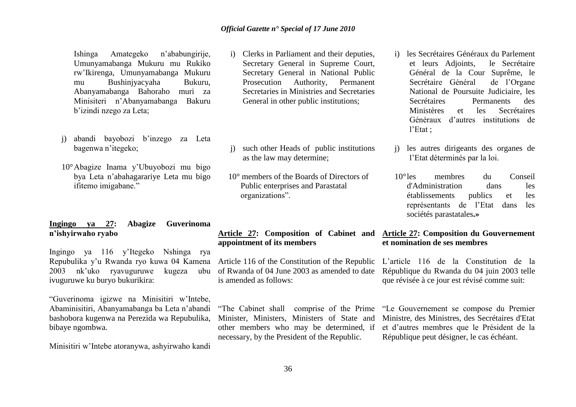Ishinga Amategeko n'ababungirije, Umunyamabanga Mukuru mu Rukiko rw'Ikirenga, Umunyamabanga Mukuru mu Bushinjyacyaha Bukuru, Abanyamabanga Bahoraho muri za Minisiteri n'Abanyamabanga Bakuru b'izindi nzego za Leta;

- j) abandi bayobozi b'inzego za Leta bagenwa n'itegeko;
- 10°Abagize Inama y'Ubuyobozi mu bigo bya Leta n'abahagarariye Leta mu bigo ifitemo imigabane."

#### **Ingingo ya 27: Abagize Guverinoma n"ishyirwaho ryabo**

Ingingo ya 116 y'Itegeko Nshinga rya Repubulika y'u Rwanda ryo kuwa 04 Kamena 2003 nk'uko ryavuguruwe kugeza ubu of Rwanda of 04 June 2003 as amended to date ivuguruwe ku buryo bukurikira:

"Guverinoma igizwe na Minisitiri w'Intebe, Abaminisitiri, Abanyamabanga ba Leta n'abandi bashobora kugenwa na Perezida wa Repubulika, bibaye ngombwa.

Minisitiri w'Intebe atoranywa, ashyirwaho kandi

- i) Clerks in Parliament and their deputies, Secretary General in Supreme Court, Secretary General in National Public Prosecution Authority, Permanent Secretaries in Ministries and Secretaries General in other public institutions;
- j) such other Heads of public institutions as the law may determine;
- 10° members of the Boards of Directors of Public enterprises and Parastatal organizations".

#### **Article 27: Composition of Cabinet and Article 27: Composition du Gouvernement appointment of its members**

Article 116 of the Constitution of the Republic is amended as follows:

"The Cabinet shall comprise of the Prime Minister, Ministers, Ministers of State and other members who may be determined, if necessary, by the President of the Republic.

- i) les Secrétaires Généraux du Parlement et leurs Adjoints, le Secrétaire Général de la Cour Suprême, le Secrétaire Général de l'Organe National de Poursuite Judiciaire, les Secrétaires Permanents des Ministères et les Secrétaires Généraux d'autres institutions de l'Etat ;
- les autres dirigeants des organes de l'Etat déterminés par la loi.
- 10°les membres du Conseil d'Administration dans les établissements publics et les représentants de l'Etat dans les sociétés parastatales**.»**

# **et nomination de ses membres**

L'article 116 de la Constitution de la République du Rwanda du 04 juin 2003 telle que révisée à ce jour est révisé comme suit:

"Le Gouvernement se compose du Premier Ministre, des Ministres, des Secrétaires d'Etat et d'autres membres que le Président de la République peut désigner, le cas échéant.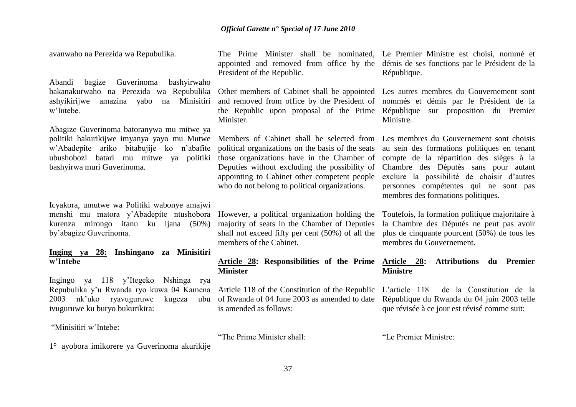avanwaho na Perezida wa Repubulika.

Abandi bagize Guverinoma bashyirwaho bakanakurwaho na Perezida wa Repubulika Other members of Cabinet shall be appointed ashyikirijwe amazina yabo na Minisitiri w'Intebe.

Abagize Guverinoma batoranywa mu mitwe ya politiki hakurikijwe imyanya yayo mu Mutwe Members of Cabinet shall be selected from Les membres du Gouvernement sont choisis w'Abadepite ariko bitabujije ko n'abafite ubushobozi batari mu mitwe ya politiki bashyirwa muri Guverinoma.

Icyakora, umutwe wa Politiki wabonye amajwi menshi mu matora y'Abadepite ntushobora However, a political organization holding the Toutefois, la formation politique majoritaire à kurenza mirongo itanu ku ijana (50%) by'abagize Guverinoma.

#### **Inging ya 28: Inshingano za Minisitiri w"Intebe**

Ingingo ya 118 y'Itegeko Nshinga rya Repubulika y'u Rwanda ryo kuwa 04 Kamena 2003 nk'uko ryavuguruwe kugeza ivuguruwe ku buryo bukurikira:

"Minisitiri w'Intebe:

The Prime Minister shall be nominated, Le Premier Ministre est choisi, nommé et appointed and removed from office by the démis de ses fonctions par le Président de la President of the Republic.

and removed from office by the President of the Republic upon proposal of the Prime **Minister** 

political organizations on the basis of the seats those organizations have in the Chamber of Deputies without excluding the possibility of appointing to Cabinet other competent people who do not belong to political organizations.

majority of seats in the Chamber of Deputies shall not exceed fifty per cent (50%) of all the members of the Cabinet.

#### **Article 28: Responsibilities of the Prime Minister**

Article 118 of the Constitution of the Republic of Rwanda of 04 June 2003 as amended to date is amended as follows:

"The Prime Minister shall:

République.

Les autres membres du Gouvernement sont nommés et démis par le Président de la République sur proposition du Premier Ministre.

au sein des formations politiques en tenant compte de la répartition des sièges à la Chambre des Députés sans pour autant exclure la possibilité de choisir d'autres personnes compétentes qui ne sont pas membres des formations politiques.

la Chambre des Députés ne peut pas avoir plus de cinquante pourcent (50%) de tous les membres du Gouvernement.

#### **Article 28: Attributions du Premier Ministre**

L'article 118 de la Constitution de la République du Rwanda du 04 juin 2003 telle que révisée à ce jour est révisé comme suit:

"Le Premier Ministre:

1° ayobora imikorere ya Guverinoma akurikije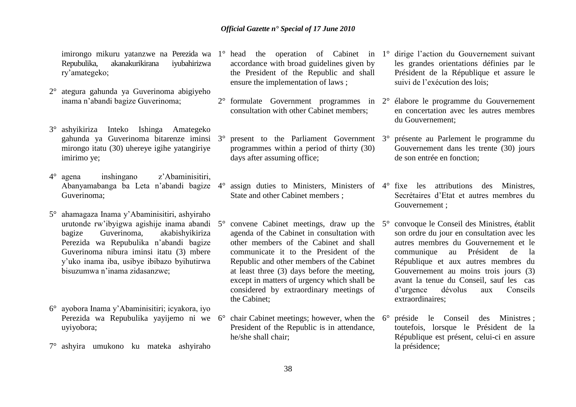Repubulika, akanakurikirana iyubahirizwa ry'amategeko;

- 2° ategura gahunda ya Guverinoma abigiyeho inama n'abandi bagize Guverinoma;
- 3° ashyikiriza Inteko Ishinga Amategeko gahunda ya Guverinoma bitarenze iminsi mirongo itatu (30) uhereye igihe yatangiriye imirimo ye;
- 4° agena inshingano z'Abaminisitiri, Abanyamabanga ba Leta n'abandi bagize Guverinoma;
- 5° ahamagaza Inama y'Abaminisitiri, ashyiraho urutonde rw'ibyigwa agishije inama abandi bagize Guverinoma, akabishyikiriza Perezida wa Repubulika n'abandi bagize Guverinoma nibura iminsi itatu (3) mbere y'uko inama iba, usibye ibibazo byihutirwa bisuzumwa n'inama zidasanzwe;
- 6° ayobora Inama y'Abaminisitiri; icyakora, iyo Perezida wa Repubulika yayijemo ni we uyiyobora;
- 7° ashyira umukono ku mateka ashyiraho
- accordance with broad guidelines given by the President of the Republic and shall ensure the implementation of laws ;
- 2° formulate Government programmes in 2° élabore le programme du Gouvernement consultation with other Cabinet members;
	- 3° present to the Parliament Government programmes within a period of thirty (30) days after assuming office;
- 4° assign duties to Ministers, Ministers of 4° fixe les attributions des Ministres, State and other Cabinet members ;
- convene Cabinet meetings, draw up the  $5^\circ$ agenda of the Cabinet in consultation with other members of the Cabinet and shall communicate it to the President of the Republic and other members of the Cabinet at least three (3) days before the meeting, except in matters of urgency which shall be considered by extraordinary meetings of the Cabinet;
- chair Cabinet meetings; however, when the  $6^{\circ}$ President of the Republic is in attendance, he/she shall chair;
- imirongo mikuru yatanzwe na Perezida wa 1° head the operation of Cabinet in 1° dirige l'action du Gouvernement suivant les grandes orientations définies par le Président de la République et assure le suivi de l'exécution des lois;
	- en concertation avec les autres membres du Gouvernement;
	- 3° présente au Parlement le programme du Gouvernement dans les trente (30) jours de son entrée en fonction;
	- Secrétaires d'Etat et autres membres du Gouvernement ;
	- 5° convoque le Conseil des Ministres, établit son ordre du jour en consultation avec les autres membres du Gouvernement et le communique au Président de la République et aux autres membres du Gouvernement au moins trois jours (3) avant la tenue du Conseil, sauf les cas d'urgence dévolus aux Conseils extraordinaires;
	- 6° préside le Conseil des Ministres ; toutefois, lorsque le Président de la République est présent, celui-ci en assure la présidence;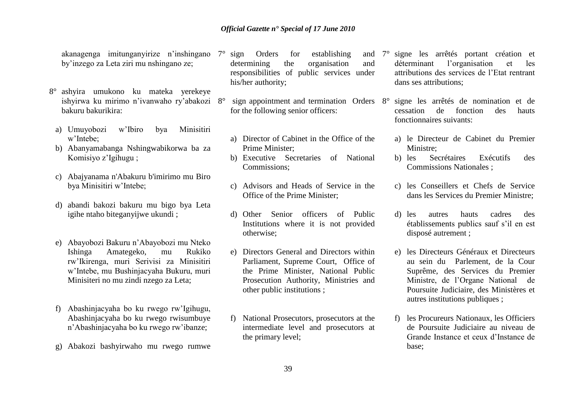akanagenga imitunganyirize n'inshingano by'inzego za Leta ziri mu nshingano ze;

- 8° ashyira umukono ku mateka yerekeye ishyirwa ku mirimo n'ivanwaho ry'abakozi bakuru bakurikira:
	- a) Umuyobozi w'Ibiro bya Minisitiri w'Intebe;
	- b) Abanyamabanga Nshingwabikorwa ba za Komisiyo z'Igihugu ;
	- c) Abajyanama n'Abakuru b'imirimo mu Biro bya Minisitiri w'Intebe;
	- d) abandi bakozi bakuru mu bigo bya Leta igihe ntaho biteganyijwe ukundi ;
	- e) Abayobozi Bakuru n'Abayobozi mu Nteko Ishinga Amategeko, mu Rukiko rw'Ikirenga, muri Serivisi za Minisitiri w'Intebe, mu Bushinjacyaha Bukuru, muri Minisiteri no mu zindi nzego za Leta;
	- f) Abashinjacyaha bo ku rwego rw'Igihugu, Abashinjacyaha bo ku rwego rwisumbuye n'Abashinjacyaha bo ku rwego rw'ibanze;
	- g) Abakozi bashyirwaho mu rwego rumwe
- $7^\circ$  sign Orders for establishing determining the organisation and responsibilities of public services under his/her authority;
	- sign appointment and termination Orders  $8^\circ$ for the following senior officers:
		- a) Director of Cabinet in the Office of the Prime Minister;
		- b) Executive Secretaries of National Commissions;
		- c) Advisors and Heads of Service in the Office of the Prime Minister;
		- d) Other Senior officers of Public Institutions where it is not provided otherwise;
		- e) Directors General and Directors within Parliament, Supreme Court, Office of the Prime Minister, National Public Prosecution Authority, Ministries and other public institutions ;
		- f) National Prosecutors, prosecutors at the intermediate level and prosecutors at the primary level;
- 7° signe les arrêtés portant création et déterminant l'organisation et les attributions des services de l'Etat rentrant dans ses attributions;
	- signe les arrêtés de nomination et de cessation de fonction des hauts fonctionnaires suivants:
		- a) le Directeur de Cabinet du Premier Ministre;
		- b) les Secrétaires Exécutifs des Commissions Nationales ;
		- c) les Conseillers et Chefs de Service dans les Services du Premier Ministre;
		- d) les autres hauts cadres des établissements publics sauf s'il en est disposé autrement ;
		- e) les Directeurs Généraux et Directeurs au sein du Parlement, de la Cour Suprême, des Services du Premier Ministre, de l'Organe National de Poursuite Judiciaire, des Ministères et autres institutions publiques ;
		- f) les Procureurs Nationaux, les Officiers de Poursuite Judiciaire au niveau de Grande Instance et ceux d'Instance de base;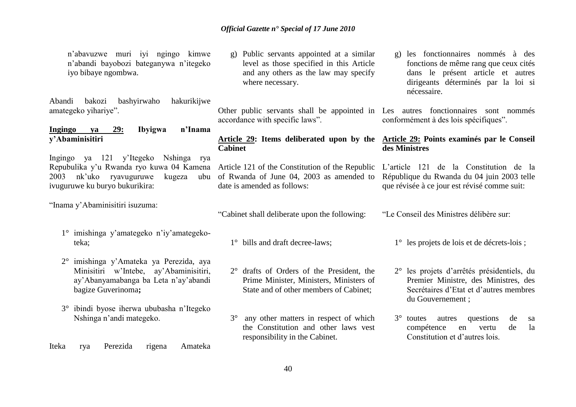n'abavuzwe muri iyi ngingo kimwe n'abandi bayobozi bateganywa n'itegeko iyo bibaye ngombwa.

Abandi bakozi bashyirwaho hakurikijwe amategeko yihariye".

#### **Ingingo ya 29: Ibyigwa n"Inama y"Abaminisitiri**

Ingingo ya 121 y'Itegeko Nshinga rya Repubulika y'u Rwanda ryo kuwa 04 Kamena Article 121 of the Constitution of the Republic 2003 nk'uko ryavuguruwe kugeza ubu ivuguruwe ku buryo bukurikira:

"Inama y'Abaminisitiri isuzuma:

- 1° imishinga y'amategeko n'iy'amategekoteka;
- 2° imishinga y'Amateka ya Perezida, aya Minisitiri w'Intebe, ay'Abaminisitiri, ay'Abanyamabanga ba Leta n'ay'abandi bagize Guverinoma**;**
- 3° ibindi byose iherwa ububasha n'Itegeko Nshinga n'andi mategeko.
- Iteka rya Perezida rigena Amateka

g) Public servants appointed at a similar level as those specified in this Article and any others as the law may specify where necessary.

Other public servants shall be appointed in Les autres fonctionnaires sont nommés accordance with specific laws".

### **Article 29: Items deliberated upon by the Cabinet**

of Rwanda of June 04, 2003 as amended to date is amended as follows:

"Cabinet shall deliberate upon the following:

- 1° bills and draft decree-laws;
- 2° drafts of Orders of the President, the Prime Minister, Ministers, Ministers of State and of other members of Cabinet;
- 3° any other matters in respect of which the Constitution and other laws vest responsibility in the Cabinet.

g) les fonctionnaires nommés à des fonctions de même rang que ceux cités dans le présent article et autres dirigeants déterminés par la loi si nécessaire.

conformément à des lois spécifiques".

#### **Article 29: Points examinés par le Conseil des Ministres**

L'article 121 de la Constitution de la République du Rwanda du 04 juin 2003 telle que révisée à ce jour est révisé comme suit:

"Le Conseil des Ministres délibère sur:

1° les projets de lois et de décrets-lois ;

- 2° les projets d'arrêtés présidentiels, du Premier Ministre, des Ministres, des Secrétaires d'Etat et d'autres membres du Gouvernement ;
- 3° toutes autres questions de sa compétence en vertu de la Constitution et d'autres lois.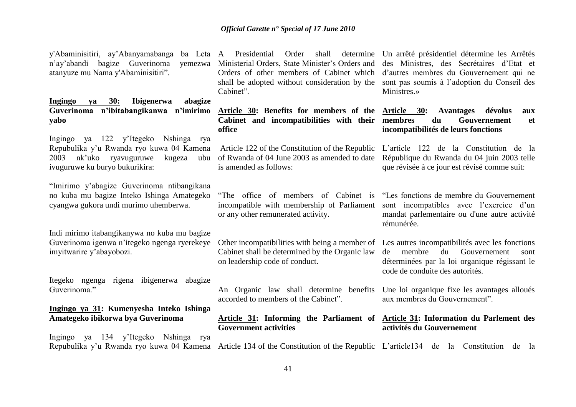n'ay'abandi bagize Guverinoma atanyuze mu Nama y'Abaminisitiri".

**Ingingo ya 30: Ibigenerwa abagize Guverinoma n"ibitabangikanwa n"imirimo Article 30: Benefits for members of the Article 30: Avantages dévolus aux yabo**

Ingingo ya 122 y'Itegeko Nshinga rya Repubulika y'u Rwanda ryo kuwa 04 Kamena 2003 nk'uko ryavuguruwe kugeza ubu of Rwanda of 04 June 2003 as amended to date ivuguruwe ku buryo bukurikira:

"Imirimo y'abagize Guverinoma ntibangikana no kuba mu bagize Inteko Ishinga Amategeko cyangwa gukora undi murimo uhemberwa.

Indi mirimo itabangikanywa no kuba mu bagize Guverinoma igenwa n'itegeko ngenga ryerekeye imyitwarire y'abayobozi.

Itegeko ngenga rigena ibigenerwa abagize Guverinoma."

#### **Ingingo ya 31: Kumenyesha Inteko Ishinga Amategeko ibikorwa bya Guverinoma**

Ingingo ya 134 y'Itegeko Nshinga rya

Ministerial Orders, State Minister's Orders and Orders of other members of Cabinet which shall be adopted without consideration by the sont pas soumis à l'adoption du Conseil des Cabinet".

> **Cabinet and incompatibilities with their office**

Article 122 of the Constitution of the Republic L'article 122 de la Constitution de la is amended as follows:

"The office of members of Cabinet is incompatible with membership of Parliament or any other remunerated activity.

Cabinet shall be determined by the Organic law on leadership code of conduct.

An Organic law shall determine benefits accorded to members of the Cabinet".

**Article 31: Informing the Parliament of Article 31: Information du Parlement des Government activities**

y'Abaminisitiri, ay'Abanyamabanga ba Leta A Presidential Order shall determine Un arrêté présidentiel détermine les Arrêtés des Ministres, des Secrétaires d'Etat et d'autres membres du Gouvernement qui ne Ministres.»

> du Gouvernement et **incompatibilités de leurs fonctions**

République du Rwanda du 04 juin 2003 telle que révisée à ce jour est révisé comme suit:

"Les fonctions de membre du Gouvernement sont incompatibles avec l'exercice d'un mandat parlementaire ou d'une autre activité rémunérée.

Other incompatibilities with being a member of Les autres incompatibilités avec les fonctions de membre du Gouvernement sont déterminées par la loi organique régissant le code de conduite des autorités.

> Une loi organique fixe les avantages alloués aux membres du Gouvernement".

## **activités du Gouvernement**

Repubulika y'u Rwanda ryo kuwa 04 Kamena Article 134 of the Constitution of the Republic L'article134 de la Constitution de la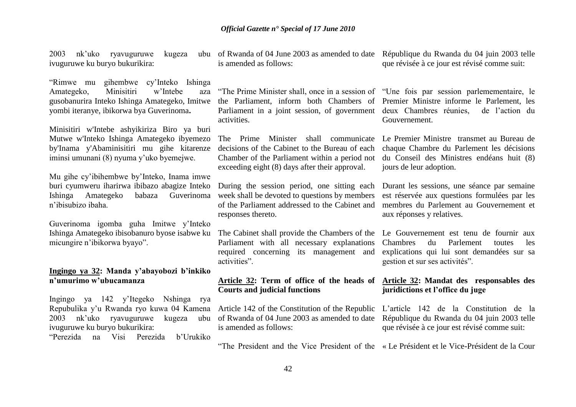2003 nk'uko ryavuguruwe kugeza ivuguruwe ku buryo bukurikira:

"Rimwe mu gihembwe cy'Inteko Ishinga Amategeko, Minisitiri w'Intebe aza gusobanurira Inteko Ishinga Amategeko, Imitwe yombi iteranye, ibikorwa bya Guverinoma**.** 

Minisitiri w'Intebe ashyikiriza Biro ya buri Mutwe w'Inteko Ishinga Amategeko ibyemezo by'Inama y'Abaminisitiri mu gihe kitarenze iminsi umunani (8) nyuma y'uko byemejwe.

Mu gihe cy'ibihembwe by'Inteko, Inama imwe buri cyumweru iharirwa ibibazo abagize Inteko Ishinga Amategeko babaza Guverinoma week shall be devoted to questions by members n'ibisubizo ibaha.

Guverinoma igomba guha Imitwe y'Inteko micungire n'ibikorwa byayo".

### **Ingingo ya 32: Manda y"abayobozi b"inkiko n"umurimo w"ubucamanza**

Ingingo ya 142 y'Itegeko Nshinga rya Repubulika y'u Rwanda ryo kuwa 04 Kamena Article 142 of the Constitution of the Republic L'article 142 de la Constitution de la 2003 nk'uko ryavuguruwe kugeza ubu ivuguruwe ku buryo bukurikira:

"Perezida na Visi Perezida b'Urukiko

is amended as follows:

"The Prime Minister shall, once in a session of "Une fois par session parlemementaire, le the Parliament, inform both Chambers of Premier Ministre informe le Parlement, les Parliament in a joint session, of government deux Chambres réunies, de l'action du activities.

The Prime Minister shall communicate Le Premier Ministre transmet au Bureau de decisions of the Cabinet to the Bureau of each Chamber of the Parliament within a period not exceeding eight (8) days after their approval.

During the session period, one sitting each of the Parliament addressed to the Cabinet and responses thereto.

Ishinga Amategeko ibisobanuro byose isabwe ku The Cabinet shall provide the Chambers of the Le Gouvernement est tenu de fournir aux Parliament with all necessary explanations required concerning its management and activities".

#### **Article 32: Term of office of the heads of Courts and judicial functions**

of Rwanda of 04 June 2003 as amended to date is amended as follows:

of Rwanda of 04 June 2003 as amended to date République du Rwanda du 04 juin 2003 telle que révisée à ce jour est révisé comme suit:

Gouvernement.

chaque Chambre du Parlement les décisions du Conseil des Ministres endéans huit (8) jours de leur adoption.

Durant les sessions, une séance par semaine est réservée aux questions formulées par les membres du Parlement au Gouvernement et aux réponses y relatives.

Chambres du Parlement toutes les explications qui lui sont demandées sur sa gestion et sur ses activités".

#### **Article 32: Mandat des responsables des juridictions et l"office du juge**

République du Rwanda du 04 juin 2003 telle que révisée à ce jour est révisé comme suit:

"The President and the Vice President of the « Le Président et le Vice-Président de la Cour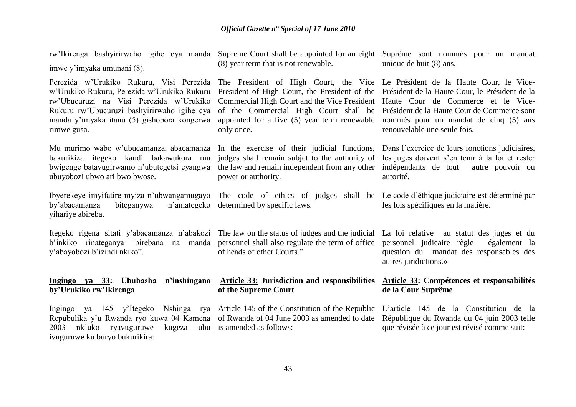| rw'Ikirenga bashyirirwaho igihe cya manda Supreme Court shall be appointed for an eight<br>imwe y'imyaka umunani (8).                                                                                                                           | (8) year term that is not renewable.                                                                                                                                                                                                                                                  | Suprême sont nommés pour un mandat<br>unique de huit (8) ans.                                                                                                                                                |
|-------------------------------------------------------------------------------------------------------------------------------------------------------------------------------------------------------------------------------------------------|---------------------------------------------------------------------------------------------------------------------------------------------------------------------------------------------------------------------------------------------------------------------------------------|--------------------------------------------------------------------------------------------------------------------------------------------------------------------------------------------------------------|
| Perezida w'Urukiko Rukuru, Visi Perezida<br>w'Urukiko Rukuru, Perezida w'Urukiko Rukuru<br>rw'Ubucuruzi na Visi Perezida w'Urukiko<br>Rukuru rw'Ubucuruzi bashyirirwaho igihe cya<br>manda y'imyaka itanu (5) gishobora kongerwa<br>rimwe gusa. | The President of High Court, the Vice Le Président de la Haute Cour, le Vice-<br>President of High Court, the President of the<br>Commercial High Court and the Vice President<br>of the Commercial High Court shall be<br>appointed for a five (5) year term renewable<br>only once. | Président de la Haute Cour, le Président de la<br>Haute Cour de Commerce et le Vice-<br>Président de la Haute Cour de Commerce sont<br>nommés pour un mandat de cinq (5) ans<br>renouvelable une seule fois. |
| Mu murimo wabo w'ubucamanza, abacamanza<br>bakurikiza itegeko kandi bakawukora mu<br>bwigenge batavugirwamo n'ubutegetsi cyangwa<br>ubuyobozi ubwo ari bwo bwose.                                                                               | In the exercise of their judicial functions,<br>judges shall remain subjet to the authority of<br>the law and remain independent from any other<br>power or authority.                                                                                                                | Dans l'exercice de leurs fonctions judiciaires,<br>les juges doivent s'en tenir à la loi et rester<br>indépendants de tout<br>autre pouvoir ou<br>autorité.                                                  |
| Ibyerekeye imyifatire myiza n'ubwangamugayo<br>by'abacamanza<br>biteganywa<br>n'amategeko<br>yihariye abireba.                                                                                                                                  | The code of ethics of judges shall be Le code d'éthique judiciaire est déterminé par<br>determined by specific laws.                                                                                                                                                                  | les lois spécifiques en la matière.                                                                                                                                                                          |
| Itegeko rigena sitati y'abacamanza n'abakozi The law on the status of judges and the judicial<br>b'inkiko rinateganya ibirebana na manda<br>y'abayobozi b'izindi nkiko".                                                                        | personnel shall also regulate the term of office<br>of heads of other Courts."                                                                                                                                                                                                        | La loi relative au statut des juges et du<br>personnel judicaire règle<br>également la<br>question du mandat des responsables des<br>autres juridictions.»                                                   |
| Ingingo ya 33: Ububasha n'inshingano Article 33: Jurisdiction and responsibilities<br>by'Urukiko rw'Ikirenga                                                                                                                                    | of the Supreme Court                                                                                                                                                                                                                                                                  | Article 33: Compétences et responsabilités<br>de la Cour Suprême                                                                                                                                             |
| Ingingo ya 145 y'Itegeko<br>Repubulika y'u Rwanda ryo kuwa 04 Kamena of Rwanda of 04 June 2003 as amended to date<br>nk'uko<br>2003<br>ryavuguruwe<br>ivuguruwe ku buryo bukurikira:                                                            | Nshinga rya Article 145 of the Constitution of the Republic<br>kugeza ubu is amended as follows:                                                                                                                                                                                      | L'article 145 de la Constitution de la<br>République du Rwanda du 04 juin 2003 telle<br>que révisée à ce jour est révisé comme suit:                                                                         |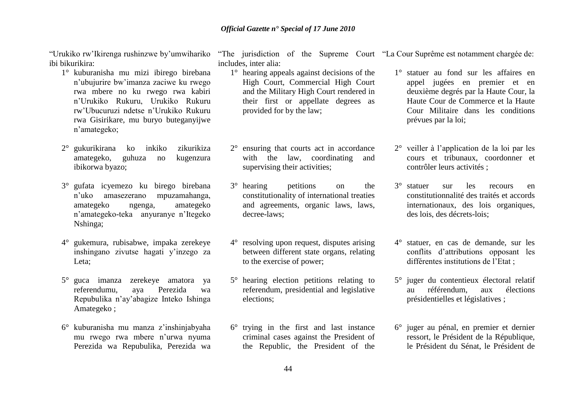"Urukiko rw'Ikirenga rushinzwe by'umwihariko ibi bikurikira:

- 1° kuburanisha mu mizi ibirego birebana n'ubujurire bw'imanza zaciwe ku rwego rwa mbere no ku rwego rwa kabiri n'Urukiko Rukuru, Urukiko Rukuru rw'Ubucuruzi ndetse n'Urukiko Rukuru rwa Gisirikare, mu buryo buteganyijwe n'amategeko;
- 2° gukurikirana ko inkiko zikurikiza amategeko, guhuza no kugenzura ibikorwa byazo;
- 3° gufata icyemezo ku birego birebana n'uko amasezerano mpuzamahanga, amategeko ngenga, amategeko n'amategeko-teka anyuranye n'Itegeko Nshinga;
- 4° gukemura, rubisabwe, impaka zerekeye inshingano zivutse hagati y'inzego za Leta;
- 5° guca imanza zerekeye amatora ya referendumu, aya Perezida wa Repubulika n'ay'abagize Inteko Ishinga Amategeko ;
- 6° kuburanisha mu manza z'inshinjabyaha mu rwego rwa mbere n'urwa nyuma Perezida wa Repubulika, Perezida wa

"The jurisdiction of the Supreme Court "La Cour Suprême est notamment chargée de: includes, inter alia:

- 1° hearing appeals against decisions of the High Court, Commercial High Court and the Military High Court rendered in their first or appellate degrees as provided for by the law;
- 2° ensuring that courts act in accordance with the law, coordinating and supervising their activities;
- 3° hearing petitions on the constitutionality of international treaties and agreements, organic laws, laws, decree-laws;
- 4° resolving upon request, disputes arising between different state organs, relating to the exercise of power;
- 5° hearing election petitions relating to referendum, presidential and legislative elections;
- 6° trying in the first and last instance criminal cases against the President of the Republic, the President of the

1° statuer au fond sur les affaires en

- appel jugées en premier et en deuxième degrés par la Haute Cour, la Haute Cour de Commerce et la Haute Cour Militaire dans les conditions prévues par la loi;
- 2° veiller à l'application de la loi par les cours et tribunaux, coordonner et contrôler leurs activités ;
- 3° statuer sur les recours en constitutionnalité des traités et accords internationaux, des lois organiques, des lois, des décrets-lois;
- 4° statuer, en cas de demande, sur les conflits d'attributions opposant les différentes institutions de l'Etat ;
- 5° juger du contentieux électoral relatif au référendum, aux élections présidentielles et législatives ;
- 6° juger au pénal, en premier et dernier ressort, le Président de la République, le Président du Sénat, le Président de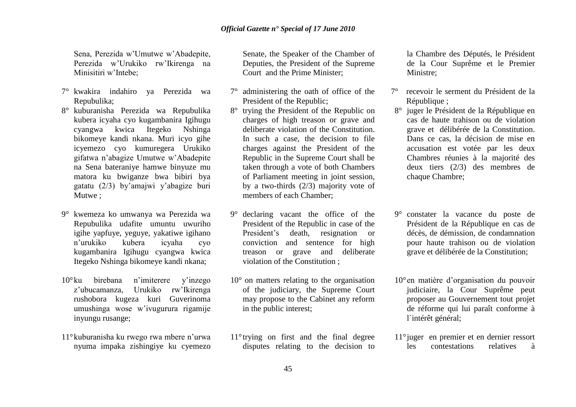Sena, Perezida w'Umutwe w'Abadepite, Perezida w'Urukiko rw'Ikirenga na Minisitiri w'Intebe;

- 7° kwakira indahiro ya Perezida wa Repubulika;
- 8° kuburanisha Perezida wa Repubulika kubera icyaha cyo kugambanira Igihugu cyangwa kwica Itegeko Nshinga bikomeye kandi nkana. Muri icyo gihe icyemezo cyo kumuregera Urukiko gifatwa n'abagize Umutwe w'Abadepite na Sena bateraniye hamwe binyuze mu matora ku bwiganze bwa bibiri bya gatatu (2/3) by'amajwi y'abagize buri Mutwe ;
- 9° kwemeza ko umwanya wa Perezida wa Repubulika udafite umuntu uwuriho igihe yapfuye, yeguye, yakatiwe igihano n'urukiko kubera icyaha cyo kugambanira Igihugu cyangwa kwica Itegeko Nshinga bikomeye kandi nkana;
- 10°ku birebana n'imiterere y'inzego z'ubucamanza, Urukiko rw'Ikirenga rushobora kugeza kuri Guverinoma umushinga wose w'ivugurura rigamije inyungu rusange;
- 11°kuburanisha ku rwego rwa mbere n'urwa nyuma impaka zishingiye ku cyemezo

Senate, the Speaker of the Chamber of Deputies, the President of the Supreme Court and the Prime Minister;

- 7° administering the oath of office of the President of the Republic;
- 8° trying the President of the Republic on charges of high treason or grave and deliberate violation of the Constitution. In such a case, the decision to file charges against the President of the Republic in the Supreme Court shall be taken through a vote of both Chambers of Parliament meeting in joint session, by a two-thirds (2/3) majority vote of members of each Chamber;
- 9° declaring vacant the office of the President of the Republic in case of the President's death, resignation or conviction and sentence for high treason or grave and deliberate violation of the Constitution ;
- 10° on matters relating to the organisation of the judiciary, the Supreme Court may propose to the Cabinet any reform in the public interest;
- 11°trying on first and the final degree disputes relating to the decision to

la Chambre des Députés, le Président de la Cour Suprême et le Premier Ministre;

- 7° recevoir le serment du Président de la République :
- 8° juger le Président de la République en cas de haute trahison ou de violation grave et délibérée de la Constitution. Dans ce cas, la décision de mise en accusation est votée par les deux Chambres réunies à la majorité des deux tiers (2/3) des membres de chaque Chambre;
- 9° constater la vacance du poste de Président de la République en cas de décès, de démission, de condamnation pour haute trahison ou de violation grave et délibérée de la Constitution;
- 10°en matière d'organisation du pouvoir judiciaire, la Cour Suprême peut proposer au Gouvernement tout projet de réforme qui lui paraît conforme à l`intérêt général;
- 11°juger en premier et en dernier ressort les contestations relatives à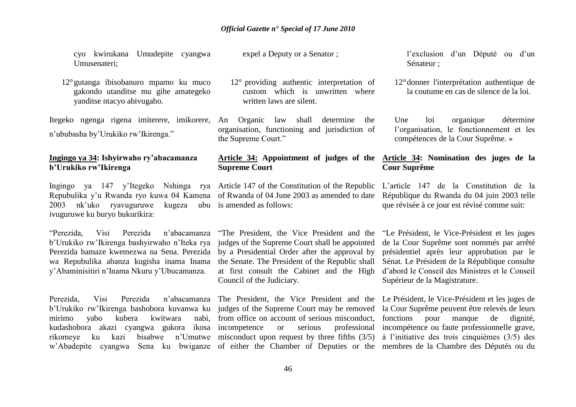cyo kwirukana Umudepite cyangwa Umusenateri;

12°gutanga ibisobanuro mpamo ku muco gakondo utanditse mu gihe amategeko yanditse ntacyo abivugaho.

Itegeko ngenga rigena imiterere, imikorere, An n'ububasha by'Urukiko rw'Ikirenga."

### **Ingingo ya 34: Ishyirwaho ry"abacamanza b"Urukiko rw"Ikirenga**

Ingingo ya 147 y'Itegeko Nshinga rya Article 147 of the Constitution of the Republic Repubulika y'u Rwanda ryo kuwa 04 Kamena of Rwanda of 04 June 2003 as amended to date République du Rwanda du 04 juin 2003 telle 2003 nk'uko ryavuguruwe kugeza ubu is amended as follows: ivuguruwe ku buryo bukurikira:

"Perezida, Visi Perezida n'abacamanza b'Urukiko rw'Ikirenga bashyirwaho n'Iteka rya Perezida bamaze kwemezwa na Sena. Perezida wa Repubulika abanza kugisha inama Inama y'Abaminisitiri n'Inama Nkuru y'Ubucamanza.

Perezida, Visi Perezida n'abacamanza The President, the Vice President and the Le Président, le Vice-Président et les juges de b'Urukiko rw'Ikirenga bashobora kuvanwa ku judges of the Supreme Court may be removed la Cour Suprême peuvent être relevés de leurs mirimo yabo kubera kwitwara nabi, from office on account of serious misconduct, kudashobora akazi cyangwa gukora ikosa incompetence or serious professional rikomeye ku kazi bisabwe n'Umutwe misconduct upon request by three fifths (3/5) à l'initiative des trois cinquièmes (3/5) des w'Abadepite cyangwa Sena ku bwiganze of either the Chamber of Deputies or the membres de la Chambre des Députés ou du

expel a Deputy or a Senator ;

- 12° providing authentic interpretation of custom which is unwritten where written laws are silent.
- An Organic law shall determine the organisation, functioning and jurisdiction of the Supreme Court."

# **Supreme Court**

judges of the Supreme Court shall be appointed by a Presidential Order after the approval by the Senate. The President of the Republic shall at first consult the Cabinet and the High d'abord le Conseil des Ministres et le Conseil Council of the Judiciary.

l'exclusion d'un Député ou d'un Sénateur ;

12°donner l'interprétation authentique de la coutume en cas de silence de la loi.

Une loi organique détermine l'organisation, le fonctionnement et les compétences de la Cour Suprême. »

#### **Article 34: Appointment of judges of the Article 34: Nomination des juges de la Cour Suprême**

L'article 147 de la Constitution de la que révisée à ce jour est révisé comme suit:

"The President, the Vice President and the "Le Président, le Vice-Président et les juges de la Cour Suprême sont nommés par arrêté présidentiel après leur approbation par le Sénat. Le Président de la République consulte Supérieur de la Magistrature.

> fonctions pour manque de dignité, incompétence ou faute professionnelle grave,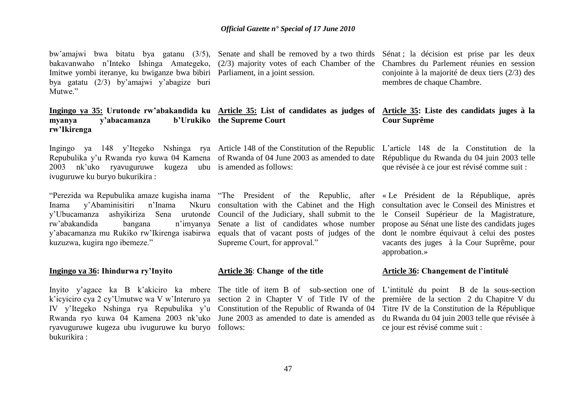bw'amajwi bwa bitatu bya gatanu (3/5), Senate and shall be removed by a two thirds Sénat ; la décision est prise par les deux bakavanwaho n'Inteko Ishinga Amategeko, (2/3) majority votes of each Chamber of the Chambres du Parlement réunies en session Imitwe yombi iteranye, ku bwiganze bwa bibiri Parliament, in a joint session. bya gatatu (2/3) by'amajwi y'abagize buri Mutwe<sup>"</sup>

#### **Ingingo ya 35: Urutonde rw"abakandida ku Article 35: List of candidates as judges of Article 35: Liste des candidats juges à la myanya** y'abacamanza **rw"Ikirenga b'Urukiko** the Supreme Court

Ingingo ya 148 y'Itegeko Nshinga rya Article 148 of the Constitution of the Republic L'article 148 de la Constitution de la Repubulika y'u Rwanda ryo kuwa 04 Kamena of Rwanda of 04 June 2003 as amended to date République du Rwanda du 04 juin 2003 telle 2003 nk'uko ryavuguruwe kugeza ubu is amended as follows: ivuguruwe ku buryo bukurikira :

"Perezida wa Repubulika amaze kugisha inama "The President of the Republic, after «Le Président de la République, après Inama y'Abaminisitiri n'Inama y'Ubucamanza ashyikiriza Sena urutonde Council of the Judiciary, shall submit to the le Conseil Supérieur de la Magistrature, rw'abakandida bangana y'abacamanza mu Rukiko rw'Ikirenga isabirwa equals that of vacant posts of judges of the dont le nombre équivaut à celui des postes kuzuzwa, kugira ngo ibemeze."

#### **Ingingo ya 36: Ihindurwa ry"Inyito**

Inyito y'agace ka B k'akiciro ka mbere The title of item B of sub-section one of L'intitulé du point B de la sous-section k'icyiciro cya 2 cy'Umutwe wa V w'Interuro ya section 2 in Chapter V of Title IV of the première de la section 2 du Chapitre V du IV y'Itegeko Nshinga rya Repubulika y'u Constitution of the Republic of Rwanda of 04 Titre IV de la Constitution de la République Rwanda ryo kuwa 04 Kamena 2003 nk'uko June 2003 as amended to date is amended as du Rwanda du 04 juin 2003 telle que révisée à ryavuguruwe kugeza ubu ivuguruwe ku buryo follows: bukurikira :

conjointe à la majorité de deux tiers (2/3) des membres de chaque Chambre.

## **Cour Suprême**

que révisée à ce jour est révisé comme suit :

consultation with the Cabinet and the High consultation avec le Conseil des Ministres et Senate a list of candidates whose number propose au Sénat une liste des candidats juges Supreme Court, for approval."

#### **Article 36**: **Change of the title**

vacants des juges à la Cour Suprême, pour approbation.»

#### **Article 36: Changement de l"intitulé**

ce jour est révisé comme suit :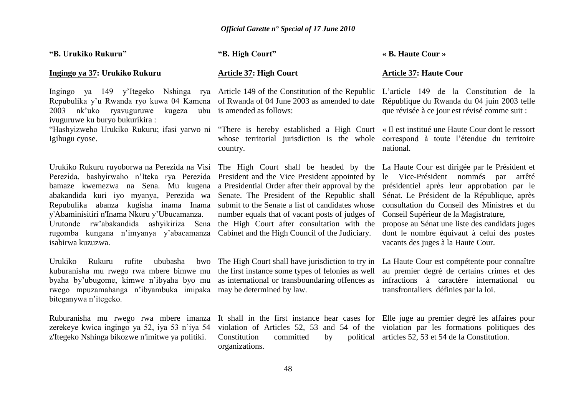**"B. Urukiko Rukuru"**

#### **Ingingo ya 37: Urukiko Rukuru**

Repubulika y'u Rwanda ryo kuwa 04 Kamena of Rwanda of 04 June 2003 as amended to date 2003 nk'uko ryavuguruwe kugeza ubu is amended as follows: ivuguruwe ku buryo bukurikira :

Igihugu cyose.

Urukiko Rukuru ruyoborwa na Perezida na Visi The High Court shall be headed by the La Haute Cour est dirigée par le Président et Perezida, bashyirwaho n'Iteka rya Perezida President-and-the-Vice-President-appointed-by le Vice-Président nommés par arrêté bamaze kwemezwa na Sena. Mu kugena a Presidential Order after their approval by the présidentiel après leur approbation par le abakandida kuri iyo myanya, Perezida wa Senate. The President of the Republic shall Sénat. Le Président de la République, après Repubulika abanza kugisha inama Inama submit to the Senate a list of candidates whose y'Abaminisitiri n'Inama Nkuru y'Ubucamanza. Urutonde rw'abakandida ashyikiriza Sena rugomba kungana n'imyanya y'abacamanza Cabinet and the High Council of the Judiciary. isabirwa kuzuzwa.

Urukiko Rukuru rufite ububasha kuburanisha mu rwego rwa mbere bimwe mu the first instance some types of felonies as well byaha by'ubugome, kimwe n'ibyaha byo mu as international or transboundaring offences as rwego mpuzamahanga n'ibyambuka imipaka may be determined by law. biteganywa n'itegeko.

Ruburanisha mu rwego rwa mbere imanza It shall in the first instance hear cases for Elle juge au premier degré les affaires pour zerekeye kwica ingingo ya 52, iya 53 n'iya 54 z'Itegeko Nshinga bikozwe n'imitwe ya politiki.

**"B. High Court"**

#### **Article 37: High Court**

Ingingo ya 149 y'Itegeko Nshinga rya Article 149 of the Constitution of the Republic

whose territorial jurisdiction is the whole correspond à toute l'étendue du territoire country.

number equals that of vacant posts of judges of the High Court after consultation with the

The High Court shall have jurisdiction to try in

Constitution committed by organizations.

**« B. Haute Cour »** 

#### **Article 37: Haute Cour**

L'article 149 de la Constitution de la République du Rwanda du 04 juin 2003 telle que révisée à ce jour est révisé comme suit :

"Hashyizweho Urukiko Rukuru; ifasi yarwo ni "There is hereby established a High Court « Il est institué une Haute Cour dont le ressort national.

> consultation du Conseil des Ministres et du Conseil Supérieur de la Magistrature,

> propose au Sénat une liste des candidats juges dont le nombre équivaut à celui des postes vacants des juges à la Haute Cour.

> La Haute Cour est compétente pour connaître au premier degré de certains crimes et des infractions à caractère international ou transfrontaliers définies par la loi.

violation of Articles 52, 53 and 54 of the violation par les formations politiques des political articles 52, 53 et 54 de la Constitution.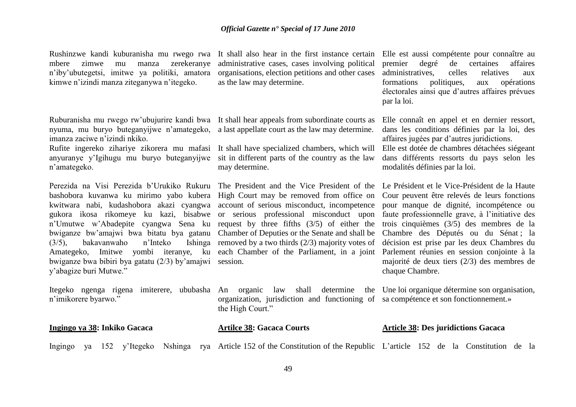Rushinzwe kandi kuburanisha mu rwego rwa It shall also hear in the first instance certain Elle est aussi compétente pour connaître au mbere zimwe mu manza zerekeranye n'iby'ubutegetsi, imitwe ya politiki, amatora kimwe n'izindi manza ziteganywa n'itegeko.

nyuma, mu buryo buteganyijwe n'amategeko, a last appellate court as the law may determine. imanza zaciwe n'izindi nkiko.

anyuranye y'Igihugu mu buryo buteganyijwe sit in different parts of the country as the law n'amategeko.

Perezida na Visi Perezida b'Urukiko Rukuru The President and the Vice President of the Le Président et le Vice-Président de la Haute bashobora kuvanwa ku mirimo yabo kubera High Court may be removed from office on kwitwara nabi, kudashobora akazi cyangwa account of serious misconduct, incompetence gukora ikosa rikomeye ku kazi, bisabwe or serious professional misconduct upon n'Umutwe w'Abadepite cyangwa Sena ku request by three fifths (3/5) of either the bwiganze bw'amajwi bwa bitatu bya gatanu Chamber of Deputies or the Senate and shall be Chambre des Députés ou du Sénat ; la  $(3/5)$ , bakavanwaho n'Inteko Amategeko, Imitwe yombi iteranye, ku each Chamber of the Parliament, in a joint Parlement réunies en session conjointe à la bwiganze bwa bibiri bya gatatu (2/3) by'amajwi session. y'abagize buri Mutwe."

n'imikorere byarwo."

administrative cases, cases involving political organisations, election petitions and other cases as the law may determine.

Ruburanisha mu rwego rw'ubujurire kandi bwa It shall hear appeals from subordinate courts as

Rufite ingereko zihariye zikorera mu mafasi It shall have specialized chambers, which will may determine.

Ishing removed by a two thirds  $(2/3)$  majority votes of

premier degré de certaines affaires administratives, celles relatives aux formations politiques, aux opérations électorales ainsi que d'autres affaires prévues par la loi.

Elle connaît en appel et en dernier ressort, dans les conditions définies par la loi, des affaires jugées par d'autres juridictions.

Elle est dotée de chambres détachées siégeant dans différents ressorts du pays selon les modalités définies par la loi.

Cour peuvent être relevés de leurs fonctions pour manque de dignité, incompétence ou faute professionnelle grave, à l'initiative des trois cinquièmes (3/5) des membres de la décision est prise par les deux Chambres du majorité de deux tiers (2/3) des membres de chaque Chambre.

Itegeko ngenga rigena imiterere, ububasha An organic law shall determine the Uneloiorganique détermine sonorganisation, organization, jurisdiction and functioning of sa compétence et son fonctionnement.»

| Ingingo ya 38: Inkiko Gacaca |  |  |  | <b>Artilce 38: Gacaca Courts</b> | <b>Article 38: Des juridictions Gacaca</b>                                                                                  |  |  |  |  |  |  |  |
|------------------------------|--|--|--|----------------------------------|-----------------------------------------------------------------------------------------------------------------------------|--|--|--|--|--|--|--|
|                              |  |  |  |                                  | Ingingo ya 152 y'Itegeko Nshinga rya Article 152 of the Constitution of the Republic L'article 152 de la Constitution de la |  |  |  |  |  |  |  |

the High Court."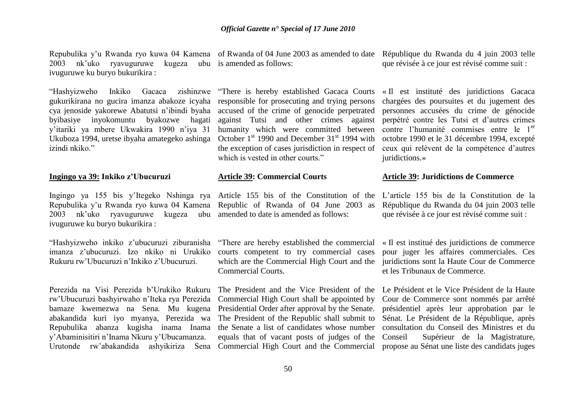2003 nk'uko ryavuguruwe kugeza ubu is amended as follows: ivuguruwe ku buryo bukurikira :

"Hashyizweho Inkiko Gacaca zishinzwe "There is hereby established Gacaca Courts gukurikirana no gucira imanza abakoze icyaha responsible for prosecuting and trying persons cya jenoside yakorewe Abatutsi n'ibindi byaha byibasiye inyokomuntu byakozwe hagati y'itariki ya mbere Ukwakira 1990 n'iya 31 Ukuboza 1994, uretse ibyaha amategeko ashinga izindi nkiko."

#### **Ingingo ya 39: Inkiko z"Ubucuruzi**

Ingingo ya 155 bis y'Itegeko Nshinga rya Article 155 bis of the Constitution of the L'article 155 bis de la Constitution de la Repubulika y'u Rwanda ryo kuwa 04 Kamena Republic of Rwanda of 04 June 2003 as 2003 nk'uko ryavuguruwe kugeza ubu amended to date is amended as follows: ivuguruwe ku buryo bukurikira :

"Hashyizweho inkiko z'ubucuruzi ziburanisha imanza z'ubucuruzi. Izo nkiko ni Urukiko Rukuru rw'Ubucuruzi n'Inkiko z'Ubucuruzi.

Perezida na Visi Perezida b'Urukiko Rukuru rw'Ubucuruzi bashyirwaho n'Iteka rya Perezida bamaze kwemezwa na Sena. Mu kugena Presidential Order after approval by the Senate. présidentiel après leur approbation par le abakandida kuri iyo myanya, Perezida wa Repubulika abanza kugisha inama Inama y'Abaminisitiri n'Inama Nkuru y'Ubucamanza.

Repubulika y'u Rwanda ryo kuwa 04 Kamena of Rwanda of 04 June 2003 as amended to date République du Rwanda du 4 juin 2003 telle

accused of the crime of genocide perpetrated against Tutsi and other crimes against humanity which were committed between October  $1<sup>st</sup>$  1990 and December  $31<sup>st</sup>$  1994 with the exception of cases jurisdiction in respect of which is vested in other courts."

#### **Article 39: Commercial Courts**

"There are hereby established the commercial courts competent to try commercial cases which are the Commercial High Court and the Commercial Courts.

The President and the Vice President of the Le Président et le Vice Président de la Haute Commercial High Court shall be appointed by The President of the Republic shall submit to the Senate a list of candidates whose number equals that of vacant posts of judges of the

que révisée à ce jour est révisé comme suit :

« Il est instituté des juridictions Gacaca chargées des poursuites et du jugement des personnes accusées du crime de génocide perpétré contre les Tutsi et d'autres crimes contre l'humanité commises entre le 1<sup>er</sup> octobre 1990 et le 31 décembre 1994, excepté ceux qui relèvent de la compétence d'autres juridictions.»

#### **Article 39: Juridictions de Commerce**

République du Rwanda du 04 juin 2003 telle que révisée à ce jour est révisé comme suit :

« Il est institué des juridictions de commerce pour juger les affaires commerciales. Ces juridictions sont la Haute Cour de Commerce et les Tribunaux de Commerce.

Urutonde rw'abakandida ashyikiriza Sena Commercial High Court and the Commercial propose au Sénat une liste des candidats juges Cour de Commerce sont nommés par arrêté Sénat. Le Président de la République, après consultation du Conseil des Ministres et du Supérieur de la Magistrature,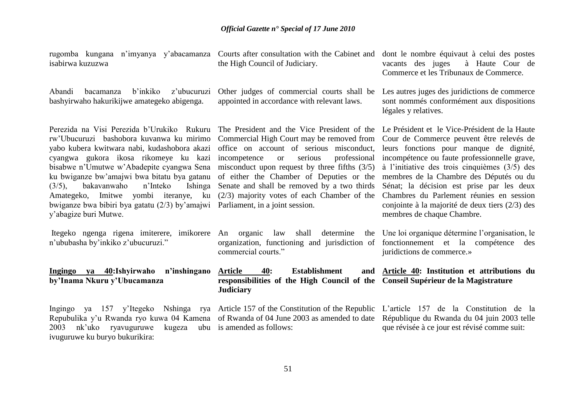Courts after consultation with the Cabinet and

dont le nombre équivaut à celui des postes

rugomba kungana n'imyanya y'abacamanza

ivuguruwe ku buryo bukurikira:

| isabirwa kuzuzwa                                                                                                                                                                                                                                                                                                                                                                                                                                  | the High Council of Judiciary.                                                                                                                                                                                                                                                                                                                                                                                                                                                   | à Haute Cour de<br>vacants des juges<br>Commerce et les Tribunaux de Commerce.                                                                                                                                                                                                                                                                                                                                |
|---------------------------------------------------------------------------------------------------------------------------------------------------------------------------------------------------------------------------------------------------------------------------------------------------------------------------------------------------------------------------------------------------------------------------------------------------|----------------------------------------------------------------------------------------------------------------------------------------------------------------------------------------------------------------------------------------------------------------------------------------------------------------------------------------------------------------------------------------------------------------------------------------------------------------------------------|---------------------------------------------------------------------------------------------------------------------------------------------------------------------------------------------------------------------------------------------------------------------------------------------------------------------------------------------------------------------------------------------------------------|
| z'ubucuruzi<br>Abandi<br>b'inkiko<br>bacamanza<br>bashyirwaho hakurikijwe amategeko abigenga.                                                                                                                                                                                                                                                                                                                                                     | Other judges of commercial courts shall be<br>appointed in accordance with relevant laws.                                                                                                                                                                                                                                                                                                                                                                                        | Les autres juges des juridictions de commerce<br>sont nommés conformément aux dispositions<br>légales y relatives.                                                                                                                                                                                                                                                                                            |
| Perezida na Visi Perezida b'Urukiko Rukuru<br>rw'Ubucuruzi bashobora kuvanwa ku mirimo<br>yabo kubera kwitwara nabi, kudashobora akazi<br>cyangwa gukora ikosa rikomeye ku kazi<br>bisabwe n'Umutwe w'Abadepite cyangwa Sena<br>ku bwiganze bw'amajwi bwa bitatu bya gatanu<br>n'Inteko<br>$(3/5)$ ,<br>bakavanwaho<br>Ishinga<br>Amategeko, Imitwe yombi iteranye, ku<br>bwiganze bwa bibiri bya gatatu (2/3) by'amajwi<br>y'abagize buri Mutwe. | The President and the Vice President of the Le Président et le Vice-Président de la Haute<br>Commercial High Court may be removed from<br>office on account of serious misconduct,<br>professional<br>serious<br>incompetence<br><sub>or</sub><br>misconduct upon request by three fifths $(3/5)$<br>of either the Chamber of Deputies or the<br>Senate and shall be removed by a two thirds<br>$(2/3)$ majority votes of each Chamber of the<br>Parliament, in a joint session. | Cour de Commerce peuvent être relevés de<br>leurs fonctions pour manque de dignité,<br>incompétence ou faute professionnelle grave,<br>à l'initiative des trois cinquièmes $(3/5)$ des<br>membres de la Chambre des Députés ou du<br>Sénat; la décision est prise par les deux<br>Chambres du Parlement réunies en session<br>conjointe à la majorité de deux tiers $(2/3)$ des<br>membres de chaque Chambre. |
| Itegeko ngenga rigena imiterere, imikorere<br>n'ububasha by'inkiko z'ubucuruzi."                                                                                                                                                                                                                                                                                                                                                                  | determine<br>An organic<br>law<br>shall<br>organization, functioning and jurisdiction of fonctionnement et la compétence des<br>commercial courts."                                                                                                                                                                                                                                                                                                                              | the Une loi organique détermine l'organisation, le<br>juridictions de commerce.»                                                                                                                                                                                                                                                                                                                              |
| Ingingo ya 40:Ishyirwaho n'inshingano<br>by'Inama Nkuru y'Ubucamanza                                                                                                                                                                                                                                                                                                                                                                              | <b>Article</b><br>40:<br><b>Establishment</b><br>responsibilities of the High Council of the Conseil Supérieur de la Magistrature<br><b>Judiciary</b>                                                                                                                                                                                                                                                                                                                            | and Article 40: Institution et attributions du                                                                                                                                                                                                                                                                                                                                                                |
| ya 157 y'Itegeko<br>Ingingo<br>Repubulika y'u Rwanda ryo kuwa 04 Kamena of Rwanda of 04 June 2003 as amended to date<br>nk'uko<br>ryavuguruwe<br>2003                                                                                                                                                                                                                                                                                             | Nshinga rya Article 157 of the Constitution of the Republic L'article 157 de la Constitution de la<br>kugeza ubu is amended as follows:                                                                                                                                                                                                                                                                                                                                          | République du Rwanda du 04 juin 2003 telle<br>que révisée à ce jour est révisé comme suit:                                                                                                                                                                                                                                                                                                                    |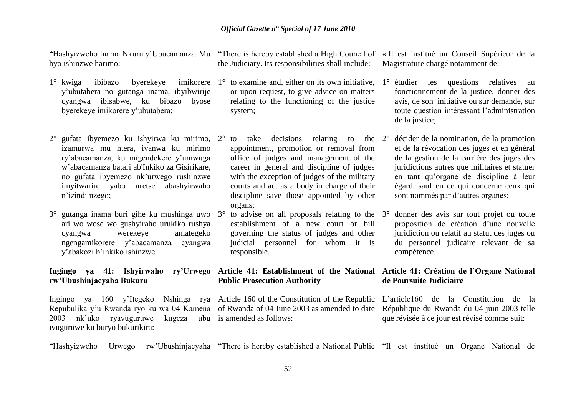"Hashyizweho Inama Nkuru y'Ubucamanza. Mu "There is hereby established a High Council of « Il est institué un Conseil Supérieur de la byo ishinzwe harimo:

- $1^\circ$  kwiga ibibazo byerekeye y'ubutabera no gutanga inama, ibyibwirije cyangwa ibisabwe, ku bibazo byose byerekeye imikorere y'ubutabera;
- 2° gufata ibyemezo ku ishyirwa ku mirimo, izamurwa mu ntera, ivanwa ku mirimo ry'abacamanza, ku migendekere y'umwuga w'abacamanza batari ab'Inkiko za Gisirikare, no gufata ibyemezo nk'urwego rushinzwe imyitwarire yabo uretse abashyirwaho n'izindi nzego;
- $3^{\circ}$  gutanga inama buri gihe ku mushinga uwo  $3^{\circ}$ ari wo wose wo gushyiraho urukiko rushya cyangwa werekeye amategeko ngengamikorere y'abacamanza cyangwa y'abakozi b'inkiko ishinzwe.

#### **Ingingo ya 41: Ishyirwaho ry"Urwego Article 41: Establishment of the National Article 41: Création de l"Organe National rw"Ubushinjacyaha Bukuru**

Ingingo ya 160 y'Itegeko Nshinga rya Article 160 of the Constitution of the Republic L'article160 de la Constitution de la Repubulika y'u Rwanda ryo ku wa 04 Kamena of Rwanda of 04 June 2003 as amended to date République du Rwanda du 04 juin 2003 telle 2003 nk'uko ryavuguruwe ivuguruwe ku buryo bukurikira:

the Judiciary. Its responsibilities shall include:

- $1^{\circ}$  to examine and, either on its own initiative,  $1^{\circ}$  étudier les questions relatives au or upon request, to give advice on matters relating to the functioning of the justice system;
- $2^{\circ}$  to take decisions relating to the  $2^{\circ}$  décider de la nomination, de la promotion appointment, promotion or removal from office of judges and management of the career in general and discipline of judges with the exception of judges of the military courts and act as a body in charge of their discipline save those appointed by other organs;
- to advise on all proposals relating to the  $3^\circ$ establishment of a new court or bill governing the status of judges and other judicial personnel for whom it is responsible.

## **Public Prosecution Authority**

kugeza ubu is amended as follows:

Magistrature chargé notamment de:

- fonctionnement de la justice, donner des avis, de son initiative ou sur demande, sur toute question intéressant l'administration de la justice;
- et de la révocation des juges et en général de la gestion de la carrière des juges des juridictions autres que militaires et statuer en tant qu'organe de discipline à leur égard, sauf en ce qui concerne ceux qui sont nommés par d'autres organes;
- 3° donner des avis sur tout projet ou toute proposition de création d'une nouvelle juridiction ou relatif au statut des juges ou du personnel judicaire relevant de sa compétence.

## **de Poursuite Judiciaire**

que révisée à ce jour est révisé comme suit:

"Hashyizweho Urwego rw'Ubushinjacyaha "There is hereby established a National Public "Il est institué un Organe National de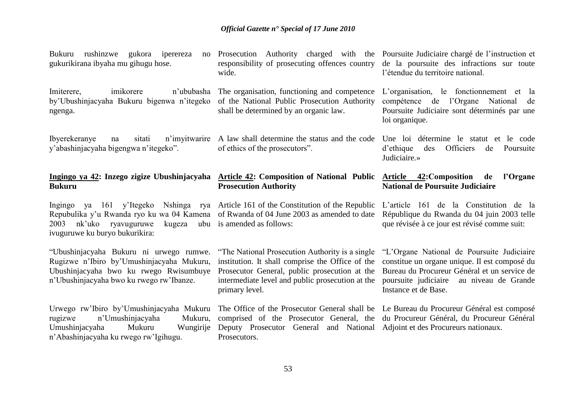Bukuru rushinzwe gukora iperereza no gukurikirana ibyaha mu gihugu hose.

Imiterere, imikorere n'ububasha by'Ubushinjacyaha Bukuru bigenwa n'itegeko ngenga.

Ibyerekeranye na sitati n'imyitwarire A law shall determine the status and the code y'abashinjacyaha bigengwa n'itegeko".

#### **Ingingo ya 42: Inzego zigize Ubushinjacyaha Article 42: Composition of National Public Bukuru**

2003 nk'uko ryavuguruwe ivuguruwe ku buryo bukurikira:

"Ubushinjacyaha Bukuru ni urwego rumwe. Rugizwe n'Ibiro by'Umushinjacyaha Mukuru, Ubushinjacyaha bwo ku rwego Rwisumbuye n'Ubushinjacyaha bwo ku rwego rw'Ibanze.

Urwego rw'Ibiro by'Umushinjacyaha Mukuru rugizwe n'Umushinjacyaha Mukuru, Umushinjacyaha Mukuru Wungirije n'Abashinjacyaha ku rwego rw'Igihugu.

The organisation, functioning and competence of the National Public Prosecution Authority shall be determined by an organic law.

of ethics of the prosecutors".

# **Prosecution Authority**

Ingingo ya 161 y'Itegeko Nshinga rya Article 161 of the Constitution of the Republic Repubulika y'u Rwanda ryo ku wa 04 Kamena of Rwanda of 04 June 2003 as amended to date kugeza ubu is amended as follows:

> "The National Prosecution Authority is a single institution. It shall comprise the Office of the constitue un organe unique. Il est composé du Prosecutor General, public prosecution at the Bureau du Procureur Général et un service de intermediate level and public prosecution at the poursuite judiciaire au niveau de Grande primary level.

> comprised of the Prosecutor General, the du Procureur Général, du Procureur Général Deputy Prosecutor General and National Adjoint et des Procureurs nationaux.Prosecutors.

> Prosecution Authority charged with the Poursuite Judiciaire chargé de l'instruction et de la poursuite des infractions sur toute l'étendue du territoire national.

> > L'organisation, le fonctionnement et la compétence de l'Organe National de Poursuite Judiciaire sont déterminés par une loi organique.

> > Une loi détermine le statut et le code d'ethique des Officiers de Poursuite Judiciaire.»

#### **Article 42:Composition de l"Organe National de Poursuite Judiciaire**

L'article 161 de la Constitution de la République du Rwanda du 04 juin 2003 telle que révisée à ce jour est révisé comme suit:

"L'Organe National de Poursuite Judiciaire Instance et de Base.

The Office of the Prosecutor General shall be Le Bureau du Procureur Général est composé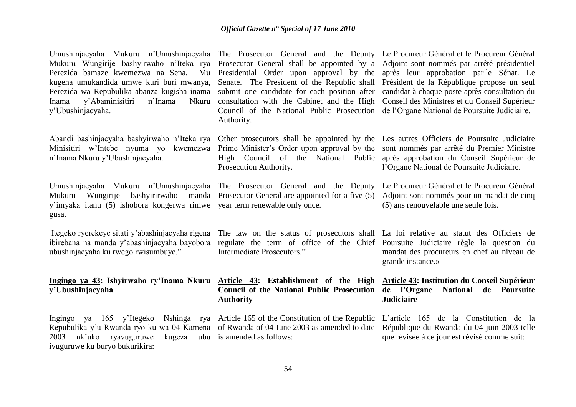| Umushinjacyaha Mukuru n'Umushinjacyaha The Prosecutor General and the Deputy Le Procureur Général et le Procureur Général<br>Mukuru Wungirije bashyirwaho n'Iteka rya Prosecutor General shall be appointed by a Adjoint sont nommés par arrêté présidentiel<br>Perezida bamaze kwemezwa na Sena. Mu Presidential Order upon approval by the après leur approbation par le Sénat. Le<br>kugena umukandida umwe kuri buri mwanya,<br>Perezida wa Repubulika abanza kugisha inama<br>y'Abaminisitiri<br>n'Inama<br>Nkuru<br>Inama<br>y'Ubushinjacyaha. | Senate. The President of the Republic shall Président de la République propose un seul<br>submit one candidate for each position after candidat à chaque poste après consultation du<br>consultation with the Cabinet and the High Conseil des Ministres et du Conseil Supérieur<br>Council of the National Public Prosecution de l'Organe National de Poursuite Judiciaire.<br>Authority. |                                                                                                                                    |
|------------------------------------------------------------------------------------------------------------------------------------------------------------------------------------------------------------------------------------------------------------------------------------------------------------------------------------------------------------------------------------------------------------------------------------------------------------------------------------------------------------------------------------------------------|--------------------------------------------------------------------------------------------------------------------------------------------------------------------------------------------------------------------------------------------------------------------------------------------------------------------------------------------------------------------------------------------|------------------------------------------------------------------------------------------------------------------------------------|
| Abandi bashinjacyaha bashyirwaho n'Iteka rya<br>Minisitiri w'Intebe nyuma yo<br>kwemezwa<br>n'Inama Nkuru y'Ubushinjacyaha.                                                                                                                                                                                                                                                                                                                                                                                                                          | Other prosecutors shall be appointed by the Les autres Officiers de Poursuite Judiciaire<br>Prime Minister's Order upon approval by the sont nommés par arrêté du Premier Ministre<br>High Council of the National Public après approbation du Conseil Supérieur de<br>Prosecution Authority.                                                                                              | l'Organe National de Poursuite Judiciaire.                                                                                         |
| Umushinjacyaha Mukuru n'Umushinjacyaha The Prosecutor General and the Deputy<br>Mukuru<br>Wungirije<br>y'imyaka itanu (5) ishobora kongerwa rimwe year term renewable only once.<br>gusa.                                                                                                                                                                                                                                                                                                                                                            | bashyirirwaho manda Prosecutor General are appointed for a five (5)                                                                                                                                                                                                                                                                                                                        | Le Procureur Général et le Procureur Général<br>Adjoint sont nommés pour un mandat de cinq<br>(5) ans renouvelable une seule fois. |
| Itegeko ryerekeye sitati y'abashinjacyaha rigena<br>ibirebana na manda y'abashinjacyaha bayobora<br>ubushinjacyaha ku rwego rwisumbuye."                                                                                                                                                                                                                                                                                                                                                                                                             | The law on the status of prosecutors shall La loi relative au statut des Officiers de<br>regulate the term of office of the Chief Poursuite Judiciaire règle la question du<br>Intermediate Prosecutors."                                                                                                                                                                                  | mandat des procureurs en chef au niveau de<br>grande instance.»                                                                    |
| Ingingo ya 43: Ishyirwaho ry'Inama Nkuru Article 43: Establishment of the High Article 43: Institution du Conseil Supérieur<br>y'Ubushinjacyaha                                                                                                                                                                                                                                                                                                                                                                                                      | Council of the National Public Prosecution de l'Organe National<br><b>Authority</b>                                                                                                                                                                                                                                                                                                        | de Poursuite<br><b>Judiciaire</b>                                                                                                  |
| Ingingo ya 165 y'Itegeko Nshinga rya Article 165 of the Constitution of the Republic L'article 165 de la Constitution de la<br>Repubulika y'u Rwanda ryo ku wa 04 Kamena of Rwanda of 04 June 2003 as amended to date République du Rwanda du 04 juin 2003 telle<br>nk'uko<br>ryavuguruwe<br>2003<br>kugeza<br>ivuguruwe ku buryo bukurikira:                                                                                                                                                                                                        | ubu is amended as follows:                                                                                                                                                                                                                                                                                                                                                                 | que révisée à ce jour est révisé comme suit:                                                                                       |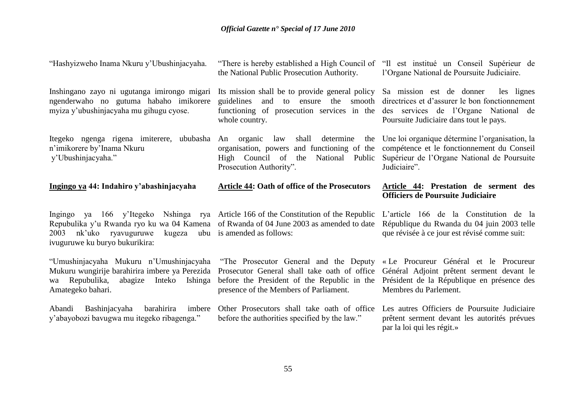| "Hashyizweho Inama Nkuru y'Ubushinjacyaha.                                                                                                                                                      | "There is hereby established a High Council of<br>the National Public Prosecution Authority.                                                                                     | "Il est institué un Conseil Supérieur de<br>l'Organe National de Poursuite Judiciaire.                                                                                      |
|-------------------------------------------------------------------------------------------------------------------------------------------------------------------------------------------------|----------------------------------------------------------------------------------------------------------------------------------------------------------------------------------|-----------------------------------------------------------------------------------------------------------------------------------------------------------------------------|
| Inshingano zayo ni ugutanga imirongo migari<br>ngenderwaho no gutuma habaho imikorere<br>myiza y'ubushinjacyaha mu gihugu cyose.                                                                | Its mission shall be to provide general policy<br>and to ensure the smooth<br>guidelines<br>functioning of prosecution services in the<br>whole country.                         | Sa mission est de donner<br>les lignes<br>directrices et d'assurer le bon fonctionnement<br>des services de l'Organe National de<br>Poursuite Judiciaire dans tout le pays. |
| Itegeko ngenga rigena imiterere, ububasha<br>n'imikorere by'Inama Nkuru<br>y'Ubushinjacyaha."                                                                                                   | shall<br>determine<br>organic<br>law<br>the<br>An<br>and functioning of the<br>organisation, powers<br>High Council of the<br>National Public<br>Prosecution Authority".         | Une loi organique détermine l'organisation, la<br>compétence et le fonctionnement du Conseil<br>Supérieur de l'Organe National de Poursuite<br>Judiciaire".                 |
| Ingingo ya 44: Indahiro y'abashinjacyaha                                                                                                                                                        | <b>Article 44: Oath of office of the Prosecutors</b>                                                                                                                             | Article 44: Prestation de serment des<br><b>Officiers de Poursuite Judiciaire</b>                                                                                           |
|                                                                                                                                                                                                 |                                                                                                                                                                                  |                                                                                                                                                                             |
| ya 166 y'Itegeko<br>Ingingo<br>Repubulika y'u Rwanda ryo ku wa 04 Kamena of Rwanda of 04 June 2003 as amended to date<br>nk'uko ryavuguruwe<br>kugeza<br>2003<br>ivuguruwe ku buryo bukurikira: | Nshinga rya Article 166 of the Constitution of the Republic<br>ubu is amended as follows:                                                                                        | L'article 166 de la Constitution de la<br>République du Rwanda du 04 juin 2003 telle<br>que révisée à ce jour est révisé comme suit:                                        |
| "Umushinjacyaha Mukuru n'Umushinjacyaha<br>Mukuru wungirije barahirira imbere ya Perezida<br>Inteko<br>Repubulika,<br>abagize<br>Ishinga<br>wa<br>Amategeko bahari.                             | "The Prosecutor General and the Deputy"<br>Prosecutor General shall take oath of office<br>before the President of the Republic in the<br>presence of the Members of Parliament. | « Le Procureur Général et le Procureur<br>Général Adjoint prêtent serment devant le<br>Président de la République en présence des<br>Membres du Parlement.                  |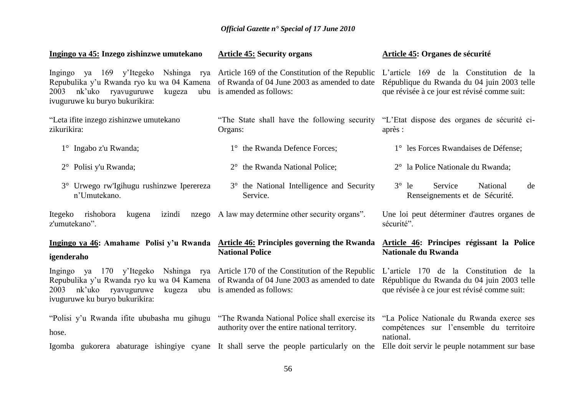| Ingingo ya 45: Inzego zishinzwe umutekano                                                                                                                                                                                                             | <b>Article 45: Security organs</b>                                                                                                        | Article 45: Organes de sécurité                                                                                                      |
|-------------------------------------------------------------------------------------------------------------------------------------------------------------------------------------------------------------------------------------------------------|-------------------------------------------------------------------------------------------------------------------------------------------|--------------------------------------------------------------------------------------------------------------------------------------|
| ya 169 y'Itegeko<br>Ingingo<br>Repubulika y'u Rwanda ryo ku wa 04 Kamena<br>nk'uko ryavuguruwe<br>kugeza<br>2003<br>ivuguruwe ku buryo bukurikira:                                                                                                    | Nshinga rya Article 169 of the Constitution of the Republic<br>of Rwanda of 04 June 2003 as amended to date<br>ubu is amended as follows: | L'article 169 de la Constitution de la<br>République du Rwanda du 04 juin 2003 telle<br>que révisée à ce jour est révisé comme suit: |
| "Leta ifite inzego zishinzwe umutekano<br>zikurikira:                                                                                                                                                                                                 | "The State shall have the following security "L'Etat dispose des organes de sécurité ci-<br>Organs:                                       | après :                                                                                                                              |
| $1^{\circ}$ Ingabo z'u Rwanda;                                                                                                                                                                                                                        | 1° the Rwanda Defence Forces;                                                                                                             | 1° les Forces Rwandaises de Défense;                                                                                                 |
| 2° Polisi y'u Rwanda;                                                                                                                                                                                                                                 | $2^{\circ}$ the Rwanda National Police;                                                                                                   | 2° la Police Nationale du Rwanda;                                                                                                    |
| 3° Urwego rw'Igihugu rushinzwe Iperereza<br>n'Umutekano.                                                                                                                                                                                              | 3° the National Intelligence and Security<br>Service.                                                                                     | $3^\circ$ le<br>Service<br>National<br>de<br>Renseignements et de Sécurité.                                                          |
| Itegeko rishobora<br>izindi<br>kugena<br>nzego<br>z'umutekano".                                                                                                                                                                                       | A law may determine other security organs".                                                                                               | Une loi peut déterminer d'autres organes de<br>sécurité".                                                                            |
| Ingingo ya 46: Amahame Polisi y'u Rwanda Article 46: Principles governing the Rwanda<br>igenderaho                                                                                                                                                    | <b>National Police</b>                                                                                                                    | Article 46: Principes régissant la Police<br><b>Nationale du Rwanda</b>                                                              |
| Ingingo ya 170 y'Itegeko Nshinga rya Article 170 of the Constitution of the Republic L'article 170 de la Constitution de la<br>Repubulika y'u Rwanda ryo ku wa 04 Kamena<br>nk'uko<br>ryavuguruwe<br>2003<br>kugeza<br>ivuguruwe ku buryo bukurikira: | of Rwanda of 04 June 2003 as amended to date<br>ubu is amended as follows:                                                                | République du Rwanda du 04 juin 2003 telle<br>que révisée à ce jour est révisé comme suit:                                           |
| "Polisi y'u Rwanda ifite ububasha mu gihugu<br>hose.                                                                                                                                                                                                  | "The Rwanda National Police shall exercise its<br>authority over the entire national territory.                                           | "La Police Nationale du Rwanda exerce ses<br>compétences sur l'ensemble du territoire<br>national.                                   |
| Igomba gukorera abaturage ishingiye cyane It shall serve the people particularly on the Elle doit servir le peuple notamment sur base                                                                                                                 |                                                                                                                                           |                                                                                                                                      |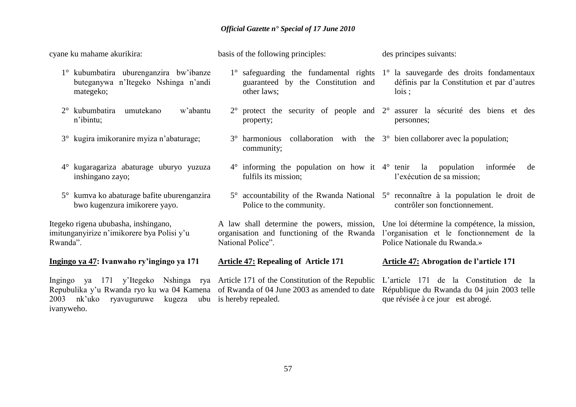| cyane ku mahame akurikira:                                                                                                                                                   | basis of the following principles:                                                                            | des principes suivants:                                                                                                                                  |
|------------------------------------------------------------------------------------------------------------------------------------------------------------------------------|---------------------------------------------------------------------------------------------------------------|----------------------------------------------------------------------------------------------------------------------------------------------------------|
| 1° kubumbatira uburenganzira bw'ibanze<br>buteganywa n'Itegeko Nshinga n'andi<br>mategeko;                                                                                   | guaranteed by the Constitution and<br>other laws;                                                             | $1^\circ$ safeguarding the fundamental rights $1^\circ$ la sauvegarde des droits fondamentaux<br>définis par la Constitution et par d'autres<br>$lois$ : |
| kubumbatira<br>umutekano<br>w'abantu<br>$2^{\circ}$<br>n'ibintu;                                                                                                             | property;                                                                                                     | $2^{\circ}$ protect the security of people and $2^{\circ}$ assurer la sécurité des biens et des<br>personnes;                                            |
| 3° kugira imikoranire myiza n'abaturage;                                                                                                                                     | $3^{\circ}$ harmonious collaboration with the $3^{\circ}$ bien collaborer avec la population;<br>community;   |                                                                                                                                                          |
| kugaragariza abaturage uburyo yuzuza<br>$4^{\circ}$<br>inshingano zayo;                                                                                                      | $4^{\circ}$ informing the population on how it $4^{\circ}$ tenir la<br>fulfils its mission;                   | population<br>informée<br>de<br>l'exécution de sa mission;                                                                                               |
| 5° kumva ko abaturage bafite uburenganzira<br>bwo kugenzura imikorere yayo.                                                                                                  | Police to the community.                                                                                      | $5^{\circ}$ accountability of the Rwanda National $5^{\circ}$ reconnaître à la population le droit de<br>contrôler son fonctionnement.                   |
| Itegeko rigena ububasha, inshingano,<br>imitunganyirize n'imikorere bya Polisi y'u<br>Rwanda".                                                                               | A law shall determine the powers, mission,<br>organisation and functioning of the Rwanda<br>National Police". | Une loi détermine la compétence, la mission,<br>l'organisation et le fonctionnement de la<br>Police Nationale du Rwanda.»                                |
| Ingingo ya 47: Ivanwaho ry'ingingo ya 171                                                                                                                                    | <b>Article 47: Repealing of Article 171</b>                                                                   | <b>Article 47: Abrogation de l'article 171</b>                                                                                                           |
| Ingingo ya 171 y'Itegeko Nshinga rya Article 171 of the Constitution of the Republic<br>Repubulika y'u Rwanda ryo ku wa 04 Kamena<br>2003<br>nk'uko<br>ryavuguruwe<br>kugeza | of Rwanda of 04 June 2003 as amended to date<br>ubu is hereby repealed.                                       | L'article 171 de la Constitution de la<br>République du Rwanda du 04 juin 2003 telle<br>que révisée à ce jour est abrogé.                                |

ivanyweho.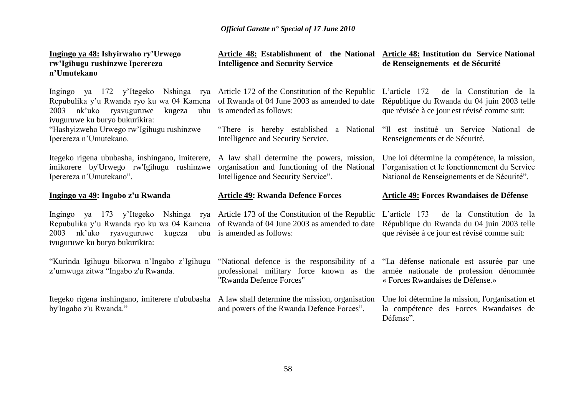| Ingingo ya 48: Ishyirwaho ry'Urwego<br>rw'Igihugu rushinzwe Iperereza<br>n'Umutekano                                                                                                                                                                        | Article 48: Establishment of the National<br><b>Intelligence and Security Service</b>                                                                                                                | <b>Article 48: Institution du Service National</b><br>de Renseignements et de Sécurité                                                        |
|-------------------------------------------------------------------------------------------------------------------------------------------------------------------------------------------------------------------------------------------------------------|------------------------------------------------------------------------------------------------------------------------------------------------------------------------------------------------------|-----------------------------------------------------------------------------------------------------------------------------------------------|
| Nshinga rya<br>Ingingo ya 172 y'Itegeko<br>Repubulika y'u Rwanda ryo ku wa 04 Kamena<br>nk'uko ryavuguruwe<br>kugeza<br>2003<br>ubu<br>ivuguruwe ku buryo bukurikira:                                                                                       | Article 172 of the Constitution of the Republic<br>of Rwanda of 04 June 2003 as amended to date<br>is amended as follows:                                                                            | L'article $172$<br>de la Constitution de la<br>République du Rwanda du 04 juin 2003 telle<br>que révisée à ce jour est révisé comme suit:     |
| "Hashyizweho Urwego rw'Igihugu rushinzwe<br>Iperereza n'Umutekano.                                                                                                                                                                                          | "There is hereby established a National<br>Intelligence and Security Service.                                                                                                                        | "Il est institué un Service National de<br>Renseignements et de Sécurité.                                                                     |
| Itegeko rigena ububasha, inshingano, imiterere, A law shall determine the powers, mission,<br>imikorere by'Urwego rw'Igihugu rushinzwe<br>Iperereza n'Umutekano".                                                                                           | organisation and functioning of the National<br>Intelligence and Security Service".                                                                                                                  | Une loi détermine la compétence, la mission,<br>l'organisation et le fonctionnement du Service<br>National de Renseignements et de Sécurité". |
|                                                                                                                                                                                                                                                             |                                                                                                                                                                                                      |                                                                                                                                               |
| Ingingo ya 49: Ingabo z'u Rwanda                                                                                                                                                                                                                            | <b>Article 49: Rwanda Defence Forces</b>                                                                                                                                                             | <b>Article 49: Forces Rwandaises de Défense</b>                                                                                               |
| Ingingo ya 173 y'Itegeko Nshinga rya Article 173 of the Constitution of the Republic<br>Repubulika y'u Rwanda ryo ku wa 04 Kamena of Rwanda of 04 June 2003 as amended to date<br>nk'uko<br>ryavuguruwe<br>2003<br>kugeza<br>ivuguruwe ku buryo bukurikira: | ubu is amended as follows:                                                                                                                                                                           | L'article $173$<br>de la Constitution de la<br>République du Rwanda du 04 juin 2003 telle<br>que révisée à ce jour est révisé comme suit:     |
| "Kurinda Igihugu bikorwa n'Ingabo z'Igihugu<br>z'umwuga zitwa "Ingabo z'u Rwanda.                                                                                                                                                                           | "National defence is the responsibility of a "La défense nationale est assurée par une<br>professional military force known as the armée nationale de profession dénommée<br>"Rwanda Defence Forces" | « Forces Rwandaises de Défense.»                                                                                                              |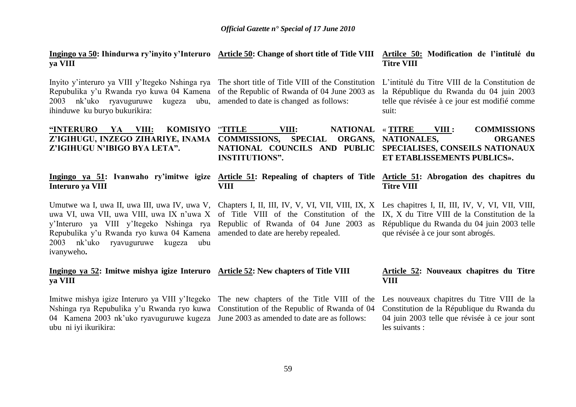|         | Ingingo ya 50: Ihindurwa ry'inyito y'Interuro Article 50: Change of short title of Title VIII Artilce 50: Modification de l'intitulé du |                   |  |
|---------|-----------------------------------------------------------------------------------------------------------------------------------------|-------------------|--|
| va VIII |                                                                                                                                         | <b>Titre VIII</b> |  |

Inyito y'interuro ya VIII y'Itegeko Nshinga rya The short title of Title VIII of the Constitution L'intitulé du Titre VIII de la Constitution de Repubulika y'u Rwanda ryo kuwa 04 Kamena of the Republic of Rwanda of 04 June 2003 as 2003 nk'uko ryavuguruwe kugeza ubu, amended to date is changed as follows: ihinduwe ku buryo bukurikira:

la République du Rwanda du 04 juin 2003 telle que révisée à ce jour est modifié comme suit:

| "INTERURO YA VIII: KOMISIYO "TITLE                                         |                       | NATIONAL « TITRE<br>VIII:                                    | VIII :                      | <b>COMMISSIONS</b> |
|----------------------------------------------------------------------------|-----------------------|--------------------------------------------------------------|-----------------------------|--------------------|
| Z'IGIHUGU, INZEGO ZIHARIYE, INAMA COMMISSIONS, SPECIAL ORGANS, NATIONALES, |                       |                                                              |                             | <b>ORGANES</b>     |
| Z'IGIHUGU N'IBIGO BYA LETA".                                               | <b>INSTITUTIONS".</b> | NATIONAL COUNCILS AND PUBLIC SPECIALISES, CONSEILS NATIONAUX | ET ETABLISSEMENTS PUBLICS». |                    |

### **Interuro ya VIII**

Umutwe wa I, uwa II, uwa III, uwa IV, uwa V, Chapters I, II, III, IV, V, VI, VII, VIII, IX, X Les chapitres I, II, III, IV, V, VI, VII, VIII, uwa VI, uwa VII, uwa VIII, uwa IX n'uwa X of Title VIII of the Constitution of the IX, X du Titre VIII de la Constitution de la y'Interuro ya VIII y'Itegeko Nshinga rya Republic of Rwanda of 04 June 2003 as Repubulika y'u Rwanda ryo kuwa 04 Kamena amended to date are hereby repealed. 2003 nk'uko ryavuguruwe kugeza ubu ivanyweho**.**

#### **Ingingo ya 52: Imitwe mishya igize Interuro Article 52: New chapters of Title VIII ya VIII**

**VIII**

Imitwe mishya igize Interuro ya VIII y'Itegeko The new chapters of the Title VIII of the Les nouveaux chapitres du Titre VIII de la Nshinga rya Repubulika y'u Rwanda ryo kuwa Constitution of the Republic of Rwanda of 04 04 Kamena 2003 nk'uko ryavuguruwe kugeza June 2003 as amended to date are as follows: ubu ni iyi ikurikira:

#### **Ingingo ya 51: Ivanwaho ry"imitwe igize Article 51: Repealing of chapters of Title Article 51: Abrogation des chapitres du Titre VIII**

République du Rwanda du 04 juin 2003 telle que révisée à ce jour sont abrogés.

#### **Article 52: Nouveaux chapitres du Titre VIII**

Constitution de la République du Rwanda du 04 juin 2003 telle que révisée à ce jour sont les suivants :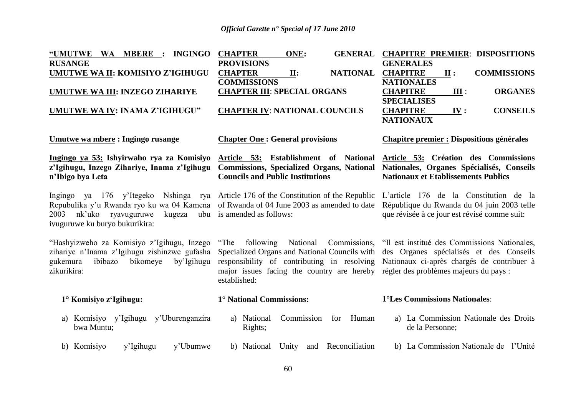| "UMUTWE<br>WA MBERE :<br><b>INGINGO</b><br><b>RUSANGE</b>                                                                                                                                    | <b>CHAPTER</b><br><b>GENERAL</b><br>ONE:<br><b>PROVISIONS</b>                                                                                                                                             | <b>CHAPITRE PREMIER: DISPOSITIONS</b><br><b>GENERALES</b>                                                                                                                       |
|----------------------------------------------------------------------------------------------------------------------------------------------------------------------------------------------|-----------------------------------------------------------------------------------------------------------------------------------------------------------------------------------------------------------|---------------------------------------------------------------------------------------------------------------------------------------------------------------------------------|
| <b>UMUTWE WA II: KOMISIYO Z'IGIHUGU</b>                                                                                                                                                      | <b>NATIONAL</b><br><b>CHAPTER</b><br>II:                                                                                                                                                                  | <b>CHAPITRE</b><br>II:<br><b>COMMISSIONS</b>                                                                                                                                    |
| <b>UMUTWE WA III: INZEGO ZIHARIYE</b>                                                                                                                                                        | <b>COMMISSIONS</b><br><b>CHAPTER III: SPECIAL ORGANS</b>                                                                                                                                                  | <b>NATIONALES</b><br><b>CHAPITRE</b><br><b>ORGANES</b><br>III:                                                                                                                  |
| UMUTWE WA IV: INAMA Z'IGIHUGU"                                                                                                                                                               | <b>CHAPTER IV: NATIONAL COUNCILS</b>                                                                                                                                                                      | <b>SPECIALISES</b><br><b>CHAPITRE</b><br><b>CONSEILS</b><br>IV:<br><b>NATIONAUX</b>                                                                                             |
| Umutwe wa mbere: Ingingo rusange                                                                                                                                                             | <b>Chapter One: General provisions</b>                                                                                                                                                                    | <b>Chapitre premier : Dispositions générales</b>                                                                                                                                |
| Ingingo ya 53: Ishyirwaho rya za Komisiyo<br>z'Igihugu, Inzego Zihariye, Inama z'Igihugu<br>n'Ibigo bya Leta                                                                                 | Article 53: Establishment of National<br><b>Commissions, Specialized Organs, National</b><br><b>Councils and Public Institutions</b>                                                                      | Article 53: Création des Commissions<br>Nationales, Organes Spécialisés, Conseils<br><b>Nationaux et Etablissements Publics</b>                                                 |
| Ingingo ya 176 y'Itegeko<br>Repubulika y'u Rwanda ryo ku wa 04 Kamena of Rwanda of 04 June 2003 as amended to date<br>nk'uko ryavuguruwe<br>kugeza<br>2003<br>ivuguruwe ku buryo bukurikira: | Nshinga rya Article 176 of the Constitution of the Republic<br>ubu is amended as follows:                                                                                                                 | L'article 176 de la Constitution de la<br>République du Rwanda du 04 juin 2003 telle<br>que révisée à ce jour est révisé comme suit:                                            |
| "Hashyizweho za Komisiyo z'Igihugu, Inzego<br>zihariye n'Inama z'Igihugu zishinzwe gufasha<br>gukemura<br>bikomeye<br>ibibazo<br>by'Igihugu<br>zikurikira:                                   | "The following"<br>National<br>Commissions,<br>Specialized Organs and National Councils with<br>responsibility of contributing in resolving<br>major issues facing the country are hereby<br>established: | "Il est institué des Commissions Nationales,<br>des Organes spécialisés et des Conseils<br>Nationaux ci-après chargés de contribuer à<br>régler des problèmes majeurs du pays : |
| 1° Komisiyo z'Igihugu:                                                                                                                                                                       | 1° National Commissions:                                                                                                                                                                                  | 1°Les Commissions Nationales:                                                                                                                                                   |
| a) Komisiyo y'Igihugu y'Uburenganzira<br>bwa Muntu;                                                                                                                                          | Commission<br>Human<br>a) National<br>for<br>Rights;                                                                                                                                                      | a) La Commission Nationale des Droits<br>de la Personne;                                                                                                                        |
| y'Ubumwe<br>b) Komisiyo<br>y'Igihugu                                                                                                                                                         | Reconciliation<br>b) National<br>Unity<br>and                                                                                                                                                             | b) La Commission Nationale de l'Unité                                                                                                                                           |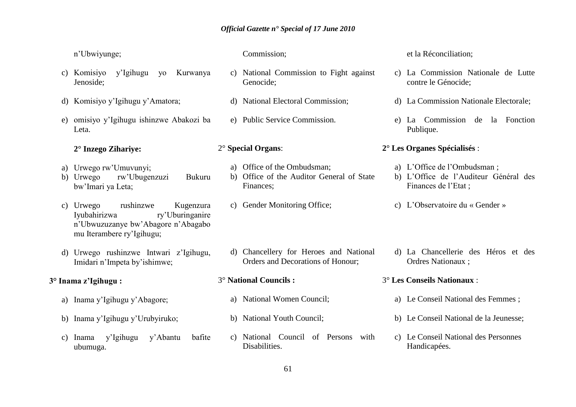n'Ubwiyunge;

- c) Komisiyo y'Igihugu yo Kurwanya Jenoside;
- d) Komisiyo y'Igihugu y'Amatora;
- e) omisiyo y'Igihugu ishinzwe Abakozi ba Leta.

#### **2° Inzego Zihariye:**

- a) Urwego rw'Umuvunyi;
- b) Urwego rw'Ubugenzuzi Bukuru bw'Imari ya Leta;
- c) Urwego rushinzwe Kugenzura Iyubahirizwa ry'Uburinganire n'Ubwuzuzanye bw'Abagore n'Abagabo mu Iterambere ry'Igihugu;
- d) Urwego rushinzwe Intwari z'Igihugu, Imidari n'Impeta by'ishimwe;

### **3° Inama z"Igihugu :**

- a) Inama y'Igihugu y'Abagore;
- b) Inama y'Igihugu y'Urubyiruko;
- c) Inama y'Igihugu y'Abantu bafite ubumuga.

#### Commission;

- c) National Commission to Fight against Genocide;
- d) National Electoral Commission;
- e) Public Service Commission.

#### 2° **Special Organs**:

- a) Office of the Ombudsman;
- b) Office of the Auditor General of State Finances;
- c) Gender Monitoring Office;
- d) Chancellery for Heroes and National Orders and Decorations of Honour;

#### 3° **National Councils :**

- a) National Women Council;
- b) National Youth Council;
- c) National Council of Persons with Disabilities.

### et la Réconciliation;

- c) La Commission Nationale de Lutte contre le Génocide;
- d) La Commission Nationale Electorale;
- e) La Commission de la Fonction Publique.

#### **2° Les Organes Spécialisés** :

- a) L'Office de l'Ombudsman ;
- b) L'Office de l'Auditeur Général des Finances de l'Etat ;
- c) L'Observatoire du « Gender »
- d) La Chancellerie des Héros et des Ordres Nationaux ;
- 3° **Les Conseils Nationaux** :
	- a) Le Conseil National des Femmes ;
	- b) Le Conseil National de la Jeunesse;
	- c) Le Conseil National des Personnes Handicapées.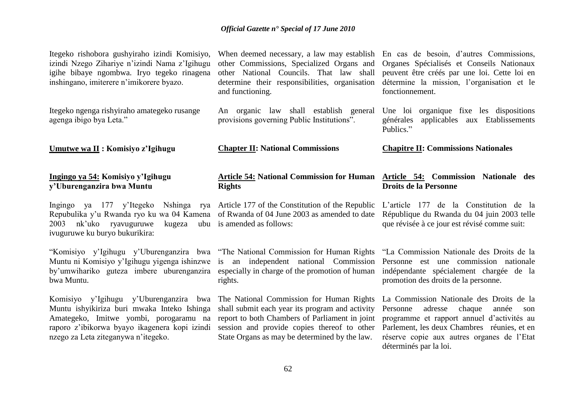Itegeko rishobora gushyiraho izindi Komisiyo, izindi Nzego Zihariye n'izindi Nama z'Igihugu igihe bibaye ngombwa. Iryo tegeko rinagena inshingano, imiterere n'imikorere byazo.

Itegeko ngenga rishyiraho amategeko rusange agenga ibigo bya Leta."

**Umutwe wa II : Komisiyo z"Igihugu**

#### **Ingingo ya 54: Komisiyo y"Igihugu y"Uburenganzira bwa Muntu**

Repubulika y'u Rwanda ryo ku wa 04 Kamena of Rwanda of 04 June 2003 as amended to date 2003 nk'uko ryavuguruwe kugeza ubu is amended as follows: ivuguruwe ku buryo bukurikira:

"Komisiyo y'Igihugu y'Uburenganzira bwa "The National Commission for Human Rights Muntu ni Komisiyo y'Igihugu yigenga ishinzwe is an independent national Commission by'umwihariko guteza imbere uburenganzira especially in charge of the promotion of human bwa Muntu.

Komisiyo y'Igihugu y'Uburenganzira bwa The National Commission for Human Rights La Commission Nationale des Droits de la Muntu ishyikiriza buri mwaka Inteko Ishinga Amategeko, Imitwe yombi, porogaramu na raporo z'ibikorwa byayo ikagenera kopi izindi nzego za Leta ziteganywa n'itegeko.

other Commissions, Specialized Organs and Organes Spécialisés et Conseils Nationaux other National Councils. That law shall peuvent être créés par une loi. Cette loi en determine their responsibilities, organisation and functioning.

An organic law shall establish general provisions governing Public Institutions".

**Chapter II: National Commissions** 

#### **Article 54: National Commission for Human Rights**

Ingingo ya 177 y'Itegeko Nshinga rya Article 177 of the Constitution of the Republic L'article 177 de la Constitution de la

rights.

shall submit each year its program and activity Personne adresse chaque année son report to both Chambers of Parliament in joint programme et rapport annuel d'activités au session and provide copies thereof to other State Organs as may be determined by the law.

When deemed necessary, a law may establish En cas de besoin, d'autres Commissions, détermine la mission, l'organisation et le fonctionnement.

> Une loi organique fixe les dispositions générales applicables aux Etablissements Publics."

#### **Chapitre II: Commissions Nationales**

#### **Article 54: Commission Nationale des Droits de la Personne**

République du Rwanda du 04 juin 2003 telle que révisée à ce jour est révisé comme suit:

"La Commission Nationale des Droits de la Personne est une commission nationale indépendante spécialement chargée de la promotion des droits de la personne.

Parlement, les deux Chambres réunies, et en réserve copie aux autres organes de l'Etat déterminés par la loi.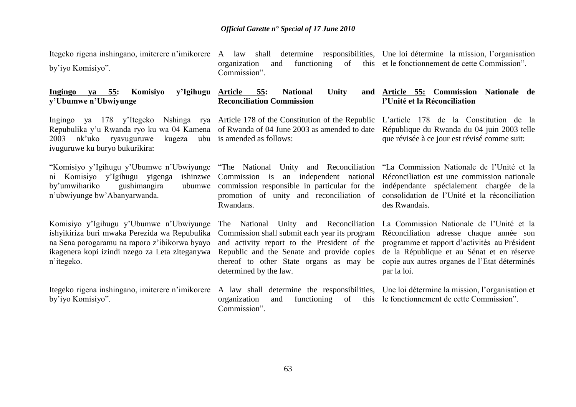by'iyo Komisiyo".

Itegeko rigena inshingano, imiterere n'imikorere A law shall determine responsibilities, Une loi détermine la mission, l'organisation organization and functioning of this et le fonctionnement de cette Commission". Commission".

**Ingingo va 55: Komisiyo y"Ubumwe n"Ubwiyunge Article 55: National Unity Article** 55: National Unity **Reconciliation Commission Article 55: Commission Nationale de l"Unité et la Réconciliation**

Ingingo ya 178 y'Itegeko Nshinga rya Article 178 of the Constitution of the Republic L'article 178 de la Constitution de la 2003 nk'uko ryavuguruwe ivuguruwe ku buryo bukurikira:

"Komisiyo y'Igihugu y'Ubumwe n'Ubwiyunge "The National Unity and Reconciliation "La Commission Nationale de l'Unité et la ni Komisiyo y'Igihugu yigenga by'umwihariko gushimangira n'ubwiyunge bw'Abanyarwanda.

Komisiyo y'Igihugu y'Ubumwe n'Ubwiyunge ishyikiriza buri mwaka Perezida wa Repubulika na Sena porogaramu na raporo z'ibikorwa byayo ikagenera kopi izindi nzego za Leta ziteganywa n'itegeko.

Itegeko rigena inshingano, imiterere n'imikorere A law shall determine the responsibilities, by'iyo Komisiyo".

Repubulika y'u Rwanda ryo ku wa 04 Kamena of Rwanda of 04 June 2003 as amended to date République du Rwanda du 04 juin 2003 telle kugeza ubu is amended as follows:

> Commission is an independent national commission responsible in particular for the promotion of unity and reconciliation of consolidation de l'Unité et la réconciliation Rwandans.

> > The National Unity and Reconciliation Commission shall submit each year its program and activity report to the President of the Republic and the Senate and provide copies thereof to other State organs as may be determined by the law.

organization and functioning of Commission".

que révisée à ce jour est révisé comme suit:

Réconciliation est une commission nationale indépendante spécialement chargée de la des Rwandais.

La Commission Nationale de l'Unité et la Réconciliation adresse chaque année son programme et rapport d'activités au Président de la République et au Sénat et en réserve copie aux autres organes de l'Etat déterminés par la loi.

Une loi détermine la mission, l'organisation et le fonctionnement de cette Commission".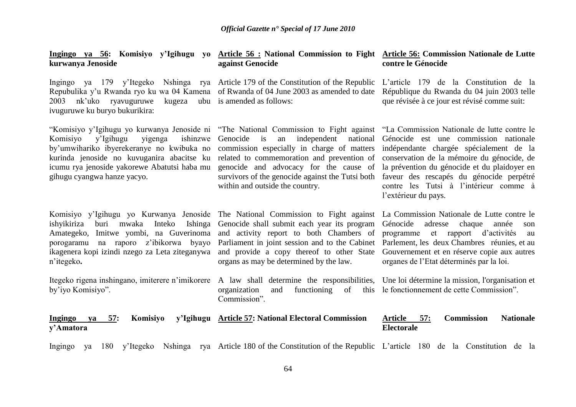| Ingingo ya 56: Komisiyo y'Igihugu yo<br>kurwanya Jenoside                                                                                                                                                                                                                                         | <b>Article 56 : National Commission to Fight</b><br>against Genocide                                                                                                                                                                                                                                                                 | <b>Article 56: Commission Nationale de Lutte</b><br>contre le Génocide                                                                                                                                                                                                                                                                      |
|---------------------------------------------------------------------------------------------------------------------------------------------------------------------------------------------------------------------------------------------------------------------------------------------------|--------------------------------------------------------------------------------------------------------------------------------------------------------------------------------------------------------------------------------------------------------------------------------------------------------------------------------------|---------------------------------------------------------------------------------------------------------------------------------------------------------------------------------------------------------------------------------------------------------------------------------------------------------------------------------------------|
| Ingingo ya 179 y'Itegeko Nshinga rya Article 179 of the Constitution of the Republic<br>Repubulika y'u Rwanda ryo ku wa 04 Kamena<br>nk'uko ryavuguruwe<br>kugeza<br>2003<br>ivuguruwe ku buryo bukurikira:                                                                                       | of Rwanda of 04 June 2003 as amended to date<br>ubu is amended as follows:                                                                                                                                                                                                                                                           | L'article 179 de la Constitution de la<br>République du Rwanda du 04 juin 2003 telle<br>que révisée à ce jour est révisé comme suit:                                                                                                                                                                                                        |
| "Komisiyo y'Igihugu yo kurwanya Jenoside ni<br>y'Igihugu<br>ishinzwe<br>Komisiyo<br>yigenga<br>by'umwihariko ibyerekeranye no kwibuka no<br>kurinda jenoside no kuvuganira abacitse ku<br>icumu rya jenoside yakorewe Abatutsi haba mu<br>gihugu cyangwa hanze yacyo.                             | "The National Commission to Fight against<br>independent<br>Genocide<br>$\frac{1}{1}$<br>national<br>an<br>commission especially in charge of matters<br>related to commemoration and prevention of<br>genocide and advocacy for the cause of<br>survivors of the genocide against the Tutsi both<br>within and outside the country. | "La Commission Nationale de lutte contre le<br>Génocide est une commission nationale<br>indépendante chargée spécialement de la<br>conservation de la mémoire du génocide, de<br>la prévention du génocide et du plaidoyer en<br>faveur des rescapés du génocide perpétré<br>contre les Tutsi à l'intérieur comme à<br>l'extérieur du pays. |
| Komisiyo y'Igihugu yo Kurwanya Jenoside The National Commission to Fight against<br>ishyikiriza<br>mwaka<br>Inteko<br>Ishinga<br>buri<br>Imitwe yombi, na Guverinoma<br>Amategeko,<br>z'ibikorwa byayo<br>na raporo<br>porogaramu<br>ikagenera kopi izindi nzego za Leta ziteganywa<br>n'itegeko. | Genocide shall submit each year its program<br>and activity report to both Chambers of<br>Parliament in joint session and to the Cabinet<br>and provide a copy thereof to other State<br>organs as may be determined by the law.                                                                                                     | La Commission Nationale de Lutte contre le<br>Génocide<br>adresse<br>chaque<br>année<br>son<br>et rapport d'activités<br>programme<br>au<br>Parlement, les deux Chambres réunies, et au<br>Gouvernement et en réserve copie aux autres<br>organes de l'Etat déterminés par la loi.                                                          |
| Itegeko rigena inshingano, imiterere n'imikorere<br>by'iyo Komisiyo".                                                                                                                                                                                                                             | A law shall determine the responsibilities,<br>organization<br>functioning<br>this<br>and<br>of<br>Commission".                                                                                                                                                                                                                      | Une loi détermine la mission, l'organisation et<br>le fonctionnement de cette Commission".                                                                                                                                                                                                                                                  |
| 57:<br>Komisiyo<br><b>Ingingo</b><br>ya<br>y'Amatora                                                                                                                                                                                                                                              | y'Igihugu Article 57: National Electoral Commission                                                                                                                                                                                                                                                                                  | <b>Commission</b><br><b>Nationale</b><br><b>Article</b><br>57:<br><b>Electorale</b>                                                                                                                                                                                                                                                         |
| y'Itegeko<br>Ingingo<br>180<br>ya                                                                                                                                                                                                                                                                 | Nshinga rya Article 180 of the Constitution of the Republic L'article 180 de la Constitution de la                                                                                                                                                                                                                                   |                                                                                                                                                                                                                                                                                                                                             |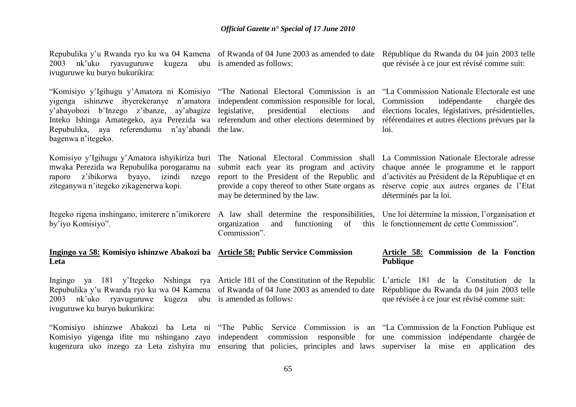Repubulika y'u Rwanda ryo ku wa 04 Kamena of Rwanda of 04 June 2003 as amended to date République du Rwanda du 04 juin 2003 telle 2003 nk'uko ryavuguruwe kugeza ubu is amended as follows: ivuguruwe ku buryo bukurikira:

"Komisiyo y'Igihugu y'Amatora ni Komisiyo "The National Electoral Commission is an "La Commission Nationale Electorale est une yigenga ishinzwe ibyerekeranye n'amatora independent commission responsible for local, y'abayobozi b'Inzego z'ibanze, ay'abagize Inteko Ishinga Amategeko, aya Perezida wa referendum and other elections determined by référendaires et autres élections prévues par la Repubulika, aya referendumu n'ay'abandi the law. bagenwa n'itegeko.

Komisiyo y'Igihugu y'Amatora ishyikiriza buri The National Electoral Commission shall La Commission Nationale Electorale adresse mwaka Perezida wa Repubulika porogaramu na submit each year its program and activity raporo z'ibikorwa byayo, izindi nzego ziteganywa n'itegeko zikagenerwa kopi.

Itegeko rigena inshingano, imiterere n'imikorere A law shall determine the responsibilities, Une loi détermine la mission, l'organisation et by'iyo Komisiyo".

presidential elections

report to the President of the Republic and provide a copy thereof to other State organs as may be determined by the law.

organization and functioning of

que révisée à ce jour est révisé comme suit:

indépendante chargée des élections locales, législatives, présidentielles, loi.

> chaque année le programme et le rapport d'activités au Président de la République et en réserve copie aux autres organes de l'Etat déterminés par la loi.

le fonctionnement de cette Commission".

#### **Ingingo ya 58: Komisiyo ishinzwe Abakozi ba Article 58: Public Service Commission Leta Publique**

Commission".

Ingingo ya 181 y'Itegeko Nshinga rya Article 181 of the Constitution of the Republic L'article 181 de la Constitution de la Repubulika y'u Rwanda ryo ku wa 04 Kamena of Rwanda of 04 June 2003 as amended to date 2003 nk'uko ryavuguruwe kugeza ubu is amended as follows: ivuguruwe ku buryo bukurikira:

# **Article 58: Commission de la Fonction**

République du Rwanda du 04 juin 2003 telle que révisée à ce jour est révisé comme suit:

"Komisiyo ishinzwe Abakozi ba Leta ni "The Public Service Commission is an "La Commission de la Fonction Publique est Komisiyo yigenga ifite mu nshingano zayo independent commission responsible for une commission indépendante chargée-de kugenzura uko inzego za Leta zishyira mu ensuring that policies, principles and laws superviser la mise en application des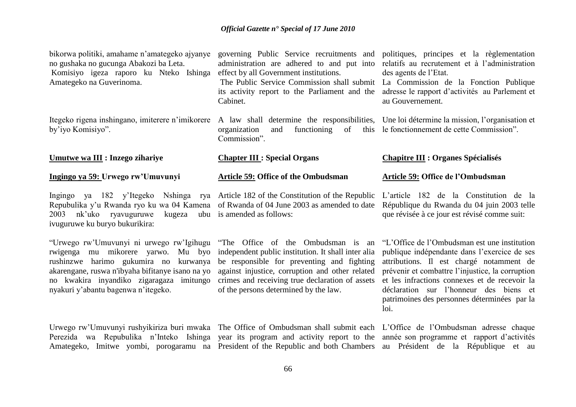bikorwa politiki, amahame n'amategeko ajyanye no gushaka no gucunga Abakozi ba Leta. Komisiyo igeza raporo ku Nteko Ishinga Amategeko na Guverinoma.

Itegeko rigena inshingano, imiterere n'imikorere A law shall determine the responsibilities, Une loi détermine la mission, l'organisation et by'iyo Komisiyo".

#### **Umutwe wa III : Inzego zihariye**

#### **Ingingo ya 59: Urwego rw"Umuvunyi**

Ingingo ya 182 y'Itegeko Nshinga rya Article 182 of the Constitution of the Republic Repubulika y'u Rwanda ryo ku wa 04 Kamena of Rwanda of 04 June 2003 as amended to date  $2003$  nk'uko ryavuguruwe ivuguruwe ku buryo bukurikira:

"Urwego rw'Umuvunyi ni urwego rw'Igihugu "The Office of the Ombudsman is an rwigenga mu mikorere yarwo. Mu byo independent public institution. It shall inter alia rushinzwe harimo gukumira no kurwanya be responsible for preventing and fighting akarengane, ruswa n'ibyaha bifitanye isano na yo against injustice, corruption and other related no kwakira inyandiko zigaragaza imitungo crimes and receiving true declaration of assets nyakuri y'abantu bagenwa n'itegeko.

Urwego rw'Umuvunyi rushyikiriza buri mwaka The Office of Ombudsman shall submit each L'Office de l'Ombudsman adresse chaque Perezida wa Repubulika n'Inteko Ishinga year its program and activity report to the année son-programme et rapport d'activités

effect by all Government institutions.

its activity report to the Parliament and the Cabinet.

organization and functioning of this le fonctionnement de cette Commission". Commission".

#### **Chapter III : Special Organs**

#### **Article 59: Office of the Ombudsman**

kugeza ubu is amended as follows:

of the persons determined by the law.

governing Public Service recruitments and politiques, principes et la règlementation administration are adhered to and put into relatifs au recrutement et à l'administration des agents de l'Etat.

The Public Service Commission shall submit La Commission de la Fonction Publique adresse le rapport d'activités au Parlement et au Gouvernement.

#### **Chapitre III : Organes Spécialisés**

#### **Article 59: Office de l"Ombudsman**

L'article 182 de la Constitution de la République du Rwanda du 04 juin 2003 telle que révisée à ce jour est révisé comme suit:

"L'Office de l'Ombudsman est une institution publique indépendante dans l'exercice de ses attributions. Il est chargé notamment de prévenir et combattre l'injustice, la corruption et les infractions connexes et de recevoir la déclaration sur l'honneur des biens et patrimoines des personnes déterminées par la loi.

Amategeko, Imitwe yombi, porogaramu na President-of-the-Republic and-both-Chambers au Président de la République et au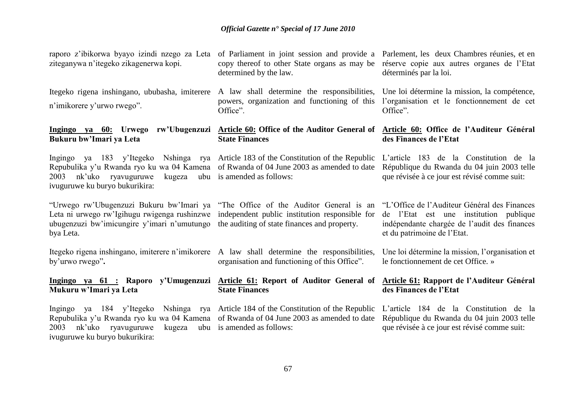raporo z'ibikorwa byayo izindi nzego za Leta of Parliament in joint session and provide a Parlement, les deux Chambres réunies, et en ziteganywa n'itegeko zikagenerwa kopi.

Itegeko rigena inshingano, ububasha, imiterere A law shall determine the responsibilities, n'imikorere y'urwo rwego".

### **Bukuru bw"Imari ya Leta**

Ingingo ya 183 y'Itegeko Nshinga rya Article 183 of the Constitution of the Republic 2003 nk'uko ryavuguruwe kugeza ubu is amended as follows: ivuguruwe ku buryo bukurikira:

"Urwego rw'Ubugenzuzi Bukuru bw'Imari ya "The Office of the Auditor General is an Leta ni urwego rw'Igihugu rwigenga rushinzwe independent public institution responsible for ubugenzuzi bw'imicungire y'imari n'umutungo the auditing of state finances and property. bya Leta.

Itegeko rigena inshingano, imiterere n'imikorere A law shall determine the responsibilities, by'urwo rwego"**.**

#### **Ingingo ya 61 : Raporo y"Umugenzuzi Article 61: Report of Auditor General of Mukuru w"Imari ya Leta**

Ingingo ya 184 y'Itegeko Nshinga rya Article 184 of the Constitution of the Republic Repubulika y'u Rwanda ryo ku wa 04 Kamena of Rwanda of 04 June 2003 as amended to date 2003 nk'uko ryavuguruwe kugeza ubu is amended as follows: ivuguruwe ku buryo bukurikira:

copy thereof to other State organs as may be réserve copie aux autres organes de l'Etat determined by the law.

powers, organization and functioning of this Office".

#### **Ingingo ya 60: Urwego rw"Ubugenzuzi Article 60: Office of the Auditor General of Article 60: Office de l"Auditeur Général State Finances**

**State Finances**

Repubulika y'u Rwanda ryo ku wa 04 Kamena of Rwanda of 04 June 2003 as amended to date

déterminés par la loi.

Une loi détermine la mission, la compétence, l'organisation et le fonctionnement de cet Office".

### **des Finances de l"Etat**

L'article 183 de la Constitution de la République du Rwanda du 04 juin 2003 telle que révisée à ce jour est révisé comme suit:

"L'Office de l'Auditeur Général des Finances de l'Etat est une institution publique indépendante chargée de l'audit des finances et du patrimoine de l'Etat.

Une loi détermine la mission, l'organisation et le fonctionnement de cet Office. »

#### **Article 61: Rapport de l"Auditeur Général des Finances de l"Etat**

L'article 184 de la Constitution de la République du Rwanda du 04 juin 2003 telle que révisée à ce jour est révisé comme suit:

organisation and functioning of this Office".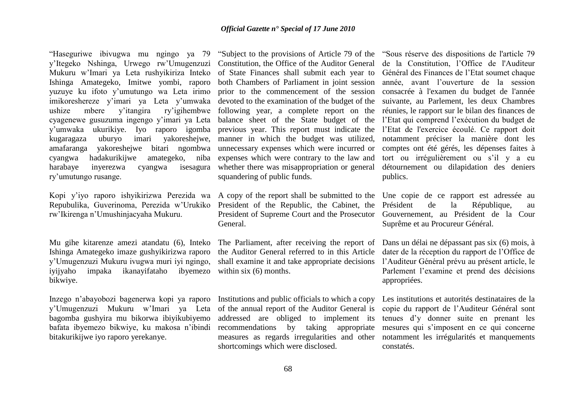"Haseguriwe ibivugwa mu ngingo ya 79 y'Itegeko Nshinga, Urwego rw'Umugenzuzi Mukuru w'Imari ya Leta rushyikiriza Inteko Ishinga Amategeko, Imitwe yombi, raporo yuzuye ku ifoto y'umutungo wa Leta irimo imikoreshereze y'imari ya Leta y'umwaka ushize mbere y'itangira ry'igihembwe following year, a complete report on the cyagenewe gusuzuma ingengo y'imari ya Leta y'umwaka ukurikiye. Iyo raporo igomba previous year. This report must indicate the l'Etat de l'exercice écoulé. Ce rapport doit kugaragaza uburyo imari yakoreshejwe, manner in which the budget was utilized, amafaranga yakoreshejwe bitari ngombwa unnecessary expenses which were incurred or cyangwa hadakurikijwe amategeko, niba expenses which were contrary to the law and harabaye inyerezwa cyangwa isesagura whether there was misappropriation or general ry'umutungo rusange.

Kopi y'iyo raporo ishyikirizwa Perezida wa A copy of the report shall be submitted to the Une copie de ce rapport est adressée au Repubulika, Guverinoma, Perezida w'Urukiko President of the Republic, the Cabinet, the rw'Ikirenga n'Umushinjacyaha Mukuru.

Mu gihe kitarenze amezi atandatu (6), Inteko Ishinga Amategeko imaze gushyikirizwa raporo y'Umugenzuzi Mukuru ivugwa muri iyi ngingo, iyijyaho impaka ikanayifataho ibyemezo within six (6) months. bikwiye.

Inzego n'abayobozi bagenerwa kopi ya raporo y'Umugenzuzi Mukuru w'Imari ya Leta of the annual report of the Auditor General is bagomba gushyira mu bikorwa ibiyikubiyemo bafata ibyemezo bikwiye, ku makosa n'ibindi bitakurikijwe iyo raporo yerekanye.

Constitution, the Office of the Auditor General of State Finances shall submit each year to both Chambers of Parliament in joint session prior to the commencement of the session devoted to the examination of the budget of the balance sheet of the State budget of the squandering of public funds.

President of Supreme Court and the Prosecutor General.

The Parliament, after receiving the report of the Auditor General referred to in this Article shall examine it and take appropriate decisions

Institutions and public officials to which a copy addressed are obliged to implement its recommendations by taking appropriate measures as regards irregularities and other shortcomings which were disclosed.

"Subject to the provisions of Article 79 of the "Sous réserve des dispositions de l'article 79 de la Constitution, l'Office de l'Auditeur Général des Finances de l'Etat soumet chaque année, avant l'ouverture de la session consacrée à l'examen du budget de l'année suivante, au Parlement, les deux Chambres réunies, le rapport sur le bilan des finances de l'Etat qui comprend l'exécution du budget de notamment préciser la manière dont les comptes ont été gérés, les dépenses faites à tort ou irrégulièrement ou s'il y a eu détournement ou dilapidation des deniers publics.

> de la République, au Gouvernement, au Président de la Cour Suprême et au Procureur Général.

> Dans un délai ne dépassant pas six (6) mois, à dater de la réception du rapport de l'Office de l'Auditeur Général prévu au présent article, le Parlement l'examine et prend des décisions appropriées.

Les institutions et autorités destinataires de la copie du rapport de l'Auditeur Général sont tenues d'y donner suite en prenant les mesures qui s'imposent en ce qui concerne notamment les irrégularités et manquements constatés.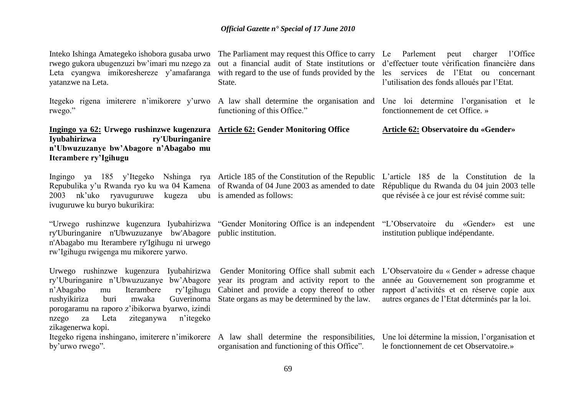Inteko Ishinga Amategeko ishobora gusaba urwo rwego gukora ubugenzuzi bw'imari mu nzego za Leta cyangwa imikoreshereze y'amafaranga yatanzwe na Leta.

rwego."

### **Ingingo ya 62: Urwego rushinzwe kugenzura Article 62: Gender Monitoring Office Iyubahirizwa ry'Uburinganire n"Ubwuzuzanye bw"Abagore n"Abagabo mu Iterambere ry"Igihugu**

Repubulika y'u Rwanda ryo ku wa 04 Kamena of Rwanda of 04 June 2003 as amended to date 2003 nk'uko ryavuguruwe kugeza ubu is amended as follows: ivuguruwe ku buryo bukurikira:

"Urwego rushinzwe kugenzura Iyubahirizwa "Gender Monitoring Office is an independent "L'Observatoire du «Gender» est une ry'Uburinganire n'Ubwuzuzanye bw'Abagore public institution. n'Abagabo mu Iterambere ry'Igihugu ni urwego rw'Igihugu rwigenga mu mikorere yarwo.

Urwego rushinzwe kugenzura Iyubahirizwa ry'Uburinganire n'Ubwuzuzanye bw'Abagore n'Abagabo mu Iterambere ry'Igihugu Cabinet and provide a copy thereof to other rushyikiriza buri mwaka Guverinoma State organs as may be determined by the law. porogaramu na raporo z'ibikorwa byarwo, izindi nzego za Leta ziteganywa n'itegeko zikagenerwa kopi.

Itegeko rigena inshingano, imiterere n'imikorere A law shall determine the responsibilities, by'urwo rwego".

out a financial audit of State institutions or d'effectuer toute vérification financière dans with regard to the use of funds provided by the les services de l'Etat ou concernant State.

functioning of this Office."

The Parliament may request this Office to carry Le Parlement peut charger l'Office l'utilisation des fonds alloués par l'Etat.

Itegeko rigena imiterere n'imikorere y'urwo A law shall determine the organisation and Une loi determine l'organisation et le fonctionnement de cet Office. »

#### **Article 62: Observatoire du «Gender»**

Ingingo ya 185 y'Itegeko Nshinga rya Article 185 of the Constitution of the Republic L'article 185 de la Constitution de la

République du Rwanda du 04 juin 2003 telle que révisée à ce jour est révisé comme suit:

institution publique indépendante.

year its program and activity report to the

Gender Monitoring Office shall submit each L'Observatoire du « Gender » adresse chaque année au Gouvernement son programme et rapport d'activités et en réserve copie aux autres organes de l'Etat déterminés par la loi.

organisation and functioning of this Office". Une loi détermine la mission, l'organisation et le fonctionnement de cet Observatoire.»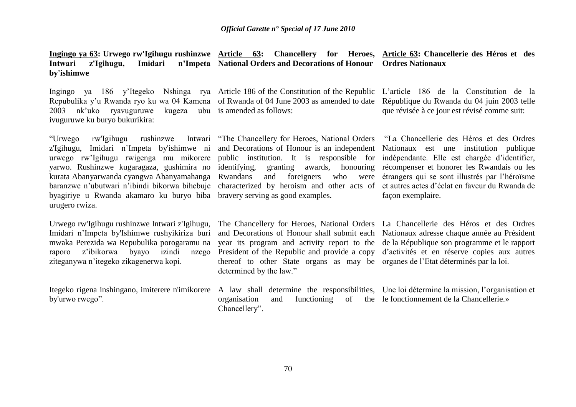**Ingingo ya 63: Urwego rw'Igihugu rushinzwe Article 63: Chancellery for Heroes, Article 63: Chancellerie des Héros et des**  Intwari z'Igihugu, Imidari **by'ishimwe National Orders and Decorations of Honour Ordres Nationaux**

Repubulika y'u Rwanda ryo ku wa 04 Kamena of Rwanda of 04 June 2003 as amended to date 2003 nk'uko ryavuguruwe kugeza ubu is amended as follows: ivuguruwe ku buryo bukurikira:

Ingingo ya 186 y'Itegeko Nshinga rya Article 186 of the Constitution of the Republic L'article 186 de la Constitution de la

République du Rwanda du 04 juin 2003 telle que révisée à ce jour est révisé comme suit:

"Urwego rw'Igihugu rushinzwe Intwari "The Chancellery for Heroes, National Orders z'Igihugu, Imidari n`Impeta by'ishimwe ni and Decorations of Honour is an independent Nationaux est une institution publique urwego rw'Igihugu rwigenga mu mikorere public institution. It is responsible for indépendante. Elle est chargée d'identifier, yarwo. Rushinzwe kugaragaza, gushimira no identifying, granting awards, honouring récompenser et honorer les Rwandais ou les kurata Abanyarwanda cyangwa Abanyamahanga baranzwe n'ubutwari n'ibindi bikorwa bihebuje characterized by heroism and other acts of byagiriye u Rwanda akamaro ku buryo biba bravery serving as good examples. urugero rwiza.

Urwego rw'Igihugu rushinzwe Intwari z'Igihugu, The Chancellery for Heroes, National Orders La Chancellerie des Héros et des Ordres Imidari n'Impeta by'Ishimwe rushyikiriza buri mwaka Perezida wa Repubulika porogaramu na raporo z'ibikorwa byayo izindi nzego ziteganywa n'itegeko zikagenerwa kopi.

Itegeko rigena inshingano, imiterere n'imikorere A law shall determine the responsibilities, Une loi détermine la mission, l'organisation et by'urwo rwego".

Rwandans and foreigners who were étrangers qui se sont illustrés par l'héroïsme

"La Chancellerie des Héros et des Ordres et autres actes d'éclat en faveur du Rwanda de façon exemplaire.

and Decorations of Honour shall submit each Nationaux adresse chaque année au Président year its program and activity report to the de la République son programme et le rapport President of the Republic and provide a copy d'activités et en réserve copies aux autres thereof to other State organs as may be organes de l'Etat déterminés par la loi. determined by the law."

organisation and functioning Chancellery".

of the le fonctionnement de la Chancellerie.»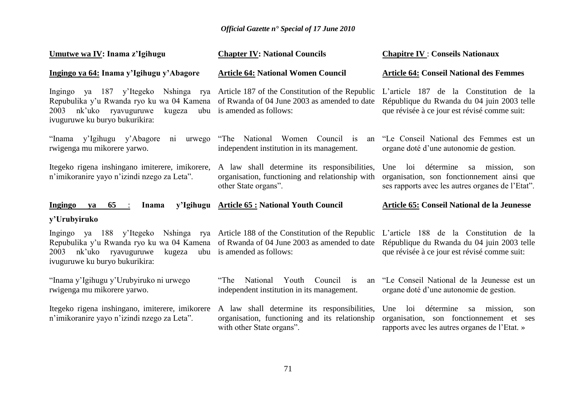| Umutwe wa IV: Inama z'Igihugu                                                                                                                                                                                                                            | <b>Chapter IV: National Councils</b>                                                                                   | <b>Chapitre IV : Conseils Nationaux</b>                                                                                                         |
|----------------------------------------------------------------------------------------------------------------------------------------------------------------------------------------------------------------------------------------------------------|------------------------------------------------------------------------------------------------------------------------|-------------------------------------------------------------------------------------------------------------------------------------------------|
| Ingingo ya 64: Inama y'Igihugu y'Abagore                                                                                                                                                                                                                 | <b>Article 64: National Women Council</b>                                                                              | <b>Article 64: Conseil National des Femmes</b>                                                                                                  |
| Ingingo ya 187 y'Itegeko Nshinga rya Article 187 of the Constitution of the Republic<br>Repubulika y'u Rwanda ryo ku wa 04 Kamena of Rwanda of 04 June 2003 as amended to date<br>nk'uko ryavuguruwe<br>kugeza<br>2003<br>ivuguruwe ku buryo bukurikira: | ubu is amended as follows:                                                                                             | L'article 187 de la Constitution de la<br>République du Rwanda du 04 juin 2003 telle<br>que révisée à ce jour est révisé comme suit:            |
| "Inama y'Igihugu y'Abagore ni urwego<br>rwigenga mu mikorere yarwo.                                                                                                                                                                                      | "The National Women Council is<br>an<br>independent institution in its management.                                     | "Le Conseil National des Femmes est un<br>organe doté d'une autonomie de gestion.                                                               |
| Itegeko rigena inshingano imiterere, imikorere,<br>n'imikoranire yayo n'izindi nzego za Leta".                                                                                                                                                           | A law shall determine its responsibilities,<br>organisation, functioning and relationship with<br>other State organs". | détermine<br>loi<br>sa mission,<br>Une<br>son<br>organisation, son fonctionnement ainsi que<br>ses rapports avec les autres organes de l'Etat". |
|                                                                                                                                                                                                                                                          |                                                                                                                        |                                                                                                                                                 |
| $65$ :<br><b>Ingingo</b><br><b>Inama</b><br>ya                                                                                                                                                                                                           | y'Igihugu Article 65 : National Youth Council                                                                          | <b>Article 65: Conseil National de la Jeunesse</b>                                                                                              |
| y'Urubyiruko                                                                                                                                                                                                                                             |                                                                                                                        |                                                                                                                                                 |
| Ingingo ya 188 y'Itegeko Nshinga rya Article 188 of the Constitution of the Republic<br>Repubulika y'u Rwanda ryo ku wa 04 Kamena of Rwanda of 04 June 2003 as amended to date<br>nk'uko ryavuguruwe<br>kugeza<br>2003<br>ivuguruwe ku buryo bukurikira: | ubu is amended as follows:                                                                                             | L'article 188 de la Constitution de la<br>République du Rwanda du 04 juin 2003 telle<br>que révisée à ce jour est révisé comme suit:            |
| "Inama y'Igihugu y'Urubyiruko ni urwego<br>rwigenga mu mikorere yarwo.                                                                                                                                                                                   | "The<br>National<br>Youth<br>Council<br>is<br>an<br>independent institution in its management.                         | "Le Conseil National de la Jeunesse est un<br>organe doté d'une autonomie de gestion.                                                           |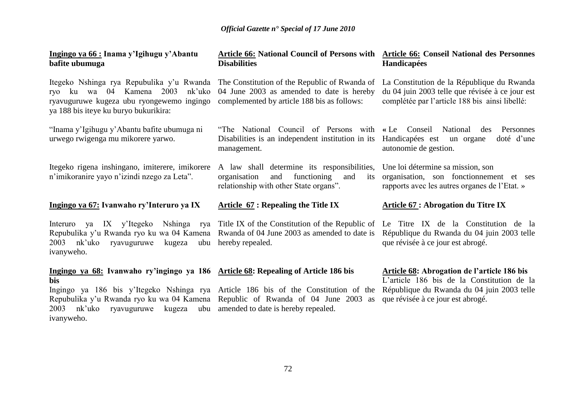#### **Ingingo ya 66 : Inama y"Igihugu y"Abantu bafite ubumuga**

Itegeko Nshinga rya Repubulika y'u Rwanda The Constitution of the Republic of Rwanda of ryo ku wa 04 Kamena 2003 nk'uko 04 June 2003 as amended to date is hereby ryavuguruwe kugeza ubu ryongewemo ingingo complemented by article 188 bis as follows: ya 188 bis iteye ku buryo bukurikira:

"Inama y'Igihugu y'Abantu bafite ubumuga ni urwego rwigenga mu mikorere yarwo.

Itegeko rigena inshingano, imiterere, imikorere n'imikoranire yayo n'izindi nzego za Leta".

#### **Ingingo ya 67: Ivanwaho ry"Interuro ya IX**

2003 nk'uko ryavuguruwe kugeza ubu hereby repealed. ivanyweho.

### **bis**

Repubulika y'u Rwanda ryo ku wa 04 Kamena Republic of Rwanda of 04 June 2003 as 2003 nk'uko ryavuguruwe kugeza ubu amended to date is hereby repealed. ivanyweho.

#### **Article 66: National Council of Persons with Article 66: Conseil National des Personnes Disabilities Handicapées**

Disabilities is an independent institution in its management.

A law shall determine its responsibilities, organisation and functioning and its relationship with other State organs".

#### **Article 67 : Repealing the Title IX**

Interuro ya IX y'Itegeko Nshinga rya Title IX of the Constitution of the Republic of Le Titre IX de la Constitution de la Repubulika y'u Rwanda ryo ku wa 04 Kamena Rwanda of 04 June 2003 as amended to date is

### **Ingingo ya 68: Ivanwaho ry"ingingo ya 186 Article 68: Repealing of Article 186 bis**

Ingingo ya 186 bis y'Itegeko Nshinga rya Article 186 bis of the Constitution of the

La Constitution de la République du Rwanda du 04 juin 2003 telle que révisée à ce jour est complétée par l'article 188 bis ainsi libellé:

"The National Council of Persons with **«** Le Conseil National des Personnes Handicapées est un organe doté d'une autonomie de gestion.

> Une loi détermine sa mission, son organisation, son fonctionnement et ses rapports avec les autres organes de l'Etat. »

#### **Article 67 : Abrogation du Titre IX**

République du Rwanda du 04 juin 2003 telle que révisée à ce jour est abrogé.

#### **Article 68: Abrogation de l"article 186 bis**

L'article 186 bis de la Constitution de la République du Rwanda du 04 juin 2003 telle que révisée à ce jour est abrogé.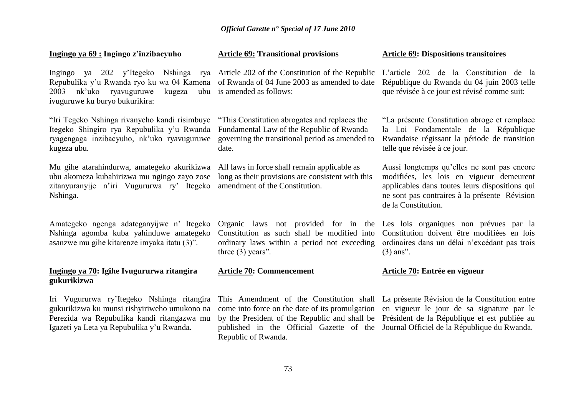# *Official Gazette n° Special of 17 June 2010*

### **Ingingo ya 69 : Ingingo z"inzibacyuho**

Ingingo ya 202 y'Itegeko Nshinga rya Article 202 of the Constitution of the Republic Repubulika y'u Rwanda ryo ku wa 04 Kamena of Rwanda of 04 June 2003 as amended to date 2003 nk'uko ryavuguruwe ivuguruwe ku buryo bukurikira:

"Iri Tegeko Nshinga rivanyeho kandi risimbuye Itegeko Shingiro rya Repubulika y'u Rwanda Fundamental Law of the Republic of Rwanda ryagengaga inzibacyuho, nk'uko ryavuguruwe kugeza ubu.

Mu gihe atarahindurwa, amategeko akurikizwa All laws in force shall remain applicable as ubu akomeza kubahirizwa mu ngingo zayo zose zitanyuranyije n'iri Vugururwa ry' Itegeko amendment of the Constitution. Nshinga.

Amategeko ngenga adateganyijwe n' Itegeko Nshinga agomba kuba yahinduwe amategeko asanzwe mu gihe kitarenze imyaka itatu (3)".

# **Ingingo ya 70: Igihe Ivugururwa ritangira gukurikizwa**

Iri Vugururwa ry'Itegeko Nshinga ritangira gukurikizwa ku munsi rishyiriweho umukono na Perezida wa Repubulika kandi ritangazwa mu Igazeti ya Leta ya Repubulika y'u Rwanda.

## **Article 69: Transitional provisions**

kugeza ubu is amended as follows:

"This Constitution abrogates and replaces the governing the transitional period as amended to date.

long as their provisions are consistent with this

Organic laws not provided for in the Les lois organiques non prévues par la Constitution as such shall be modified into Constitution doivent être modifiées en lois ordinary laws within a period not exceeding ordinaires dans un délai n'excédant pas trois three (3) years".

### **Article 70: Commencement**

This Amendment of the Constitution shall La présente Révision de la Constitution entre come into force on the date of its promulgation en vigueur le jour de sa signature par le by the President of the Republic and shall be Président de la République et est publiée au published in the Official Gazette of the Journal Officiel de la République du Rwanda.Republic of Rwanda.

#### **Article 69: Dispositions transitoires**

L'article 202 de la Constitution de la République du Rwanda du 04 juin 2003 telle que révisée à ce jour est révisé comme suit:

"La présente Constitution abroge et remplace la Loi Fondamentale de la République Rwandaise régissant la période de transition telle que révisée à ce jour.

Aussi longtemps qu'elles ne sont pas encore modifiées, les lois en vigueur demeurent applicables dans toutes leurs dispositions qui ne sont pas contraires à la présente Révision de la Constitution.

(3) ans".

### **Article 70: Entrée en vigueur**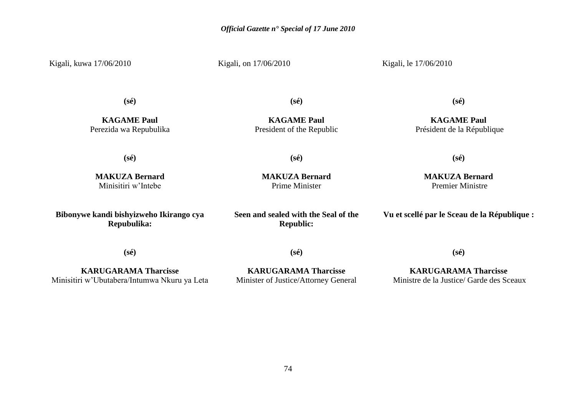Kigali, kuwa 17/06/2010

Kigali, on 17/06/2010

Kigali, le 17/06/2010

**(sé)**

**KAGAME Paul** Perezida wa Repubulika **(sé)**

**KAGAME Paul** President of the Republic **(sé)**

**KAGAME Paul** Président de la République

**(sé)**

**(sé)**

**MAKUZA Bernard** Prime Minister

**MAKUZA Bernard** Minisitiri w'Intebe

**Bibonywe kandi bishyizweho Ikirango cya Repubulika:**

**Seen and sealed with the Seal of the** 

**Republic:**

**MAKUZA Bernard** Premier Ministre

**(sé)**

**Vu et scellé par le Sceau de la République :**

**(sé)**

**(sé)**

**KARUGARAMA Tharcisse** Minisitiri w'Ubutabera/Intumwa Nkuru ya Leta

**KARUGARAMA Tharcisse** Minister of Justice/Attorney General

**KARUGARAMA Tharcisse** Ministre de la Justice/ Garde des Sceaux

**(sé)**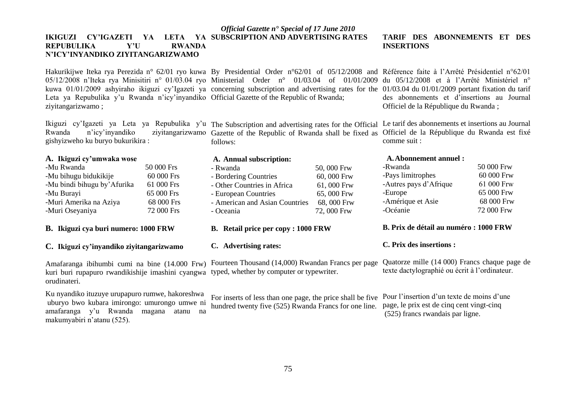### *Official Gazette n° Special of 17 June 2010* **IKIGUZI CY"IGAZETI YA LETA YA SUBSCRIPTION AND ADVERTISING RATES REPUBULIKA Y"U RWANDA N"ICY"INYANDIKO ZIYITANGARIZWAMO**

Hakurikijwe Iteka rya Perezida n° 62/01 ryo kuwa By Presidential Order n°62/01 of 05/12/2008 and Référence faite à l'Arrêté Présidentiel n°62/01 05/12/2008 n'Iteka rya Minisitiri n° 01/03.04 ryo Ministerial Order n° 01/03.04 of 01/01/2009 du 05/12/2008 et à l'Arrêté Ministériel n° kuwa 01/01/2009 ashyiraho ikiguzi cy'Igazeti ya concerning subscription and advertising rates for the 01/03.04 du 01/01/2009 portant fixation du tarif Leta ya Repubulika y'u Rwanda n'icy'inyandiko Official Gazette of the Republic of Rwanda; ziyitangarizwamo ;

Ikiguzi cy'Igazeti ya Leta ya Repubulika y'u The Subscription and advertising rates for the Official Le tarif des abonnements et insertions au Journal Rwanda n'icy'inyandiko ziyitangarizwamo Gazette of the Republic of Rwanda shall be fixed as gishyizweho ku buryo bukurikira : follows:

#### **A. Ikiguzi cy"umwaka wose**

| -Mu Rwanda                   | 50 000 Frs |
|------------------------------|------------|
| -Mu bihugu bidukikije        | 60 000 Frs |
| -Mu bindi bihugu by' Afurika | 61 000 Frs |
| -Mu Burayi                   | 65 000 Frs |
| -Muri Amerika na Aziya       | 68 000 Frs |
| -Muri Oseyaniya              | 72 000 Frs |

#### **B. Ikiguzi cya buri numero: 1000 FRW**

## **C. Ikiguzi cy"inyandiko ziyitangarizwamo**

kuri buri rupapuro rwandikishije imashini cyangwa typed, whether by computer or typewriter. orudinateri.

Ku nyandiko ituzuye urupapuro rumwe, hakoreshwa uburyo bwo kubara imirongo: umurongo umwe ni amafaranga y'u Rwanda magana atanu na makumyabiri n'atanu (525).

## **A. Annual subscription:** - Rwanda 50, 000 Frw - Bordering Countries 60, 600 Frw - Other Countries in Africa 61, 000 Frw - European Countries 65, 000 Frw - American and Asian Countries 68, 000 Frw - Oceania 72, 000 Frw

#### **B. Retail price per copy : 1000 FRW**

#### **C. Advertising rates:**

Amafaranga ibihumbi cumi na bine (14.000 Frw) Fourteen Thousand (14,000) Rwandan Francs per page

For inserts of less than one page, the price shall be five hundred twenty five (525) Rwanda Francs for one line.

#### **TARIF DES ABONNEMENTS ET DES INSERTIONS**

des abonnements et d'insertions au Journal Officiel de la République du Rwanda ;

Officiel de la République du Rwanda est fixé comme suit :

#### **A.Abonnement annuel :**

| -Rwanda                | 50 000 Frw |
|------------------------|------------|
| -Pays limitrophes      | 60 000 Frw |
| -Autres pays d'Afrique | 61 000 Frw |
| -Europe                | 65 000 Frw |
| -Amérique et Asie      | 68 000 Frw |
| -Océanie               | 72 000 Frw |

#### **B. Prix de détail au numéro : 1000 FRW**

#### **C. Prix des insertions :**

Quatorze mille (14 000) Francs chaque page de texte dactylographié ou écrit à l'ordinateur.

Pour l'insertion d'un texte de moins d'une page, le prix est de cinq cent vingt-cinq (525) francs rwandais par ligne.